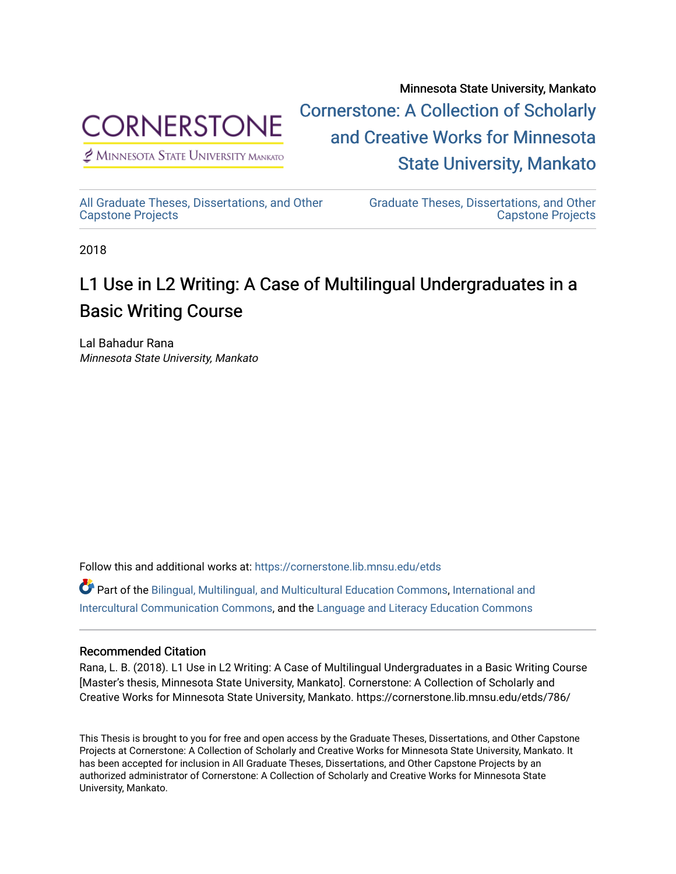

 $<sup>2</sup>$  Minnesota State University Mankato</sup>

Minnesota State University, Mankato [Cornerstone: A Collection of Scholarly](https://cornerstone.lib.mnsu.edu/)  [and Creative Works for Minnesota](https://cornerstone.lib.mnsu.edu/)  [State University, Mankato](https://cornerstone.lib.mnsu.edu/) 

[All Graduate Theses, Dissertations, and Other](https://cornerstone.lib.mnsu.edu/etds)  [Capstone Projects](https://cornerstone.lib.mnsu.edu/etds) 

[Graduate Theses, Dissertations, and Other](https://cornerstone.lib.mnsu.edu/theses_dissertations-capstone)  [Capstone Projects](https://cornerstone.lib.mnsu.edu/theses_dissertations-capstone) 

2018

# L1 Use in L2 Writing: A Case of Multilingual Undergraduates in a Basic Writing Course

Lal Bahadur Rana Minnesota State University, Mankato

Follow this and additional works at: [https://cornerstone.lib.mnsu.edu/etds](https://cornerstone.lib.mnsu.edu/etds?utm_source=cornerstone.lib.mnsu.edu%2Fetds%2F786&utm_medium=PDF&utm_campaign=PDFCoverPages) 

Part of the [Bilingual, Multilingual, and Multicultural Education Commons,](http://network.bepress.com/hgg/discipline/785?utm_source=cornerstone.lib.mnsu.edu%2Fetds%2F786&utm_medium=PDF&utm_campaign=PDFCoverPages) [International and](http://network.bepress.com/hgg/discipline/331?utm_source=cornerstone.lib.mnsu.edu%2Fetds%2F786&utm_medium=PDF&utm_campaign=PDFCoverPages) [Intercultural Communication Commons,](http://network.bepress.com/hgg/discipline/331?utm_source=cornerstone.lib.mnsu.edu%2Fetds%2F786&utm_medium=PDF&utm_campaign=PDFCoverPages) and the [Language and Literacy Education Commons](http://network.bepress.com/hgg/discipline/1380?utm_source=cornerstone.lib.mnsu.edu%2Fetds%2F786&utm_medium=PDF&utm_campaign=PDFCoverPages) 

# Recommended Citation

Rana, L. B. (2018). L1 Use in L2 Writing: A Case of Multilingual Undergraduates in a Basic Writing Course [Master's thesis, Minnesota State University, Mankato]. Cornerstone: A Collection of Scholarly and Creative Works for Minnesota State University, Mankato. https://cornerstone.lib.mnsu.edu/etds/786/

This Thesis is brought to you for free and open access by the Graduate Theses, Dissertations, and Other Capstone Projects at Cornerstone: A Collection of Scholarly and Creative Works for Minnesota State University, Mankato. It has been accepted for inclusion in All Graduate Theses, Dissertations, and Other Capstone Projects by an authorized administrator of Cornerstone: A Collection of Scholarly and Creative Works for Minnesota State University, Mankato.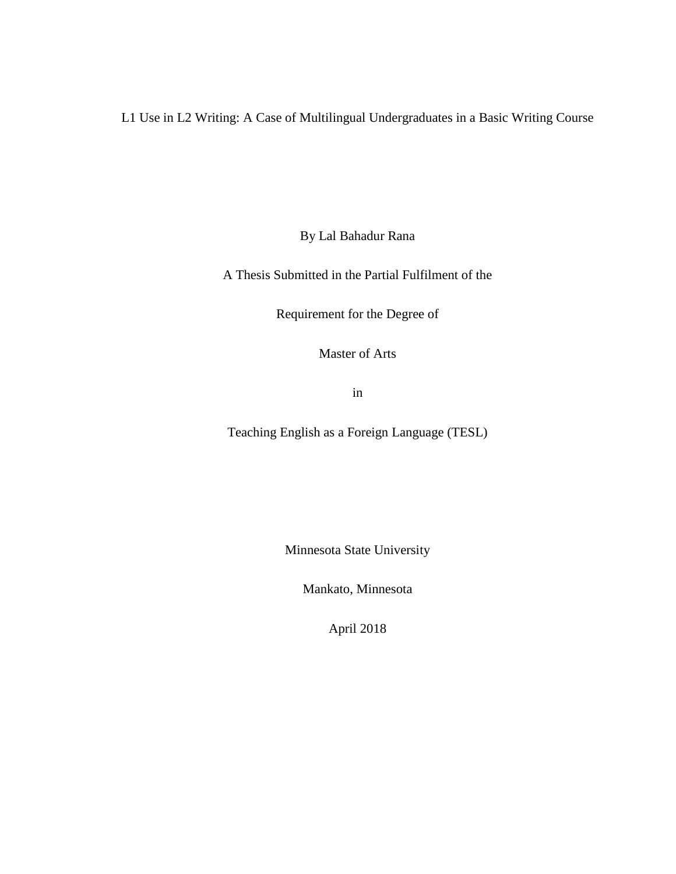L1 Use in L2 Writing: A Case of Multilingual Undergraduates in a Basic Writing Course

By Lal Bahadur Rana

A Thesis Submitted in the Partial Fulfilment of the

Requirement for the Degree of

Master of Arts

in

Teaching English as a Foreign Language (TESL)

Minnesota State University

Mankato, Minnesota

April 2018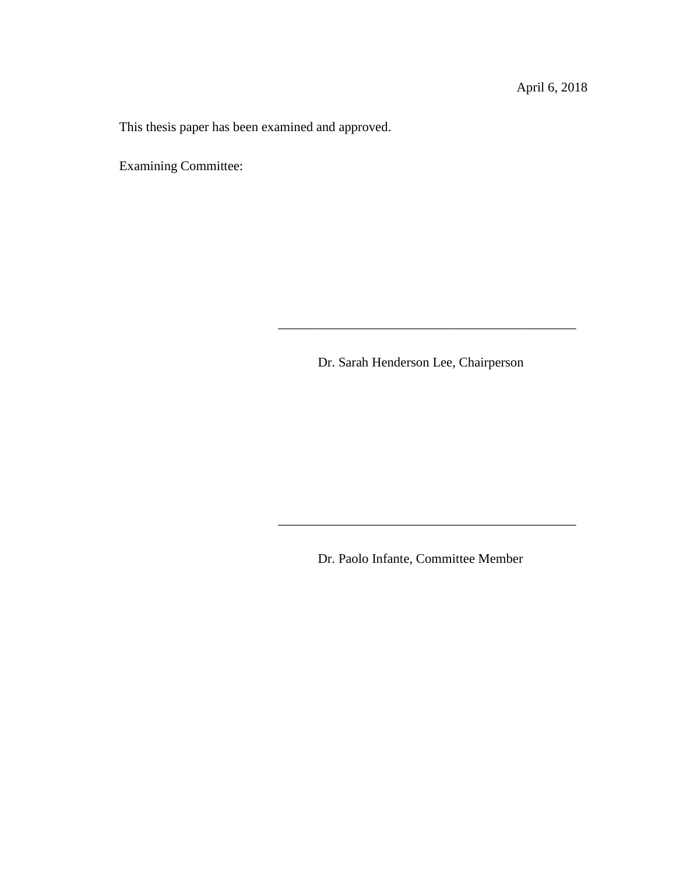This thesis paper has been examined and approved.

Examining Committee:

Dr. Sarah Henderson Lee, Chairperson

\_\_\_\_\_\_\_\_\_\_\_\_\_\_\_\_\_\_\_\_\_\_\_\_\_\_\_\_\_\_\_\_\_\_\_\_\_\_\_\_\_\_\_\_\_

Dr. Paolo Infante, Committee Member

\_\_\_\_\_\_\_\_\_\_\_\_\_\_\_\_\_\_\_\_\_\_\_\_\_\_\_\_\_\_\_\_\_\_\_\_\_\_\_\_\_\_\_\_\_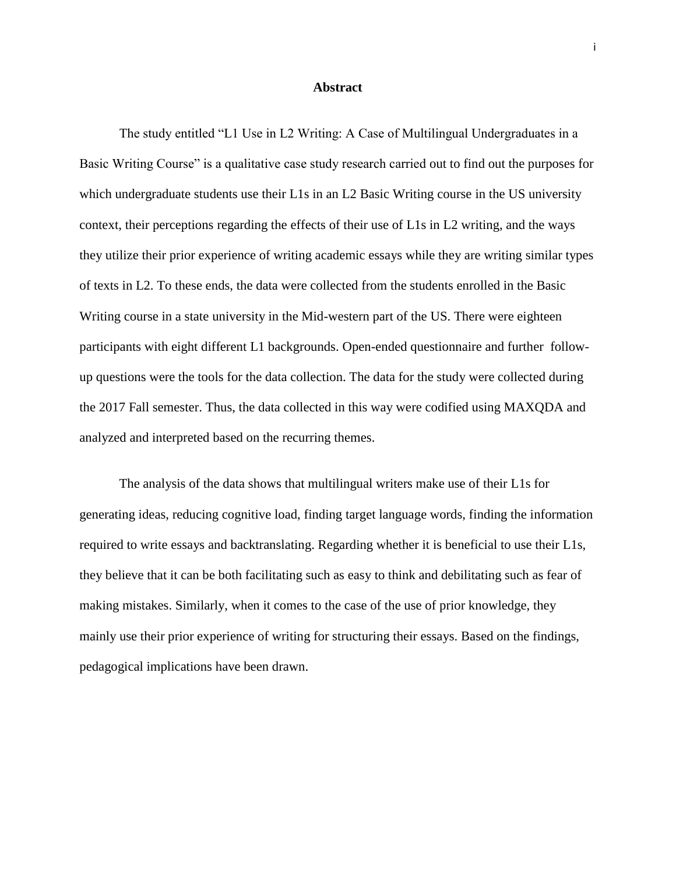### **Abstract**

The study entitled "L1 Use in L2 Writing: A Case of Multilingual Undergraduates in a Basic Writing Course" is a qualitative case study research carried out to find out the purposes for which undergraduate students use their L1s in an L2 Basic Writing course in the US university context, their perceptions regarding the effects of their use of L1s in L2 writing, and the ways they utilize their prior experience of writing academic essays while they are writing similar types of texts in L2. To these ends, the data were collected from the students enrolled in the Basic Writing course in a state university in the Mid-western part of the US. There were eighteen participants with eight different L1 backgrounds. Open-ended questionnaire and further followup questions were the tools for the data collection. The data for the study were collected during the 2017 Fall semester. Thus, the data collected in this way were codified using MAXQDA and analyzed and interpreted based on the recurring themes.

The analysis of the data shows that multilingual writers make use of their L1s for generating ideas, reducing cognitive load, finding target language words, finding the information required to write essays and backtranslating. Regarding whether it is beneficial to use their L1s, they believe that it can be both facilitating such as easy to think and debilitating such as fear of making mistakes. Similarly, when it comes to the case of the use of prior knowledge, they mainly use their prior experience of writing for structuring their essays. Based on the findings, pedagogical implications have been drawn.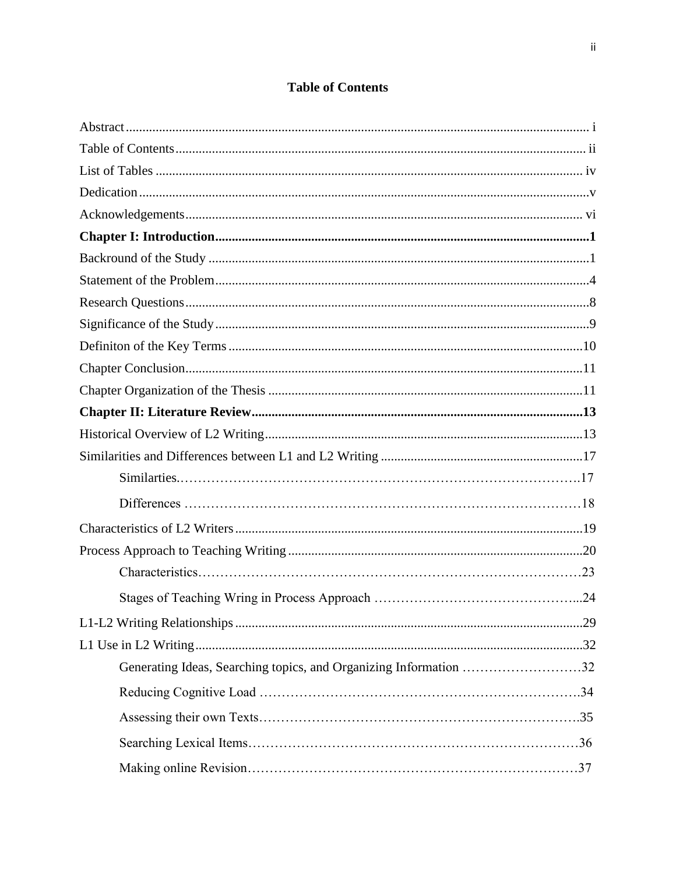# **Table of Contents**

| Generating Ideas, Searching topics, and Organizing Information 32 |  |
|-------------------------------------------------------------------|--|
|                                                                   |  |
|                                                                   |  |
|                                                                   |  |
|                                                                   |  |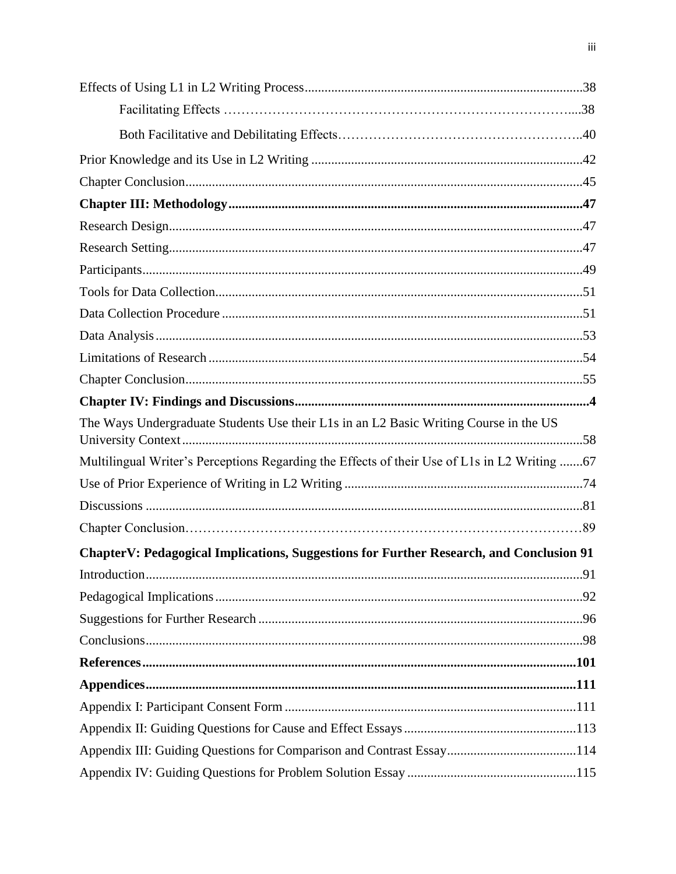| The Ways Undergraduate Students Use their L1s in an L2 Basic Writing Course in the US        |  |
|----------------------------------------------------------------------------------------------|--|
| Multilingual Writer's Perceptions Regarding the Effects of their Use of L1s in L2 Writing 67 |  |
|                                                                                              |  |
|                                                                                              |  |
|                                                                                              |  |
| ChapterV: Pedagogical Implications, Suggestions for Further Research, and Conclusion 91      |  |
|                                                                                              |  |
|                                                                                              |  |
|                                                                                              |  |
|                                                                                              |  |
|                                                                                              |  |
|                                                                                              |  |
|                                                                                              |  |
|                                                                                              |  |
|                                                                                              |  |
|                                                                                              |  |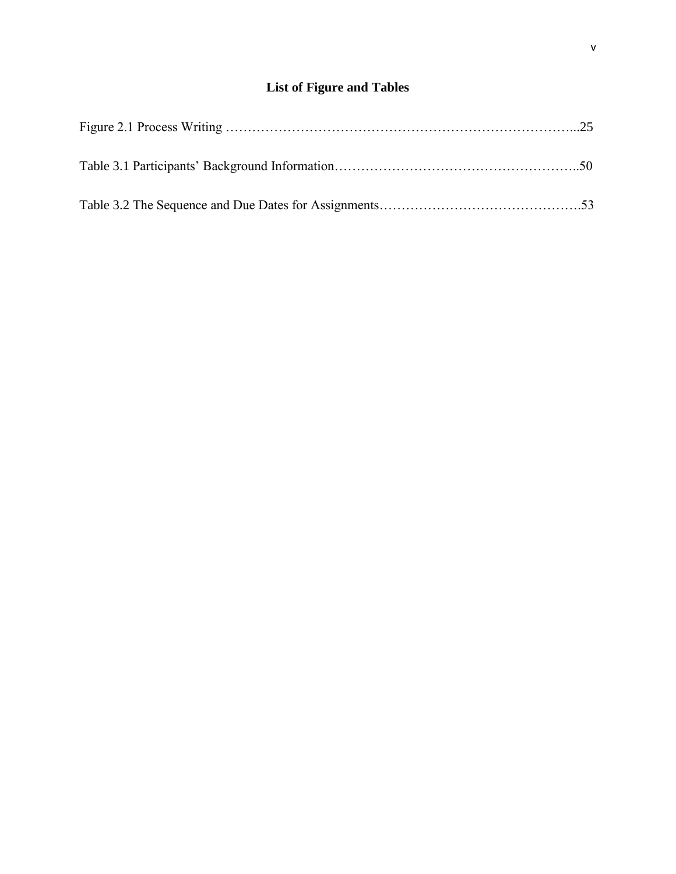# **List of Figure and Tables**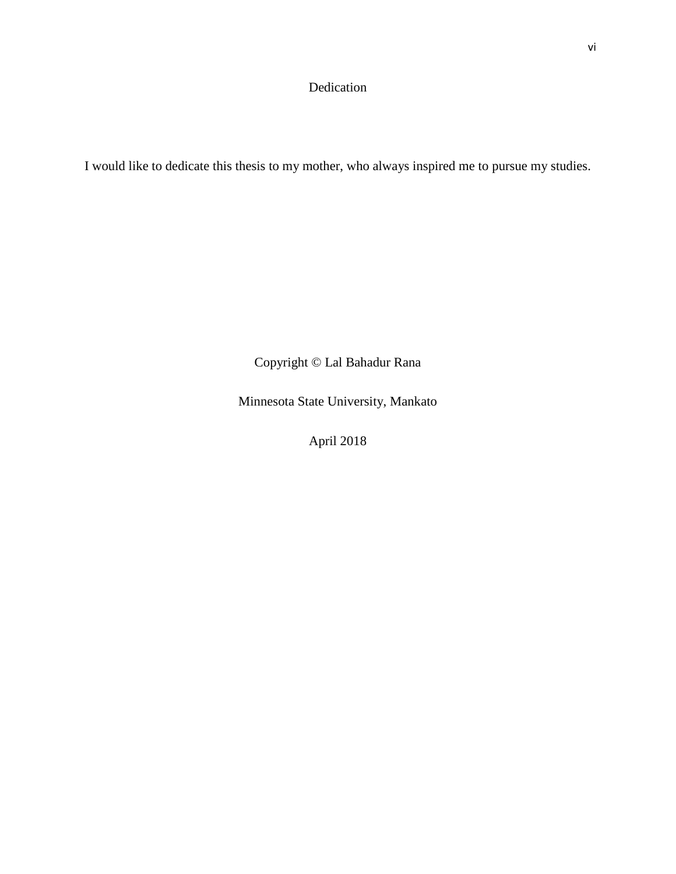# Dedication

I would like to dedicate this thesis to my mother, who always inspired me to pursue my studies.

Copyright © Lal Bahadur Rana

Minnesota State University, Mankato

April 2018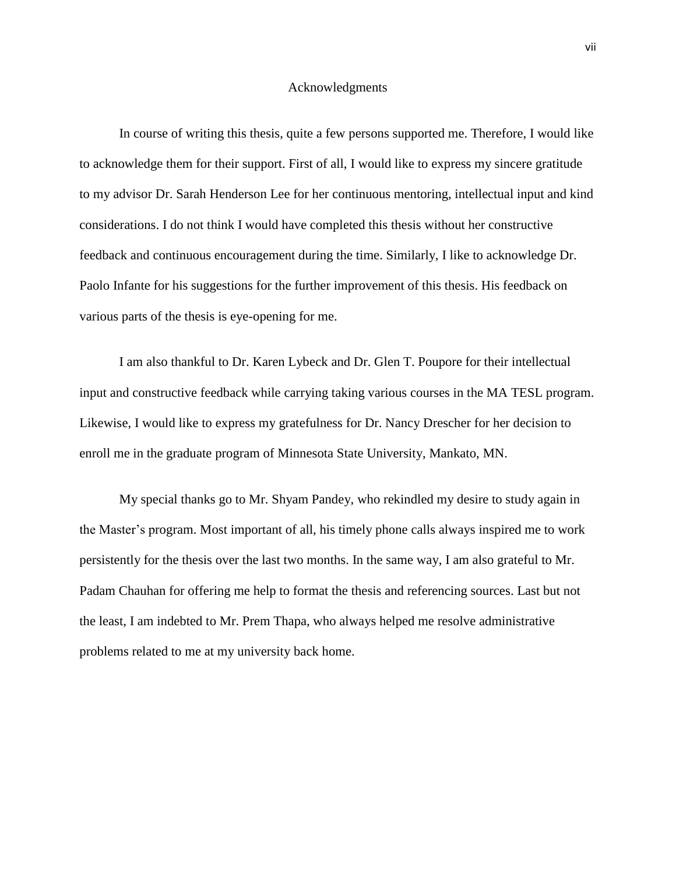#### Acknowledgments

In course of writing this thesis, quite a few persons supported me. Therefore, I would like to acknowledge them for their support. First of all, I would like to express my sincere gratitude to my advisor Dr. Sarah Henderson Lee for her continuous mentoring, intellectual input and kind considerations. I do not think I would have completed this thesis without her constructive feedback and continuous encouragement during the time. Similarly, I like to acknowledge Dr. Paolo Infante for his suggestions for the further improvement of this thesis. His feedback on various parts of the thesis is eye-opening for me.

I am also thankful to Dr. Karen Lybeck and Dr. Glen T. Poupore for their intellectual input and constructive feedback while carrying taking various courses in the MA TESL program. Likewise, I would like to express my gratefulness for Dr. Nancy Drescher for her decision to enroll me in the graduate program of Minnesota State University, Mankato, MN.

My special thanks go to Mr. Shyam Pandey, who rekindled my desire to study again in the Master's program. Most important of all, his timely phone calls always inspired me to work persistently for the thesis over the last two months. In the same way, I am also grateful to Mr. Padam Chauhan for offering me help to format the thesis and referencing sources. Last but not the least, I am indebted to Mr. Prem Thapa, who always helped me resolve administrative problems related to me at my university back home.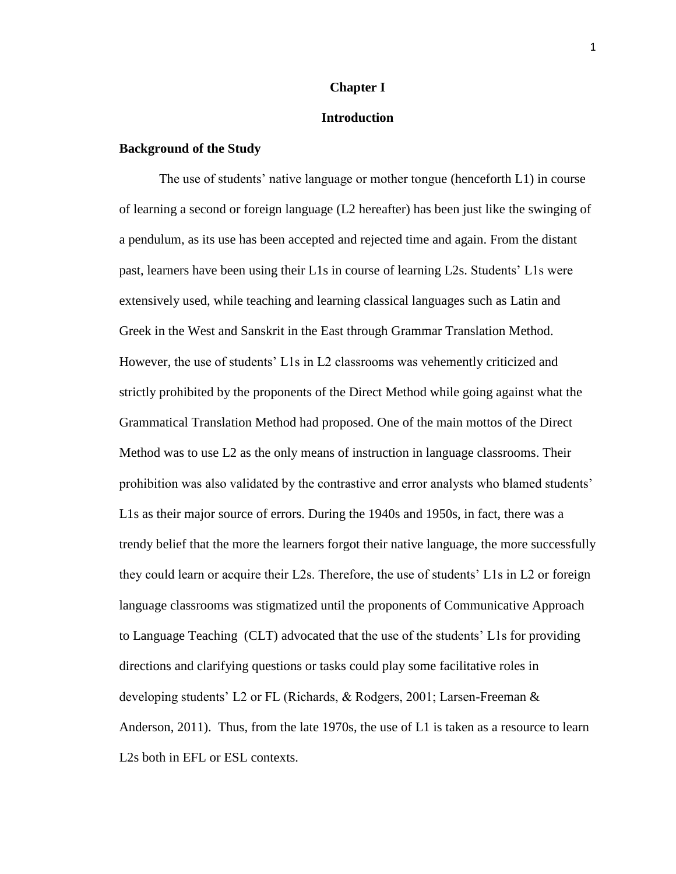### **Chapter I**

### **Introduction**

# **Background of the Study**

The use of students' native language or mother tongue (henceforth L1) in course of learning a second or foreign language (L2 hereafter) has been just like the swinging of a pendulum, as its use has been accepted and rejected time and again. From the distant past, learners have been using their L1s in course of learning L2s. Students' L1s were extensively used, while teaching and learning classical languages such as Latin and Greek in the West and Sanskrit in the East through Grammar Translation Method. However, the use of students' L1s in L2 classrooms was vehemently criticized and strictly prohibited by the proponents of the Direct Method while going against what the Grammatical Translation Method had proposed. One of the main mottos of the Direct Method was to use L2 as the only means of instruction in language classrooms. Their prohibition was also validated by the contrastive and error analysts who blamed students' L1s as their major source of errors. During the 1940s and 1950s, in fact, there was a trendy belief that the more the learners forgot their native language, the more successfully they could learn or acquire their L2s. Therefore, the use of students' L1s in L2 or foreign language classrooms was stigmatized until the proponents of Communicative Approach to Language Teaching (CLT) advocated that the use of the students' L1s for providing directions and clarifying questions or tasks could play some facilitative roles in developing students' L2 or FL (Richards, & Rodgers, 2001; Larsen-Freeman & Anderson, 2011). Thus, from the late 1970s, the use of L1 is taken as a resource to learn L2s both in EFL or ESL contexts.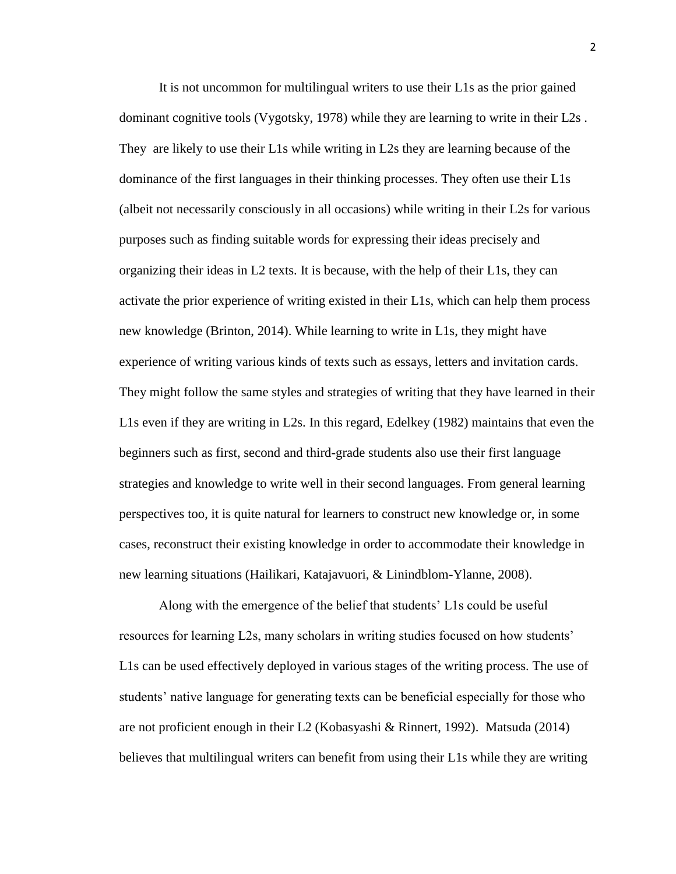It is not uncommon for multilingual writers to use their L1s as the prior gained dominant cognitive tools (Vygotsky, 1978) while they are learning to write in their L2s . They are likely to use their L1s while writing in L2s they are learning because of the dominance of the first languages in their thinking processes. They often use their L1s (albeit not necessarily consciously in all occasions) while writing in their L2s for various purposes such as finding suitable words for expressing their ideas precisely and organizing their ideas in L2 texts. It is because, with the help of their L1s, they can activate the prior experience of writing existed in their L1s, which can help them process new knowledge (Brinton, 2014). While learning to write in L1s, they might have experience of writing various kinds of texts such as essays, letters and invitation cards. They might follow the same styles and strategies of writing that they have learned in their L1s even if they are writing in L2s. In this regard, Edelkey (1982) maintains that even the beginners such as first, second and third-grade students also use their first language strategies and knowledge to write well in their second languages. From general learning perspectives too, it is quite natural for learners to construct new knowledge or, in some cases, reconstruct their existing knowledge in order to accommodate their knowledge in new learning situations (Hailikari, Katajavuori, & Linindblom-Ylanne, 2008).

Along with the emergence of the belief that students' L1s could be useful resources for learning L2s, many scholars in writing studies focused on how students' L1s can be used effectively deployed in various stages of the writing process. The use of students' native language for generating texts can be beneficial especially for those who are not proficient enough in their L2 (Kobasyashi & Rinnert, 1992). Matsuda (2014) believes that multilingual writers can benefit from using their L1s while they are writing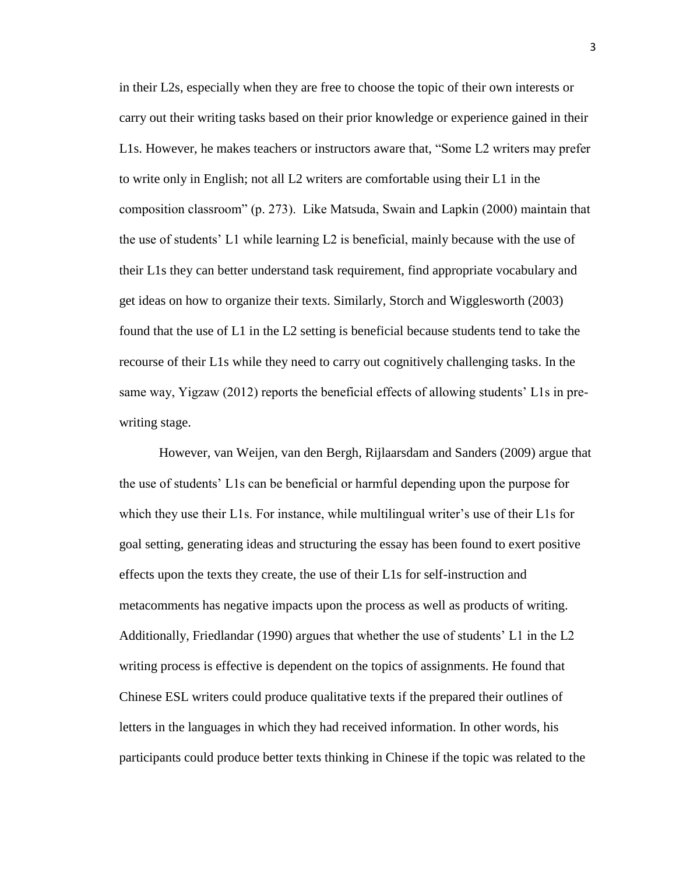in their L2s, especially when they are free to choose the topic of their own interests or carry out their writing tasks based on their prior knowledge or experience gained in their L1s. However, he makes teachers or instructors aware that, "Some L2 writers may prefer to write only in English; not all L2 writers are comfortable using their L1 in the composition classroom" (p. 273). Like Matsuda, Swain and Lapkin (2000) maintain that the use of students' L1 while learning L2 is beneficial, mainly because with the use of their L1s they can better understand task requirement, find appropriate vocabulary and get ideas on how to organize their texts. Similarly, Storch and Wigglesworth (2003) found that the use of L1 in the L2 setting is beneficial because students tend to take the recourse of their L1s while they need to carry out cognitively challenging tasks. In the same way, Yigzaw (2012) reports the beneficial effects of allowing students' L1s in prewriting stage.

However, van Weijen, van den Bergh, Rijlaarsdam and Sanders (2009) argue that the use of students' L1s can be beneficial or harmful depending upon the purpose for which they use their L1s. For instance, while multilingual writer's use of their L1s for goal setting, generating ideas and structuring the essay has been found to exert positive effects upon the texts they create, the use of their L1s for self-instruction and metacomments has negative impacts upon the process as well as products of writing. Additionally, Friedlandar (1990) argues that whether the use of students' L1 in the L2 writing process is effective is dependent on the topics of assignments. He found that Chinese ESL writers could produce qualitative texts if the prepared their outlines of letters in the languages in which they had received information. In other words, his participants could produce better texts thinking in Chinese if the topic was related to the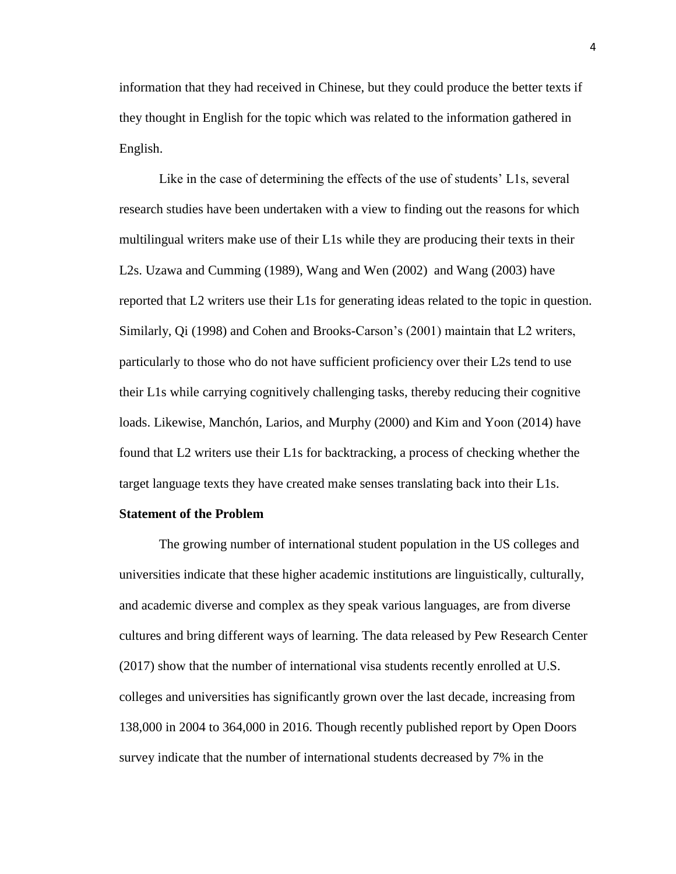information that they had received in Chinese, but they could produce the better texts if they thought in English for the topic which was related to the information gathered in English.

Like in the case of determining the effects of the use of students' L1s, several research studies have been undertaken with a view to finding out the reasons for which multilingual writers make use of their L1s while they are producing their texts in their L2s. Uzawa and Cumming (1989), Wang and Wen (2002) and Wang (2003) have reported that L2 writers use their L1s for generating ideas related to the topic in question. Similarly, Qi (1998) and Cohen and Brooks-Carson's (2001) maintain that L2 writers, particularly to those who do not have sufficient proficiency over their L2s tend to use their L1s while carrying cognitively challenging tasks, thereby reducing their cognitive loads. Likewise, Manchón, Larios, and Murphy (2000) and Kim and Yoon (2014) have found that L2 writers use their L1s for backtracking, a process of checking whether the target language texts they have created make senses translating back into their L1s.

#### **Statement of the Problem**

The growing number of international student population in the US colleges and universities indicate that these higher academic institutions are linguistically, culturally, and academic diverse and complex as they speak various languages, are from diverse cultures and bring different ways of learning. The data released by Pew Research Center (2017) show that the number of international visa students recently enrolled at U.S. colleges and universities has significantly grown over the last decade, increasing from 138,000 in 2004 to 364,000 in 2016. Though recently published report by Open Doors survey indicate that the number of international students decreased by 7% in the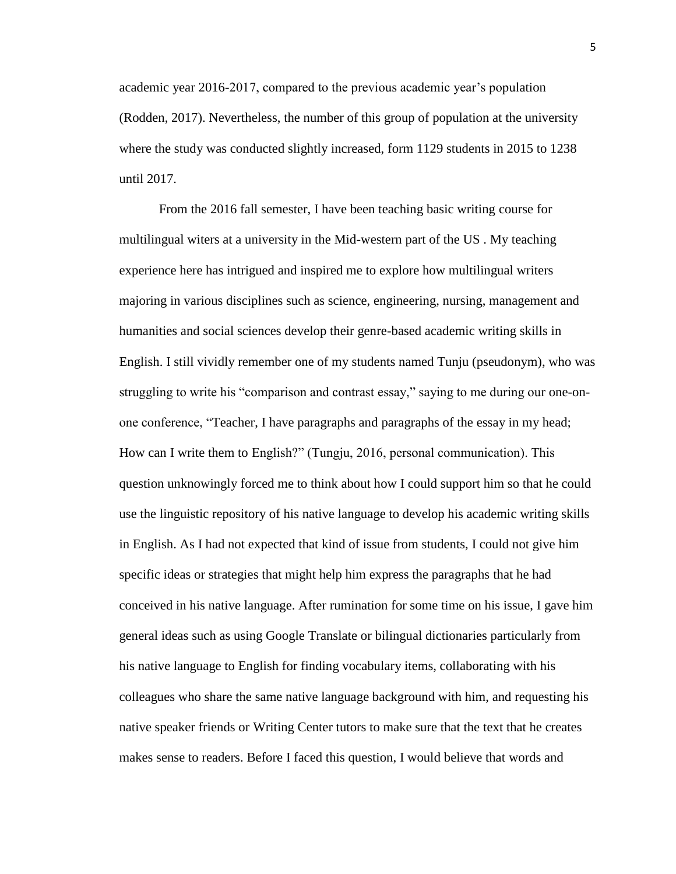academic year 2016-2017, compared to the previous academic year's population (Rodden, 2017). Nevertheless, the number of this group of population at the university where the study was conducted slightly increased, form 1129 students in 2015 to 1238 until 2017.

From the 2016 fall semester, I have been teaching basic writing course for multilingual witers at a university in the Mid-western part of the US . My teaching experience here has intrigued and inspired me to explore how multilingual writers majoring in various disciplines such as science, engineering, nursing, management and humanities and social sciences develop their genre-based academic writing skills in English. I still vividly remember one of my students named Tunju (pseudonym), who was struggling to write his "comparison and contrast essay," saying to me during our one-onone conference, "Teacher, I have paragraphs and paragraphs of the essay in my head; How can I write them to English?" (Tungju, 2016, personal communication). This question unknowingly forced me to think about how I could support him so that he could use the linguistic repository of his native language to develop his academic writing skills in English. As I had not expected that kind of issue from students, I could not give him specific ideas or strategies that might help him express the paragraphs that he had conceived in his native language. After rumination for some time on his issue, I gave him general ideas such as using Google Translate or bilingual dictionaries particularly from his native language to English for finding vocabulary items, collaborating with his colleagues who share the same native language background with him, and requesting his native speaker friends or Writing Center tutors to make sure that the text that he creates makes sense to readers. Before I faced this question, I would believe that words and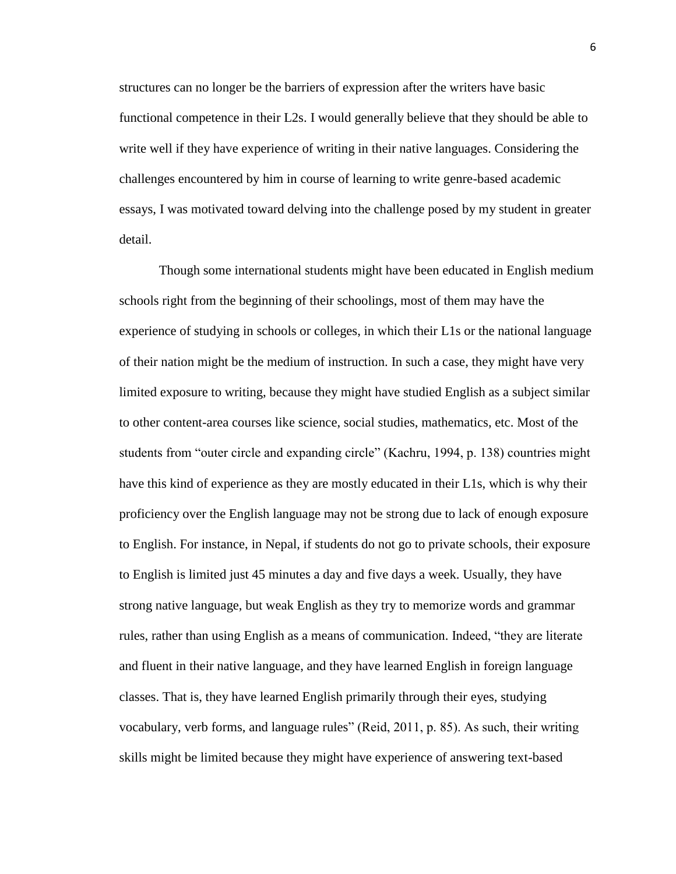structures can no longer be the barriers of expression after the writers have basic functional competence in their L2s. I would generally believe that they should be able to write well if they have experience of writing in their native languages. Considering the challenges encountered by him in course of learning to write genre-based academic essays, I was motivated toward delving into the challenge posed by my student in greater detail.

Though some international students might have been educated in English medium schools right from the beginning of their schoolings, most of them may have the experience of studying in schools or colleges, in which their L1s or the national language of their nation might be the medium of instruction. In such a case, they might have very limited exposure to writing, because they might have studied English as a subject similar to other content-area courses like science, social studies, mathematics, etc. Most of the students from "outer circle and expanding circle" (Kachru, 1994, p. 138) countries might have this kind of experience as they are mostly educated in their L1s, which is why their proficiency over the English language may not be strong due to lack of enough exposure to English. For instance, in Nepal, if students do not go to private schools, their exposure to English is limited just 45 minutes a day and five days a week. Usually, they have strong native language, but weak English as they try to memorize words and grammar rules, rather than using English as a means of communication. Indeed, "they are literate and fluent in their native language, and they have learned English in foreign language classes. That is, they have learned English primarily through their eyes, studying vocabulary, verb forms, and language rules" (Reid, 2011, p. 85). As such, their writing skills might be limited because they might have experience of answering text-based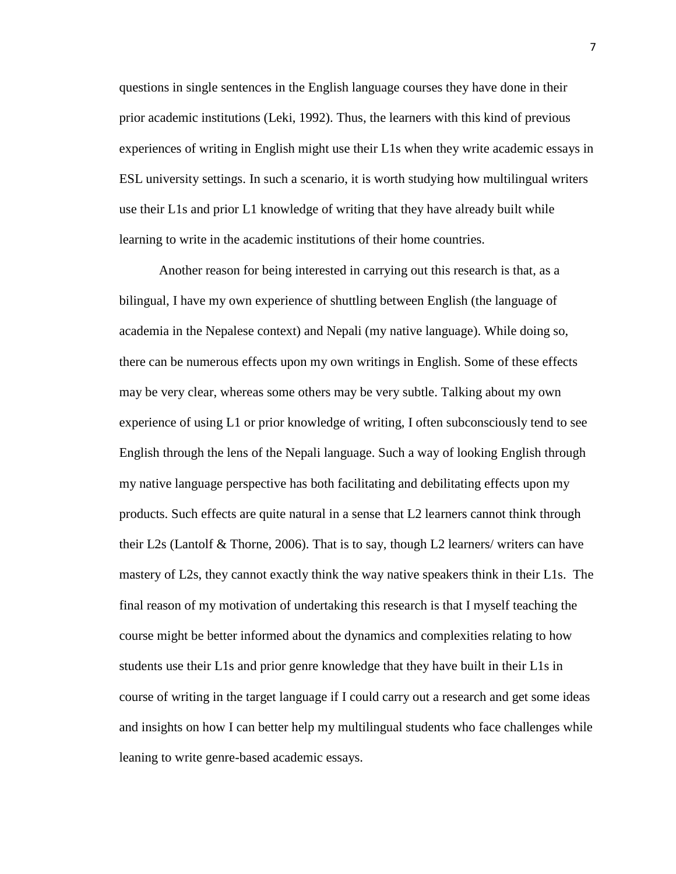questions in single sentences in the English language courses they have done in their prior academic institutions (Leki, 1992). Thus, the learners with this kind of previous experiences of writing in English might use their L1s when they write academic essays in ESL university settings. In such a scenario, it is worth studying how multilingual writers use their L1s and prior L1 knowledge of writing that they have already built while learning to write in the academic institutions of their home countries.

Another reason for being interested in carrying out this research is that, as a bilingual, I have my own experience of shuttling between English (the language of academia in the Nepalese context) and Nepali (my native language). While doing so, there can be numerous effects upon my own writings in English. Some of these effects may be very clear, whereas some others may be very subtle. Talking about my own experience of using L1 or prior knowledge of writing, I often subconsciously tend to see English through the lens of the Nepali language. Such a way of looking English through my native language perspective has both facilitating and debilitating effects upon my products. Such effects are quite natural in a sense that L2 learners cannot think through their L2s (Lantolf & Thorne, 2006). That is to say, though L2 learners/ writers can have mastery of L2s, they cannot exactly think the way native speakers think in their L1s. The final reason of my motivation of undertaking this research is that I myself teaching the course might be better informed about the dynamics and complexities relating to how students use their L1s and prior genre knowledge that they have built in their L1s in course of writing in the target language if I could carry out a research and get some ideas and insights on how I can better help my multilingual students who face challenges while leaning to write genre-based academic essays.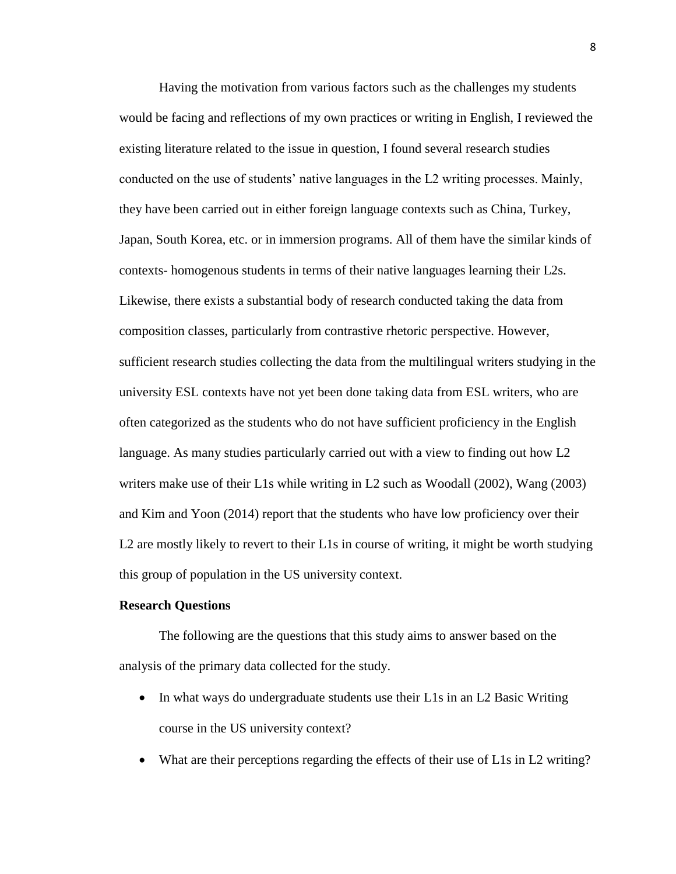Having the motivation from various factors such as the challenges my students would be facing and reflections of my own practices or writing in English, I reviewed the existing literature related to the issue in question, I found several research studies conducted on the use of students' native languages in the L2 writing processes. Mainly, they have been carried out in either foreign language contexts such as China, Turkey, Japan, South Korea, etc. or in immersion programs. All of them have the similar kinds of contexts- homogenous students in terms of their native languages learning their L2s. Likewise, there exists a substantial body of research conducted taking the data from composition classes, particularly from contrastive rhetoric perspective. However, sufficient research studies collecting the data from the multilingual writers studying in the university ESL contexts have not yet been done taking data from ESL writers, who are often categorized as the students who do not have sufficient proficiency in the English language. As many studies particularly carried out with a view to finding out how L2 writers make use of their L1s while writing in L2 such as Woodall (2002), Wang (2003) and Kim and Yoon (2014) report that the students who have low proficiency over their L2 are mostly likely to revert to their L1s in course of writing, it might be worth studying this group of population in the US university context.

#### **Research Questions**

The following are the questions that this study aims to answer based on the analysis of the primary data collected for the study.

- In what ways do undergraduate students use their L1s in an L2 Basic Writing course in the US university context?
- What are their perceptions regarding the effects of their use of L1s in L2 writing?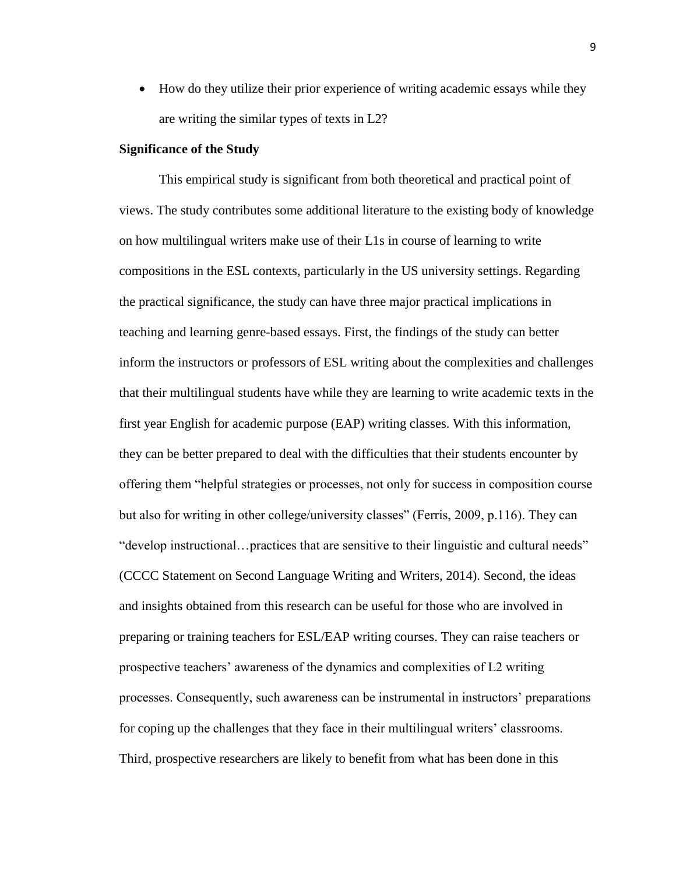• How do they utilize their prior experience of writing academic essays while they are writing the similar types of texts in L2?

### **Significance of the Study**

This empirical study is significant from both theoretical and practical point of views. The study contributes some additional literature to the existing body of knowledge on how multilingual writers make use of their L1s in course of learning to write compositions in the ESL contexts, particularly in the US university settings. Regarding the practical significance, the study can have three major practical implications in teaching and learning genre-based essays. First, the findings of the study can better inform the instructors or professors of ESL writing about the complexities and challenges that their multilingual students have while they are learning to write academic texts in the first year English for academic purpose (EAP) writing classes. With this information, they can be better prepared to deal with the difficulties that their students encounter by offering them "helpful strategies or processes, not only for success in composition course but also for writing in other college/university classes" (Ferris, 2009, p.116). They can "develop instructional…practices that are sensitive to their linguistic and cultural needs" (CCCC Statement on Second Language Writing and Writers, 2014). Second, the ideas and insights obtained from this research can be useful for those who are involved in preparing or training teachers for ESL/EAP writing courses. They can raise teachers or prospective teachers' awareness of the dynamics and complexities of L2 writing processes. Consequently, such awareness can be instrumental in instructors' preparations for coping up the challenges that they face in their multilingual writers' classrooms. Third, prospective researchers are likely to benefit from what has been done in this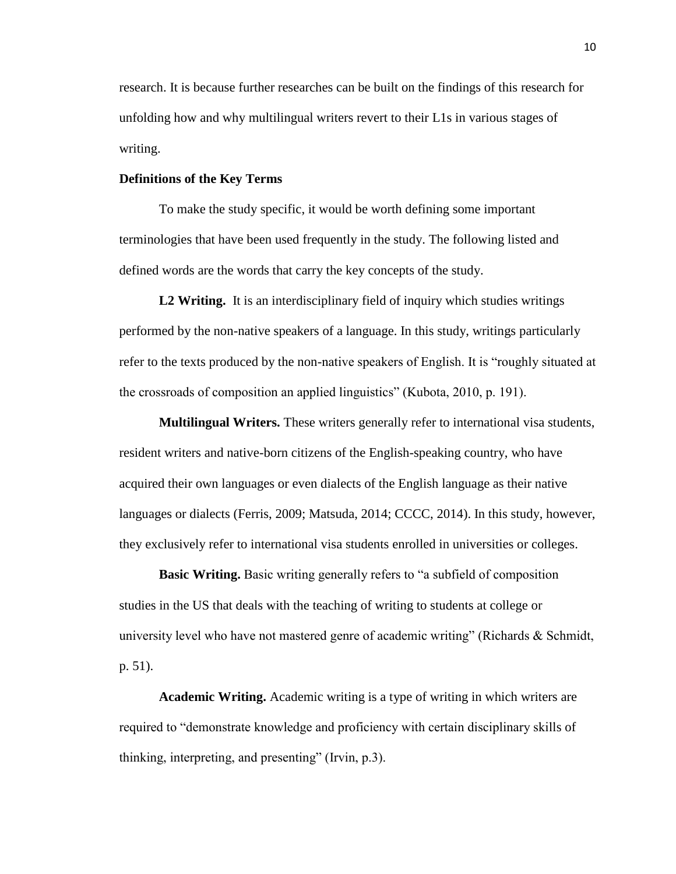research. It is because further researches can be built on the findings of this research for unfolding how and why multilingual writers revert to their L1s in various stages of writing.

# **Definitions of the Key Terms**

To make the study specific, it would be worth defining some important terminologies that have been used frequently in the study. The following listed and defined words are the words that carry the key concepts of the study.

L<sub>2</sub> Writing. It is an interdisciplinary field of inquiry which studies writings performed by the non-native speakers of a language. In this study, writings particularly refer to the texts produced by the non-native speakers of English. It is "roughly situated at the crossroads of composition an applied linguistics" (Kubota, 2010, p. 191).

**Multilingual Writers.** These writers generally refer to international visa students, resident writers and native-born citizens of the English-speaking country, who have acquired their own languages or even dialects of the English language as their native languages or dialects (Ferris, 2009; Matsuda, 2014; CCCC, 2014). In this study, however, they exclusively refer to international visa students enrolled in universities or colleges.

**Basic Writing.** Basic writing generally refers to "a subfield of composition studies in the US that deals with the teaching of writing to students at college or university level who have not mastered genre of academic writing" (Richards & Schmidt, p. 51).

**Academic Writing.** Academic writing is a type of writing in which writers are required to "demonstrate knowledge and proficiency with certain disciplinary skills of thinking, interpreting, and presenting" (Irvin, p.3).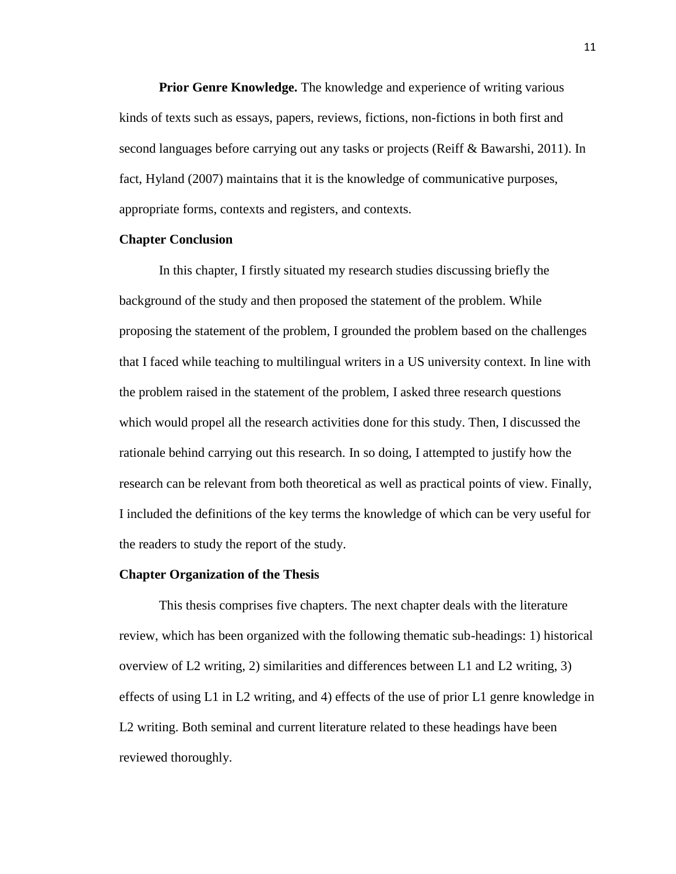**Prior Genre Knowledge.** The knowledge and experience of writing various kinds of texts such as essays, papers, reviews, fictions, non-fictions in both first and second languages before carrying out any tasks or projects (Reiff & Bawarshi, 2011). In fact, Hyland (2007) maintains that it is the knowledge of communicative purposes, appropriate forms, contexts and registers, and contexts.

# **Chapter Conclusion**

In this chapter, I firstly situated my research studies discussing briefly the background of the study and then proposed the statement of the problem. While proposing the statement of the problem, I grounded the problem based on the challenges that I faced while teaching to multilingual writers in a US university context. In line with the problem raised in the statement of the problem, I asked three research questions which would propel all the research activities done for this study. Then, I discussed the rationale behind carrying out this research. In so doing, I attempted to justify how the research can be relevant from both theoretical as well as practical points of view. Finally, I included the definitions of the key terms the knowledge of which can be very useful for the readers to study the report of the study.

#### **Chapter Organization of the Thesis**

This thesis comprises five chapters. The next chapter deals with the literature review, which has been organized with the following thematic sub-headings: 1) historical overview of L2 writing, 2) similarities and differences between L1 and L2 writing, 3) effects of using L1 in L2 writing, and 4) effects of the use of prior L1 genre knowledge in L2 writing. Both seminal and current literature related to these headings have been reviewed thoroughly.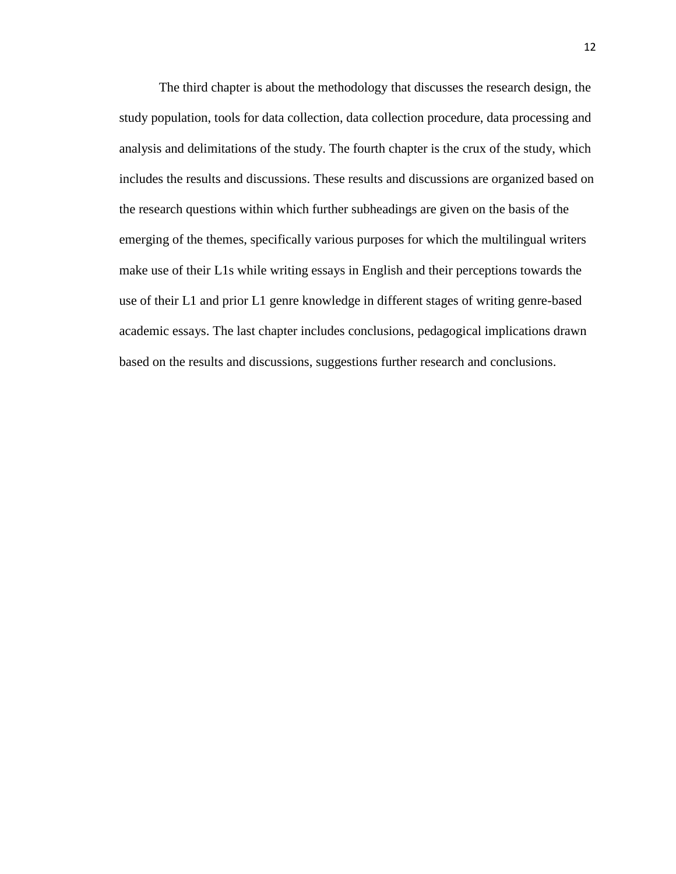The third chapter is about the methodology that discusses the research design, the study population, tools for data collection, data collection procedure, data processing and analysis and delimitations of the study. The fourth chapter is the crux of the study, which includes the results and discussions. These results and discussions are organized based on the research questions within which further subheadings are given on the basis of the emerging of the themes, specifically various purposes for which the multilingual writers make use of their L1s while writing essays in English and their perceptions towards the use of their L1 and prior L1 genre knowledge in different stages of writing genre-based academic essays. The last chapter includes conclusions, pedagogical implications drawn based on the results and discussions, suggestions further research and conclusions.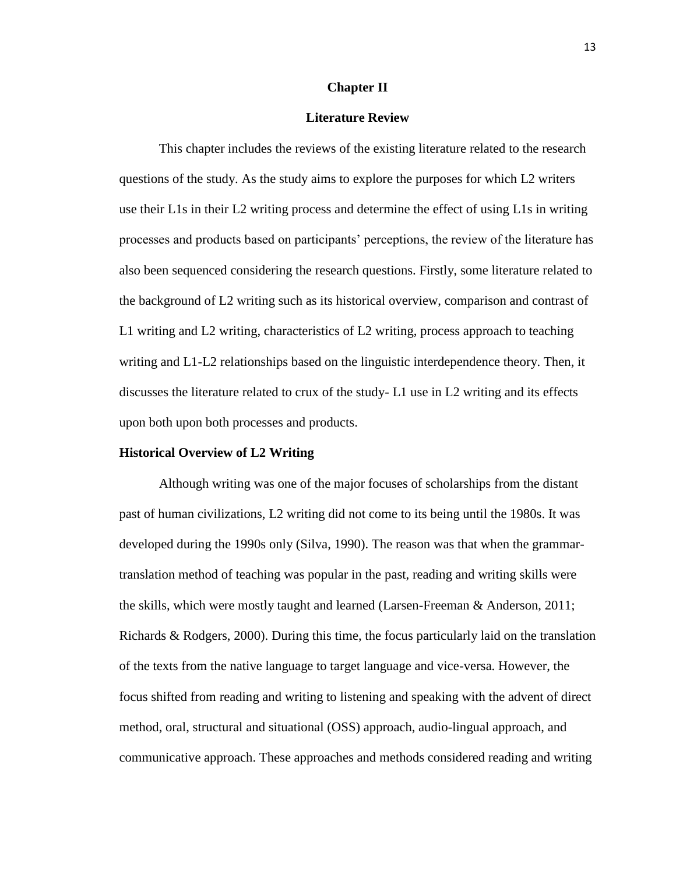#### **Chapter II**

#### **Literature Review**

This chapter includes the reviews of the existing literature related to the research questions of the study. As the study aims to explore the purposes for which L2 writers use their L1s in their L2 writing process and determine the effect of using L1s in writing processes and products based on participants' perceptions, the review of the literature has also been sequenced considering the research questions. Firstly, some literature related to the background of L2 writing such as its historical overview, comparison and contrast of L1 writing and L2 writing, characteristics of L2 writing, process approach to teaching writing and L1-L2 relationships based on the linguistic interdependence theory. Then, it discusses the literature related to crux of the study- L1 use in L2 writing and its effects upon both upon both processes and products.

#### **Historical Overview of L2 Writing**

Although writing was one of the major focuses of scholarships from the distant past of human civilizations, L2 writing did not come to its being until the 1980s. It was developed during the 1990s only (Silva, 1990). The reason was that when the grammartranslation method of teaching was popular in the past, reading and writing skills were the skills, which were mostly taught and learned (Larsen-Freeman & Anderson, 2011; Richards & Rodgers, 2000). During this time, the focus particularly laid on the translation of the texts from the native language to target language and vice-versa. However, the focus shifted from reading and writing to listening and speaking with the advent of direct method, oral, structural and situational (OSS) approach, audio-lingual approach, and communicative approach. These approaches and methods considered reading and writing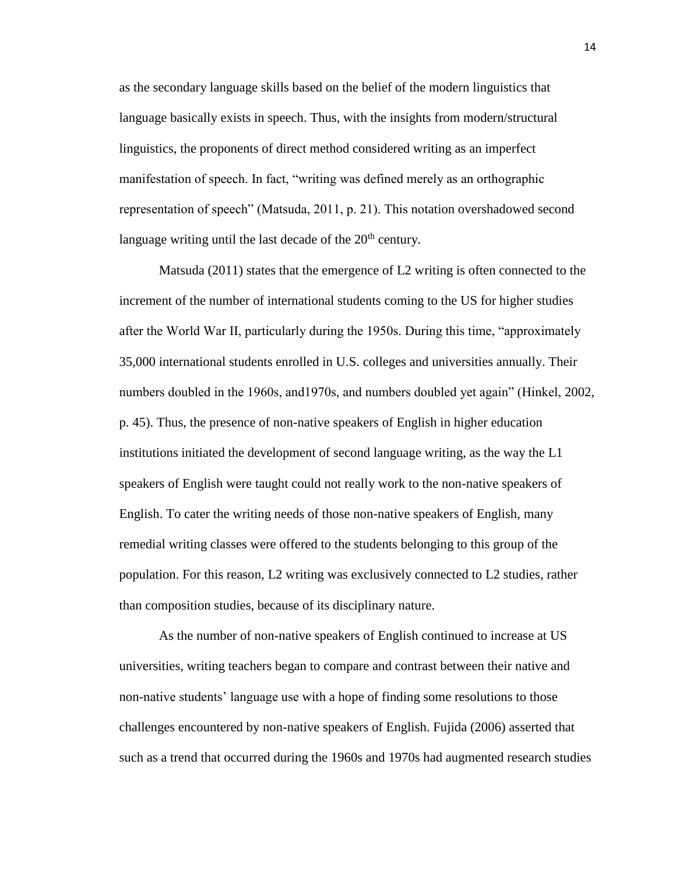as the secondary language skills based on the belief of the modern linguistics that language basically exists in speech. Thus, with the insights from modern/structural linguistics, the proponents of direct method considered writing as an imperfect manifestation of speech. In fact, "writing was defined merely as an orthographic representation of speech" (Matsuda, 2011, p. 21). This notation overshadowed second language writing until the last decade of the  $20<sup>th</sup>$  century.

Matsuda (2011) states that the emergence of L2 writing is often connected to the increment of the number of international students coming to the US for higher studies after the World War II, particularly during the 1950s. During this time, "approximately 35,000 international students enrolled in U.S. colleges and universities annually. Their numbers doubled in the 1960s, and1970s, and numbers doubled yet again" (Hinkel, 2002, p. 45). Thus, the presence of non-native speakers of English in higher education institutions initiated the development of second language writing, as the way the L1 speakers of English were taught could not really work to the non-native speakers of English. To cater the writing needs of those non-native speakers of English, many remedial writing classes were offered to the students belonging to this group of the population. For this reason, L2 writing was exclusively connected to L2 studies, rather than composition studies, because of its disciplinary nature.

As the number of non-native speakers of English continued to increase at US universities, writing teachers began to compare and contrast between their native and non-native students' language use with a hope of finding some resolutions to those challenges encountered by non-native speakers of English. Fujida (2006) asserted that such as a trend that occurred during the 1960s and 1970s had augmented research studies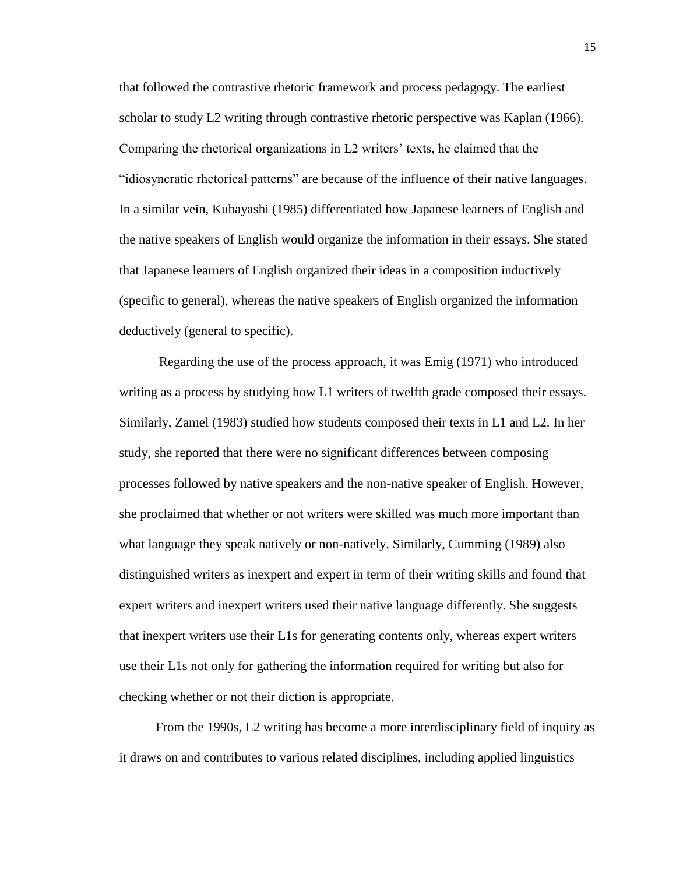that followed the contrastive rhetoric framework and process pedagogy. The earliest scholar to study L2 writing through contrastive rhetoric perspective was Kaplan (1966). Comparing the rhetorical organizations in L2 writers' texts, he claimed that the "idiosyncratic rhetorical patterns" are because of the influence of their native languages. In a similar vein, Kubayashi (1985) differentiated how Japanese learners of English and the native speakers of English would organize the information in their essays. She stated that Japanese learners of English organized their ideas in a composition inductively (specific to general), whereas the native speakers of English organized the information deductively (general to specific).

Regarding the use of the process approach, it was Emig (1971) who introduced writing as a process by studying how L1 writers of twelfth grade composed their essays. Similarly, Zamel (1983) studied how students composed their texts in L1 and L2. In her study, she reported that there were no significant differences between composing processes followed by native speakers and the non-native speaker of English. However, she proclaimed that whether or not writers were skilled was much more important than what language they speak natively or non-natively. Similarly, Cumming (1989) also distinguished writers as inexpert and expert in term of their writing skills and found that expert writers and inexpert writers used their native language differently. She suggests that inexpert writers use their L1s for generating contents only, whereas expert writers use their L1s not only for gathering the information required for writing but also for checking whether or not their diction is appropriate.

 From the 1990s, L2 writing has become a more interdisciplinary field of inquiry as it draws on and contributes to various related disciplines, including applied linguistics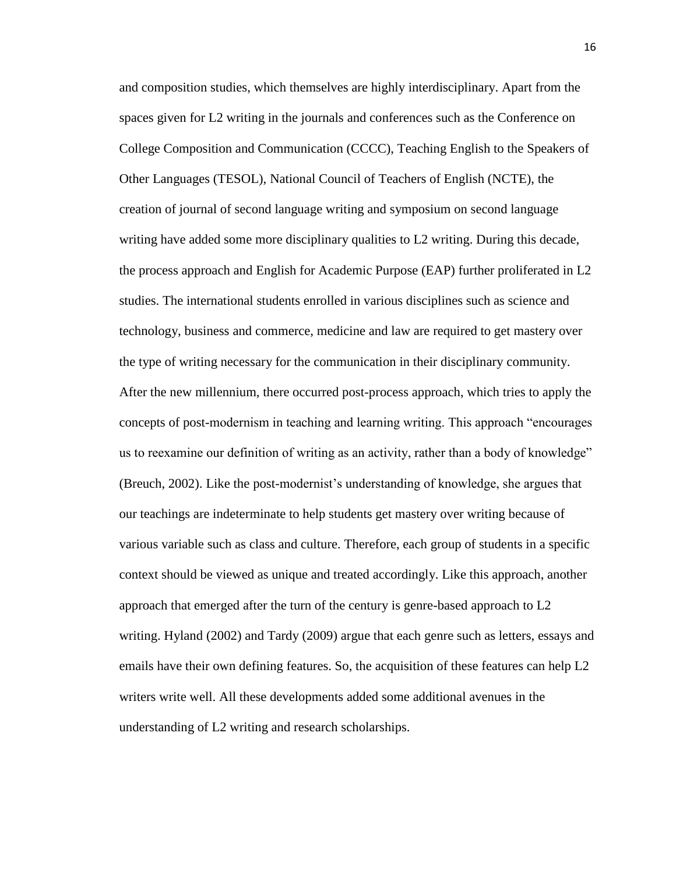and composition studies, which themselves are highly interdisciplinary. Apart from the spaces given for L2 writing in the journals and conferences such as the Conference on College Composition and Communication (CCCC), Teaching English to the Speakers of Other Languages (TESOL), National Council of Teachers of English (NCTE), the creation of journal of second language writing and symposium on second language writing have added some more disciplinary qualities to L2 writing. During this decade, the process approach and English for Academic Purpose (EAP) further proliferated in L2 studies. The international students enrolled in various disciplines such as science and technology, business and commerce, medicine and law are required to get mastery over the type of writing necessary for the communication in their disciplinary community. After the new millennium, there occurred post-process approach, which tries to apply the concepts of post-modernism in teaching and learning writing. This approach "encourages us to reexamine our definition of writing as an activity, rather than a body of knowledge" (Breuch, 2002). Like the post-modernist's understanding of knowledge, she argues that our teachings are indeterminate to help students get mastery over writing because of various variable such as class and culture. Therefore, each group of students in a specific context should be viewed as unique and treated accordingly. Like this approach, another approach that emerged after the turn of the century is genre-based approach to L2 writing. Hyland (2002) and Tardy (2009) argue that each genre such as letters, essays and emails have their own defining features. So, the acquisition of these features can help L2 writers write well. All these developments added some additional avenues in the understanding of L2 writing and research scholarships.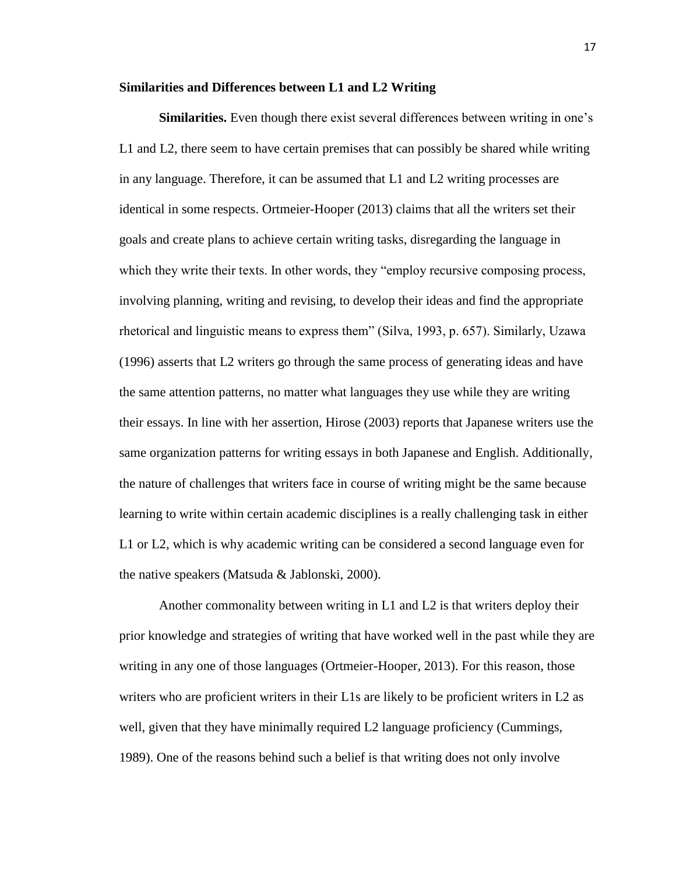#### **Similarities and Differences between L1 and L2 Writing**

**Similarities.** Even though there exist several differences between writing in one's L1 and L2, there seem to have certain premises that can possibly be shared while writing in any language. Therefore, it can be assumed that L1 and L2 writing processes are identical in some respects. Ortmeier-Hooper (2013) claims that all the writers set their goals and create plans to achieve certain writing tasks, disregarding the language in which they write their texts. In other words, they "employ recursive composing process, involving planning, writing and revising, to develop their ideas and find the appropriate rhetorical and linguistic means to express them" (Silva, 1993, p. 657). Similarly, Uzawa (1996) asserts that L2 writers go through the same process of generating ideas and have the same attention patterns, no matter what languages they use while they are writing their essays. In line with her assertion, Hirose (2003) reports that Japanese writers use the same organization patterns for writing essays in both Japanese and English. Additionally, the nature of challenges that writers face in course of writing might be the same because learning to write within certain academic disciplines is a really challenging task in either L1 or L2, which is why academic writing can be considered a second language even for the native speakers (Matsuda & Jablonski, 2000).

Another commonality between writing in L1 and L2 is that writers deploy their prior knowledge and strategies of writing that have worked well in the past while they are writing in any one of those languages (Ortmeier-Hooper, 2013). For this reason, those writers who are proficient writers in their L1s are likely to be proficient writers in L2 as well, given that they have minimally required L2 language proficiency (Cummings, 1989). One of the reasons behind such a belief is that writing does not only involve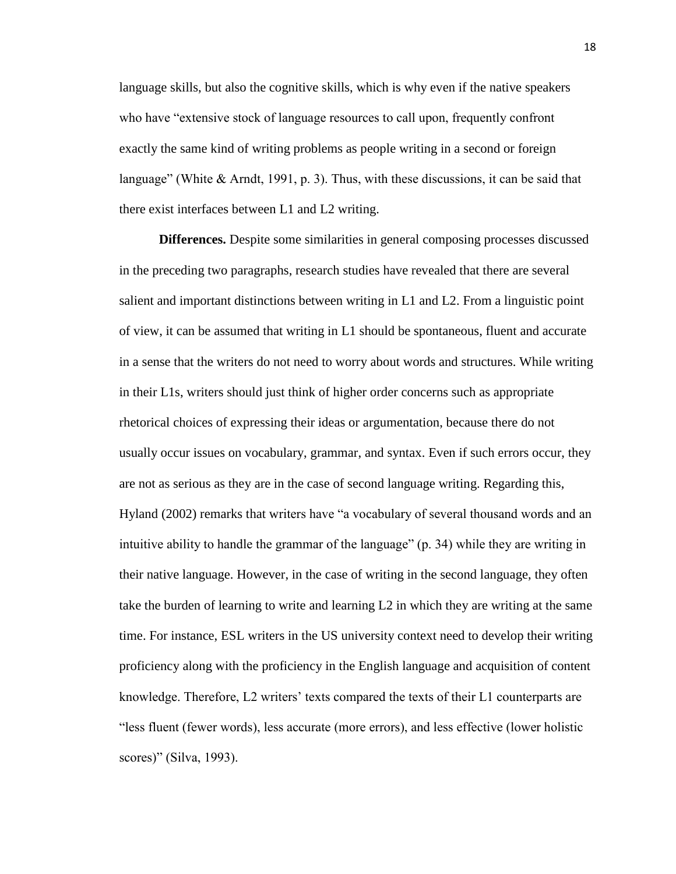language skills, but also the cognitive skills, which is why even if the native speakers who have "extensive stock of language resources to call upon, frequently confront exactly the same kind of writing problems as people writing in a second or foreign language" (White & Arndt, 1991, p. 3). Thus, with these discussions, it can be said that there exist interfaces between L1 and L2 writing.

 **Differences.** Despite some similarities in general composing processes discussed in the preceding two paragraphs, research studies have revealed that there are several salient and important distinctions between writing in L1 and L2. From a linguistic point of view, it can be assumed that writing in L1 should be spontaneous, fluent and accurate in a sense that the writers do not need to worry about words and structures. While writing in their L1s, writers should just think of higher order concerns such as appropriate rhetorical choices of expressing their ideas or argumentation, because there do not usually occur issues on vocabulary, grammar, and syntax. Even if such errors occur, they are not as serious as they are in the case of second language writing. Regarding this, Hyland (2002) remarks that writers have "a vocabulary of several thousand words and an intuitive ability to handle the grammar of the language" (p. 34) while they are writing in their native language. However, in the case of writing in the second language, they often take the burden of learning to write and learning L2 in which they are writing at the same time. For instance, ESL writers in the US university context need to develop their writing proficiency along with the proficiency in the English language and acquisition of content knowledge. Therefore, L2 writers' texts compared the texts of their L1 counterparts are "less fluent (fewer words), less accurate (more errors), and less effective (lower holistic scores)" (Silva, 1993).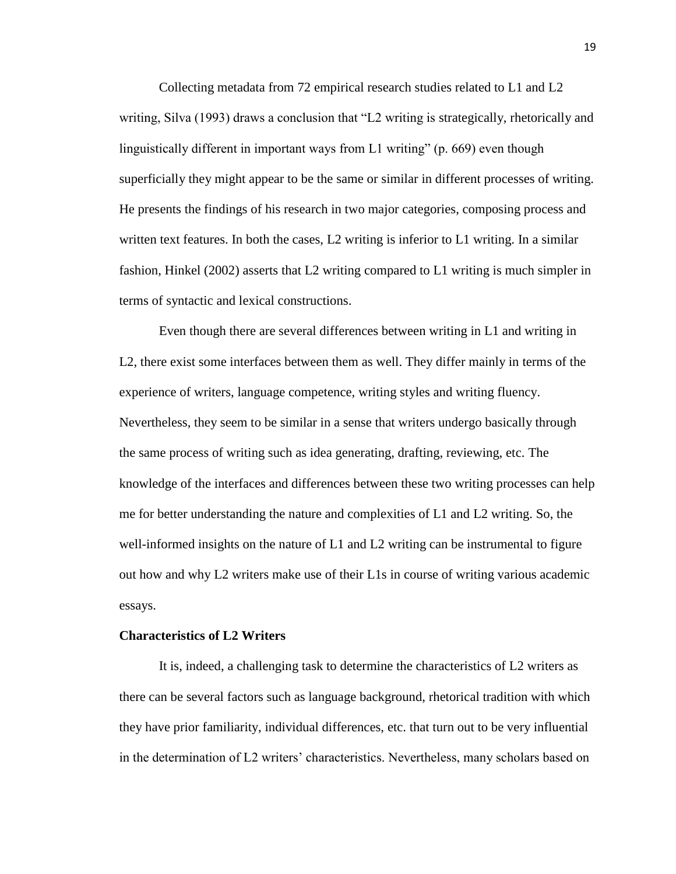Collecting metadata from 72 empirical research studies related to L1 and L2 writing, Silva (1993) draws a conclusion that "L2 writing is strategically, rhetorically and linguistically different in important ways from L1 writing" (p. 669) even though superficially they might appear to be the same or similar in different processes of writing. He presents the findings of his research in two major categories, composing process and written text features. In both the cases, L2 writing is inferior to L1 writing. In a similar fashion, Hinkel (2002) asserts that L2 writing compared to L1 writing is much simpler in terms of syntactic and lexical constructions.

Even though there are several differences between writing in L1 and writing in L2, there exist some interfaces between them as well. They differ mainly in terms of the experience of writers, language competence, writing styles and writing fluency. Nevertheless, they seem to be similar in a sense that writers undergo basically through the same process of writing such as idea generating, drafting, reviewing, etc. The knowledge of the interfaces and differences between these two writing processes can help me for better understanding the nature and complexities of L1 and L2 writing. So, the well-informed insights on the nature of L1 and L2 writing can be instrumental to figure out how and why L2 writers make use of their L1s in course of writing various academic essays.

#### **Characteristics of L2 Writers**

It is, indeed, a challenging task to determine the characteristics of L2 writers as there can be several factors such as language background, rhetorical tradition with which they have prior familiarity, individual differences, etc. that turn out to be very influential in the determination of L2 writers' characteristics. Nevertheless, many scholars based on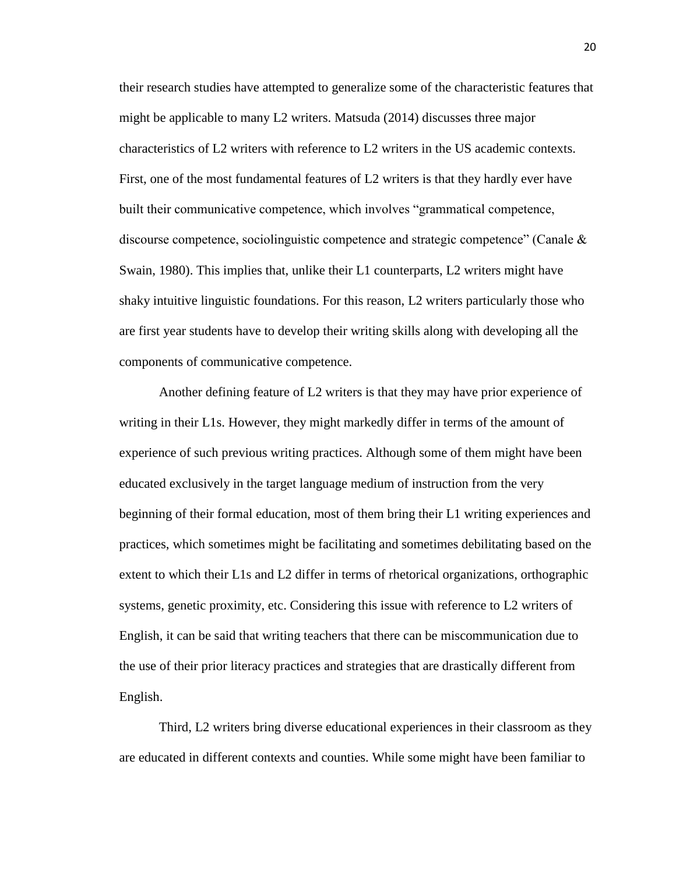their research studies have attempted to generalize some of the characteristic features that might be applicable to many L2 writers. Matsuda (2014) discusses three major characteristics of L2 writers with reference to L2 writers in the US academic contexts. First, one of the most fundamental features of L2 writers is that they hardly ever have built their communicative competence, which involves "grammatical competence, discourse competence, sociolinguistic competence and strategic competence" (Canale & Swain, 1980). This implies that, unlike their L1 counterparts, L2 writers might have shaky intuitive linguistic foundations. For this reason, L2 writers particularly those who are first year students have to develop their writing skills along with developing all the components of communicative competence.

 Another defining feature of L2 writers is that they may have prior experience of writing in their L1s. However, they might markedly differ in terms of the amount of experience of such previous writing practices. Although some of them might have been educated exclusively in the target language medium of instruction from the very beginning of their formal education, most of them bring their L1 writing experiences and practices, which sometimes might be facilitating and sometimes debilitating based on the extent to which their L1s and L2 differ in terms of rhetorical organizations, orthographic systems, genetic proximity, etc. Considering this issue with reference to L2 writers of English, it can be said that writing teachers that there can be miscommunication due to the use of their prior literacy practices and strategies that are drastically different from English.

 Third, L2 writers bring diverse educational experiences in their classroom as they are educated in different contexts and counties. While some might have been familiar to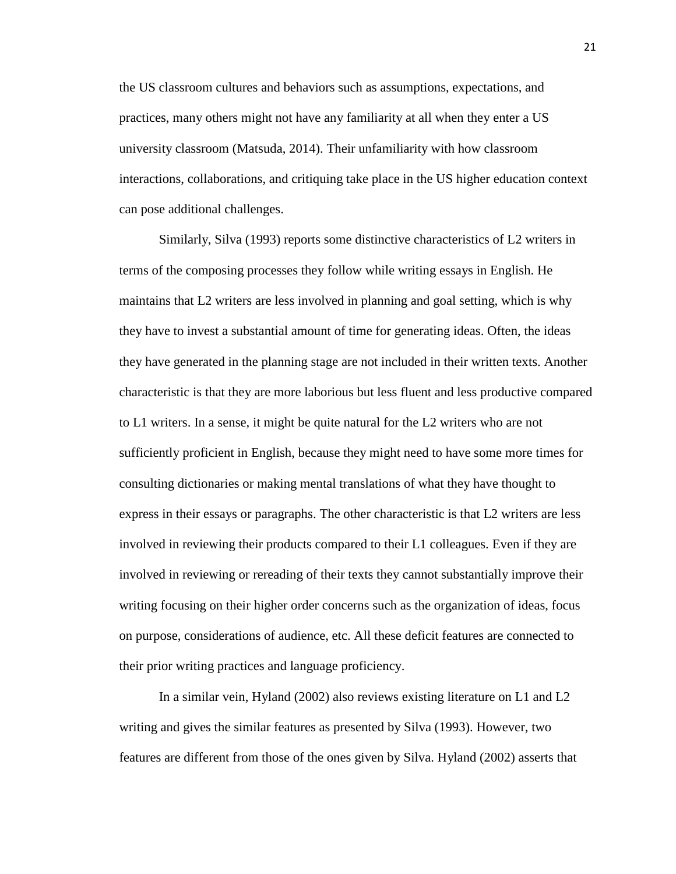the US classroom cultures and behaviors such as assumptions, expectations, and practices, many others might not have any familiarity at all when they enter a US university classroom (Matsuda, 2014). Their unfamiliarity with how classroom interactions, collaborations, and critiquing take place in the US higher education context can pose additional challenges.

 Similarly, Silva (1993) reports some distinctive characteristics of L2 writers in terms of the composing processes they follow while writing essays in English. He maintains that L2 writers are less involved in planning and goal setting, which is why they have to invest a substantial amount of time for generating ideas. Often, the ideas they have generated in the planning stage are not included in their written texts. Another characteristic is that they are more laborious but less fluent and less productive compared to L1 writers. In a sense, it might be quite natural for the L2 writers who are not sufficiently proficient in English, because they might need to have some more times for consulting dictionaries or making mental translations of what they have thought to express in their essays or paragraphs. The other characteristic is that L2 writers are less involved in reviewing their products compared to their L1 colleagues. Even if they are involved in reviewing or rereading of their texts they cannot substantially improve their writing focusing on their higher order concerns such as the organization of ideas, focus on purpose, considerations of audience, etc. All these deficit features are connected to their prior writing practices and language proficiency.

In a similar vein, Hyland (2002) also reviews existing literature on L1 and L2 writing and gives the similar features as presented by Silva (1993). However, two features are different from those of the ones given by Silva. Hyland (2002) asserts that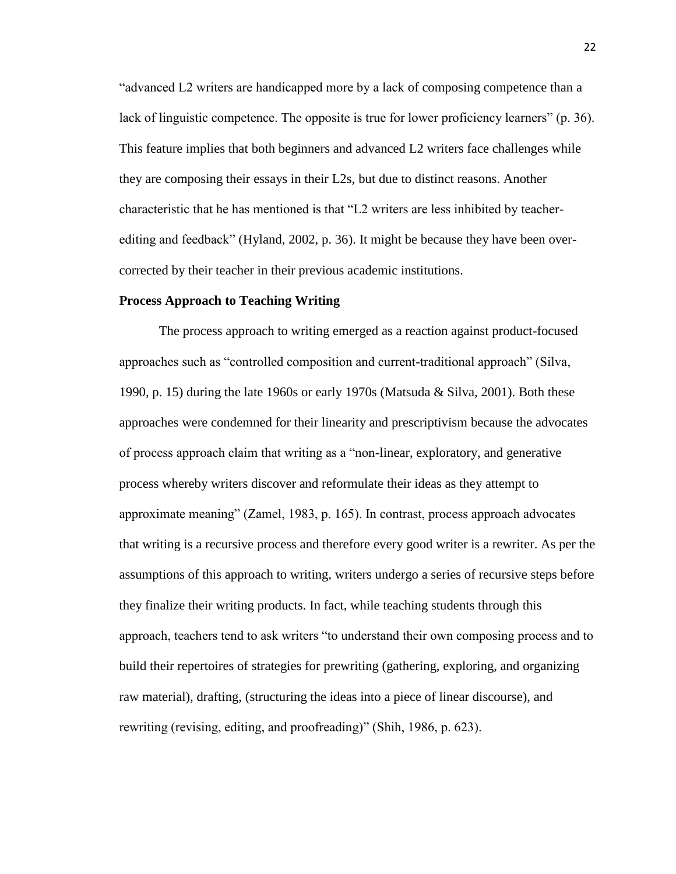"advanced L2 writers are handicapped more by a lack of composing competence than a lack of linguistic competence. The opposite is true for lower proficiency learners" (p. 36). This feature implies that both beginners and advanced L2 writers face challenges while they are composing their essays in their L2s, but due to distinct reasons. Another characteristic that he has mentioned is that "L2 writers are less inhibited by teacherediting and feedback" (Hyland, 2002, p. 36). It might be because they have been overcorrected by their teacher in their previous academic institutions.

#### **Process Approach to Teaching Writing**

The process approach to writing emerged as a reaction against product-focused approaches such as "controlled composition and current-traditional approach" (Silva, 1990, p. 15) during the late 1960s or early 1970s (Matsuda & Silva, 2001). Both these approaches were condemned for their linearity and prescriptivism because the advocates of process approach claim that writing as a "non-linear, exploratory, and generative process whereby writers discover and reformulate their ideas as they attempt to approximate meaning" (Zamel, 1983, p. 165). In contrast, process approach advocates that writing is a recursive process and therefore every good writer is a rewriter. As per the assumptions of this approach to writing, writers undergo a series of recursive steps before they finalize their writing products. In fact, while teaching students through this approach, teachers tend to ask writers "to understand their own composing process and to build their repertoires of strategies for prewriting (gathering, exploring, and organizing raw material), drafting, (structuring the ideas into a piece of linear discourse), and rewriting (revising, editing, and proofreading)" (Shih, 1986, p. 623).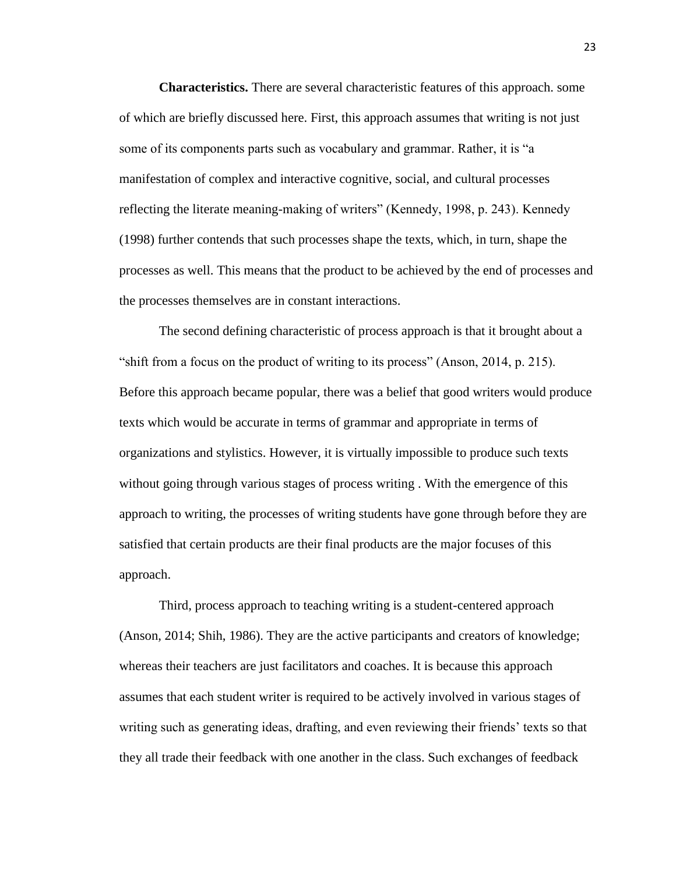**Characteristics.** There are several characteristic features of this approach. some of which are briefly discussed here. First, this approach assumes that writing is not just some of its components parts such as vocabulary and grammar. Rather, it is "a manifestation of complex and interactive cognitive, social, and cultural processes reflecting the literate meaning-making of writers" (Kennedy, 1998, p. 243). Kennedy (1998) further contends that such processes shape the texts, which, in turn, shape the processes as well. This means that the product to be achieved by the end of processes and the processes themselves are in constant interactions.

The second defining characteristic of process approach is that it brought about a "shift from a focus on the product of writing to its process" (Anson, 2014, p. 215). Before this approach became popular, there was a belief that good writers would produce texts which would be accurate in terms of grammar and appropriate in terms of organizations and stylistics. However, it is virtually impossible to produce such texts without going through various stages of process writing . With the emergence of this approach to writing, the processes of writing students have gone through before they are satisfied that certain products are their final products are the major focuses of this approach.

 Third, process approach to teaching writing is a student-centered approach (Anson, 2014; Shih, 1986). They are the active participants and creators of knowledge; whereas their teachers are just facilitators and coaches. It is because this approach assumes that each student writer is required to be actively involved in various stages of writing such as generating ideas, drafting, and even reviewing their friends' texts so that they all trade their feedback with one another in the class. Such exchanges of feedback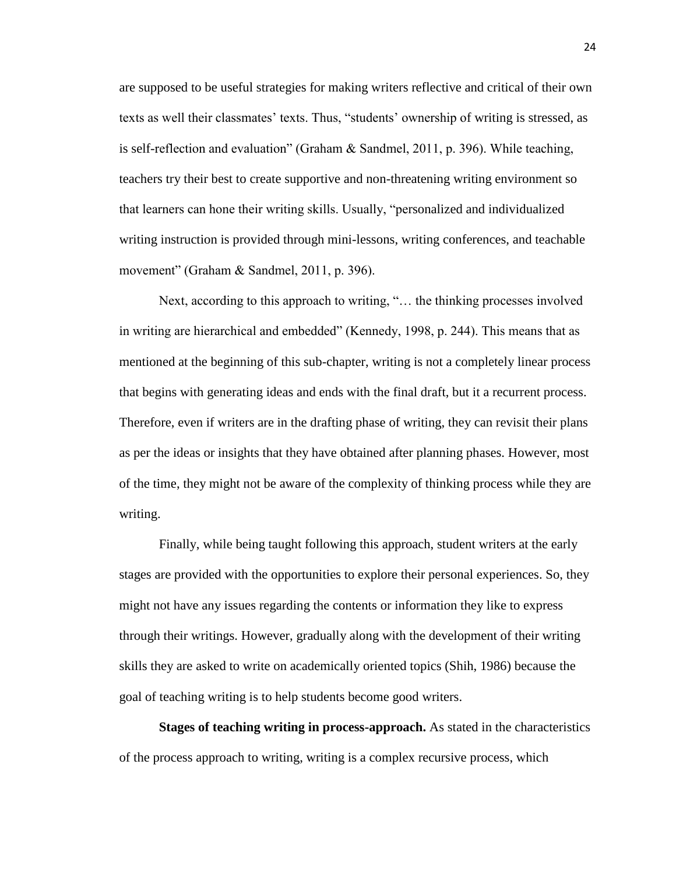are supposed to be useful strategies for making writers reflective and critical of their own texts as well their classmates' texts. Thus, "students' ownership of writing is stressed, as is self-reflection and evaluation" (Graham & Sandmel, 2011, p. 396). While teaching, teachers try their best to create supportive and non-threatening writing environment so that learners can hone their writing skills. Usually, "personalized and individualized writing instruction is provided through mini-lessons, writing conferences, and teachable movement" (Graham & Sandmel, 2011, p. 396).

 Next, according to this approach to writing, "… the thinking processes involved in writing are hierarchical and embedded" (Kennedy, 1998, p. 244). This means that as mentioned at the beginning of this sub-chapter, writing is not a completely linear process that begins with generating ideas and ends with the final draft, but it a recurrent process. Therefore, even if writers are in the drafting phase of writing, they can revisit their plans as per the ideas or insights that they have obtained after planning phases. However, most of the time, they might not be aware of the complexity of thinking process while they are writing.

 Finally, while being taught following this approach, student writers at the early stages are provided with the opportunities to explore their personal experiences. So, they might not have any issues regarding the contents or information they like to express through their writings. However, gradually along with the development of their writing skills they are asked to write on academically oriented topics (Shih, 1986) because the goal of teaching writing is to help students become good writers.

**Stages of teaching writing in process-approach.** As stated in the characteristics of the process approach to writing, writing is a complex recursive process, which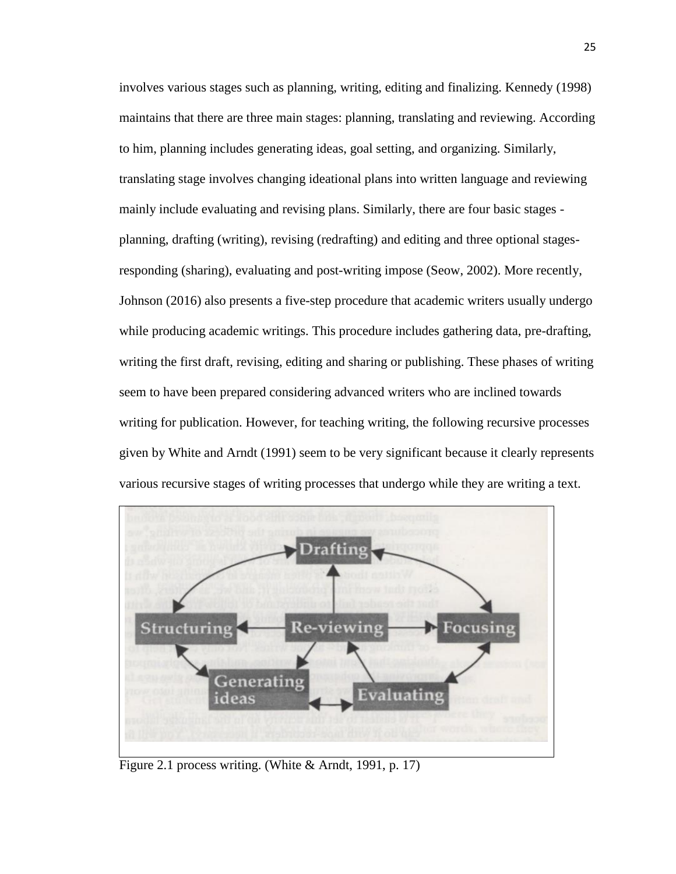involves various stages such as planning, writing, editing and finalizing. Kennedy (1998) maintains that there are three main stages: planning, translating and reviewing. According to him, planning includes generating ideas, goal setting, and organizing. Similarly, translating stage involves changing ideational plans into written language and reviewing mainly include evaluating and revising plans. Similarly, there are four basic stages planning, drafting (writing), revising (redrafting) and editing and three optional stagesresponding (sharing), evaluating and post-writing impose (Seow, 2002). More recently, Johnson (2016) also presents a five-step procedure that academic writers usually undergo while producing academic writings. This procedure includes gathering data, pre-drafting, writing the first draft, revising, editing and sharing or publishing. These phases of writing seem to have been prepared considering advanced writers who are inclined towards writing for publication. However, for teaching writing, the following recursive processes given by White and Arndt (1991) seem to be very significant because it clearly represents various recursive stages of writing processes that undergo while they are writing a text.



Figure 2.1 process writing. (White & Arndt, 1991, p. 17)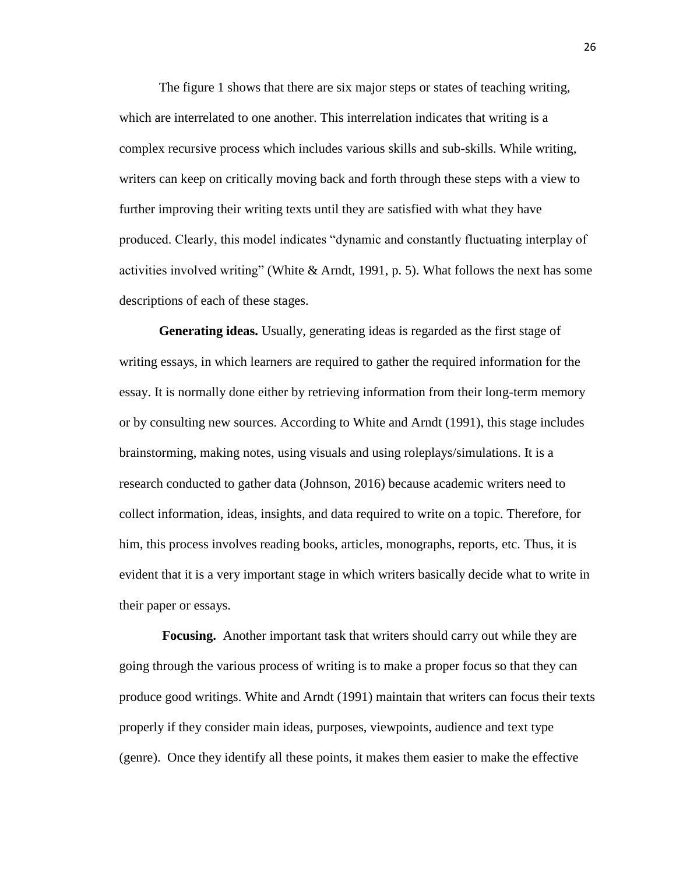The figure 1 shows that there are six major steps or states of teaching writing, which are interrelated to one another. This interrelation indicates that writing is a complex recursive process which includes various skills and sub-skills. While writing, writers can keep on critically moving back and forth through these steps with a view to further improving their writing texts until they are satisfied with what they have produced. Clearly, this model indicates "dynamic and constantly fluctuating interplay of activities involved writing" (White & Arndt, 1991, p. 5). What follows the next has some descriptions of each of these stages.

**Generating ideas.** Usually, generating ideas is regarded as the first stage of writing essays, in which learners are required to gather the required information for the essay. It is normally done either by retrieving information from their long-term memory or by consulting new sources. According to White and Arndt (1991), this stage includes brainstorming, making notes, using visuals and using roleplays/simulations. It is a research conducted to gather data (Johnson, 2016) because academic writers need to collect information, ideas, insights, and data required to write on a topic. Therefore, for him, this process involves reading books, articles, monographs, reports, etc. Thus, it is evident that it is a very important stage in which writers basically decide what to write in their paper or essays.

**Focusing.** Another important task that writers should carry out while they are going through the various process of writing is to make a proper focus so that they can produce good writings. White and Arndt (1991) maintain that writers can focus their texts properly if they consider main ideas, purposes, viewpoints, audience and text type (genre). Once they identify all these points, it makes them easier to make the effective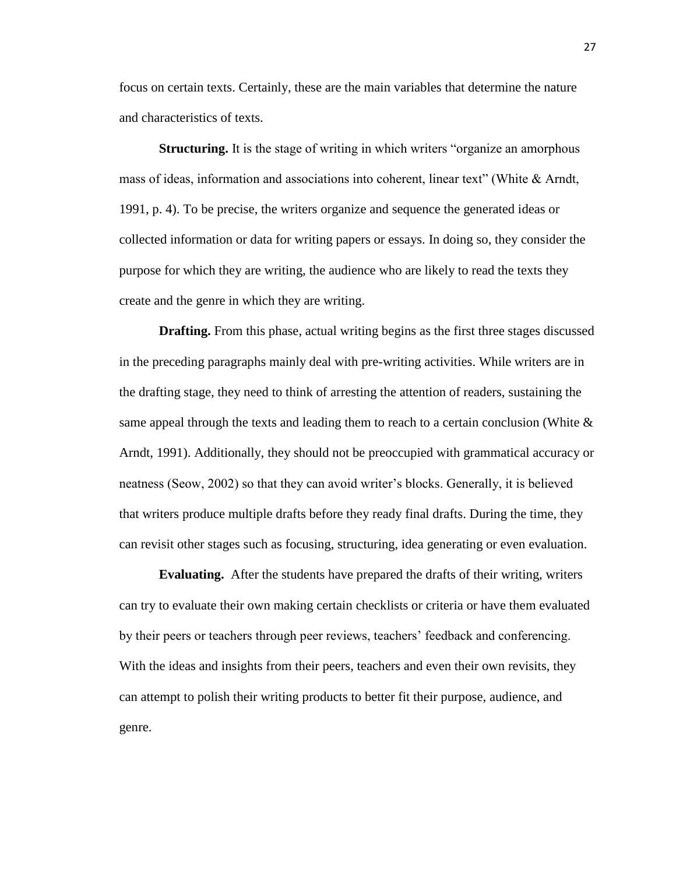focus on certain texts. Certainly, these are the main variables that determine the nature and characteristics of texts.

**Structuring.** It is the stage of writing in which writers "organize an amorphous" mass of ideas, information and associations into coherent, linear text" (White & Arndt, 1991, p. 4). To be precise, the writers organize and sequence the generated ideas or collected information or data for writing papers or essays. In doing so, they consider the purpose for which they are writing, the audience who are likely to read the texts they create and the genre in which they are writing.

**Drafting.** From this phase, actual writing begins as the first three stages discussed in the preceding paragraphs mainly deal with pre-writing activities. While writers are in the drafting stage, they need to think of arresting the attention of readers, sustaining the same appeal through the texts and leading them to reach to a certain conclusion (White  $\&$ Arndt, 1991). Additionally, they should not be preoccupied with grammatical accuracy or neatness (Seow, 2002) so that they can avoid writer's blocks. Generally, it is believed that writers produce multiple drafts before they ready final drafts. During the time, they can revisit other stages such as focusing, structuring, idea generating or even evaluation.

**Evaluating.** After the students have prepared the drafts of their writing, writers can try to evaluate their own making certain checklists or criteria or have them evaluated by their peers or teachers through peer reviews, teachers' feedback and conferencing. With the ideas and insights from their peers, teachers and even their own revisits, they can attempt to polish their writing products to better fit their purpose, audience, and genre.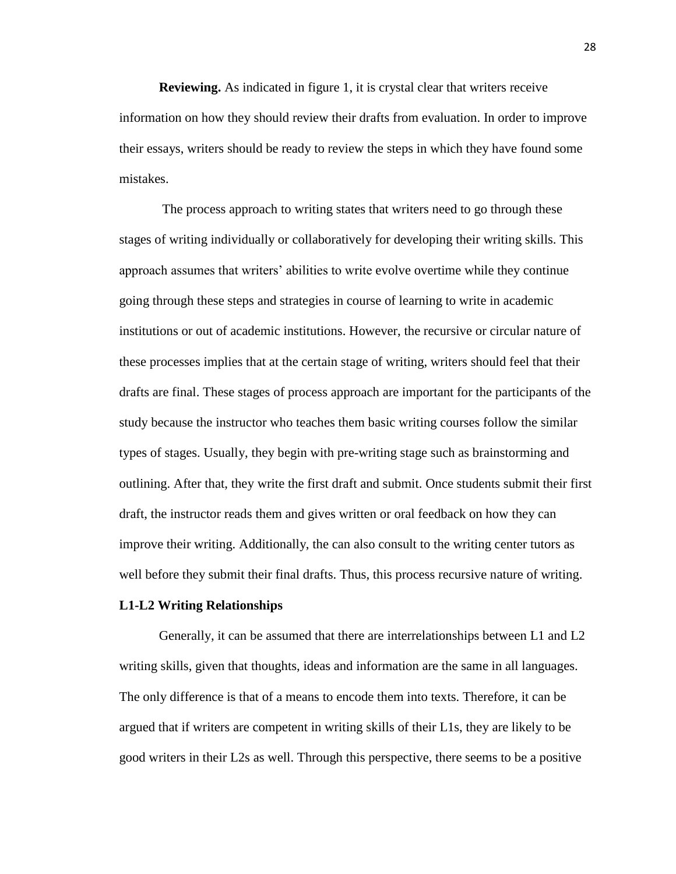**Reviewing.** As indicated in figure 1, it is crystal clear that writers receive information on how they should review their drafts from evaluation. In order to improve their essays, writers should be ready to review the steps in which they have found some mistakes.

The process approach to writing states that writers need to go through these stages of writing individually or collaboratively for developing their writing skills. This approach assumes that writers' abilities to write evolve overtime while they continue going through these steps and strategies in course of learning to write in academic institutions or out of academic institutions. However, the recursive or circular nature of these processes implies that at the certain stage of writing, writers should feel that their drafts are final. These stages of process approach are important for the participants of the study because the instructor who teaches them basic writing courses follow the similar types of stages. Usually, they begin with pre-writing stage such as brainstorming and outlining. After that, they write the first draft and submit. Once students submit their first draft, the instructor reads them and gives written or oral feedback on how they can improve their writing. Additionally, the can also consult to the writing center tutors as well before they submit their final drafts. Thus, this process recursive nature of writing.

## **L1-L2 Writing Relationships**

Generally, it can be assumed that there are interrelationships between L1 and L2 writing skills, given that thoughts, ideas and information are the same in all languages. The only difference is that of a means to encode them into texts. Therefore, it can be argued that if writers are competent in writing skills of their L1s, they are likely to be good writers in their L2s as well. Through this perspective, there seems to be a positive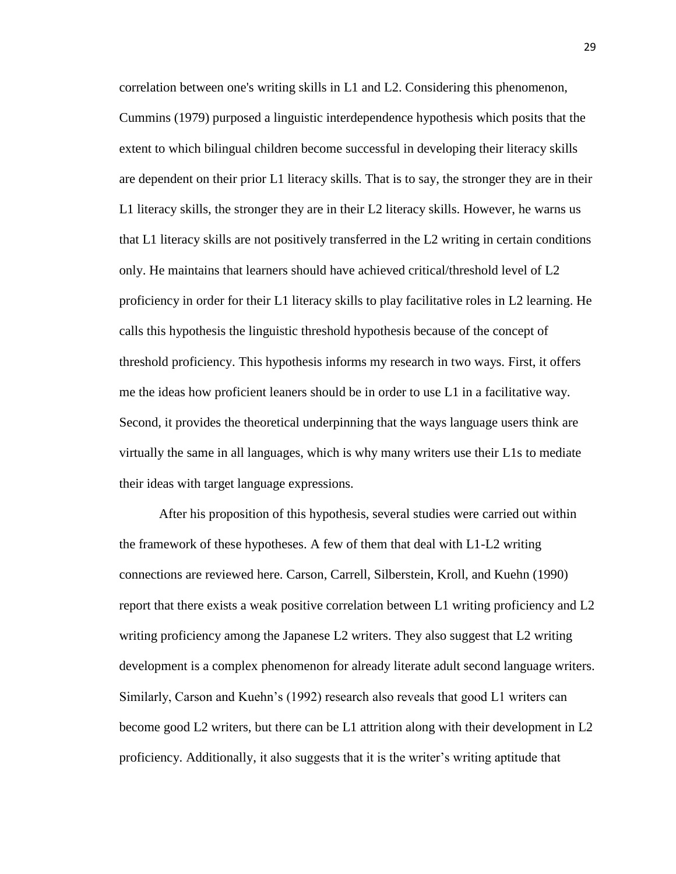correlation between one's writing skills in L1 and L2. Considering this phenomenon, Cummins (1979) purposed a linguistic interdependence hypothesis which posits that the extent to which bilingual children become successful in developing their literacy skills are dependent on their prior L1 literacy skills. That is to say, the stronger they are in their L1 literacy skills, the stronger they are in their L2 literacy skills. However, he warns us that L1 literacy skills are not positively transferred in the L2 writing in certain conditions only. He maintains that learners should have achieved critical/threshold level of L2 proficiency in order for their L1 literacy skills to play facilitative roles in L2 learning. He calls this hypothesis the linguistic threshold hypothesis because of the concept of threshold proficiency. This hypothesis informs my research in two ways. First, it offers me the ideas how proficient leaners should be in order to use L1 in a facilitative way. Second, it provides the theoretical underpinning that the ways language users think are virtually the same in all languages, which is why many writers use their L1s to mediate their ideas with target language expressions.

After his proposition of this hypothesis, several studies were carried out within the framework of these hypotheses. A few of them that deal with L1-L2 writing connections are reviewed here. Carson, Carrell, Silberstein, Kroll, and Kuehn (1990) report that there exists a weak positive correlation between L1 writing proficiency and L2 writing proficiency among the Japanese L2 writers. They also suggest that L2 writing development is a complex phenomenon for already literate adult second language writers. Similarly, Carson and Kuehn's (1992) research also reveals that good L1 writers can become good L2 writers, but there can be L1 attrition along with their development in L2 proficiency. Additionally, it also suggests that it is the writer's writing aptitude that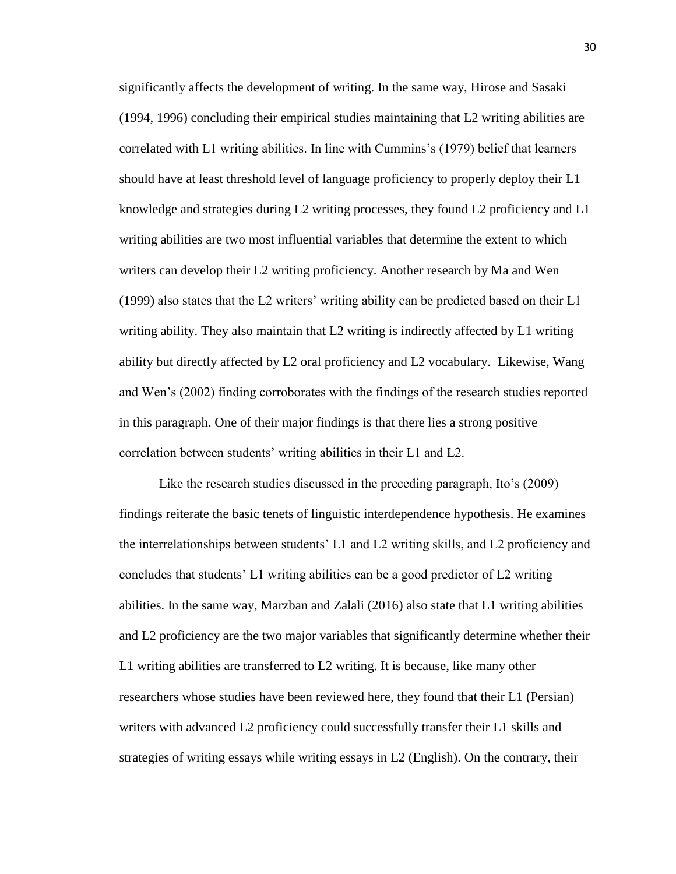significantly affects the development of writing. In the same way, Hirose and Sasaki (1994, 1996) concluding their empirical studies maintaining that L2 writing abilities are correlated with L1 writing abilities. In line with Cummins's (1979) belief that learners should have at least threshold level of language proficiency to properly deploy their L1 knowledge and strategies during L2 writing processes, they found L2 proficiency and L1 writing abilities are two most influential variables that determine the extent to which writers can develop their L2 writing proficiency. Another research by Ma and Wen (1999) also states that the L2 writers' writing ability can be predicted based on their L1 writing ability. They also maintain that L2 writing is indirectly affected by L1 writing ability but directly affected by L2 oral proficiency and L2 vocabulary. Likewise, Wang and Wen's (2002) finding corroborates with the findings of the research studies reported in this paragraph. One of their major findings is that there lies a strong positive correlation between students' writing abilities in their L1 and L2.

Like the research studies discussed in the preceding paragraph, Ito's (2009) findings reiterate the basic tenets of linguistic interdependence hypothesis. He examines the interrelationships between students' L1 and L2 writing skills, and L2 proficiency and concludes that students' L1 writing abilities can be a good predictor of L2 writing abilities. In the same way, Marzban and Zalali (2016) also state that L1 writing abilities and L2 proficiency are the two major variables that significantly determine whether their L1 writing abilities are transferred to L2 writing. It is because, like many other researchers whose studies have been reviewed here, they found that their L1 (Persian) writers with advanced L2 proficiency could successfully transfer their L1 skills and strategies of writing essays while writing essays in L2 (English). On the contrary, their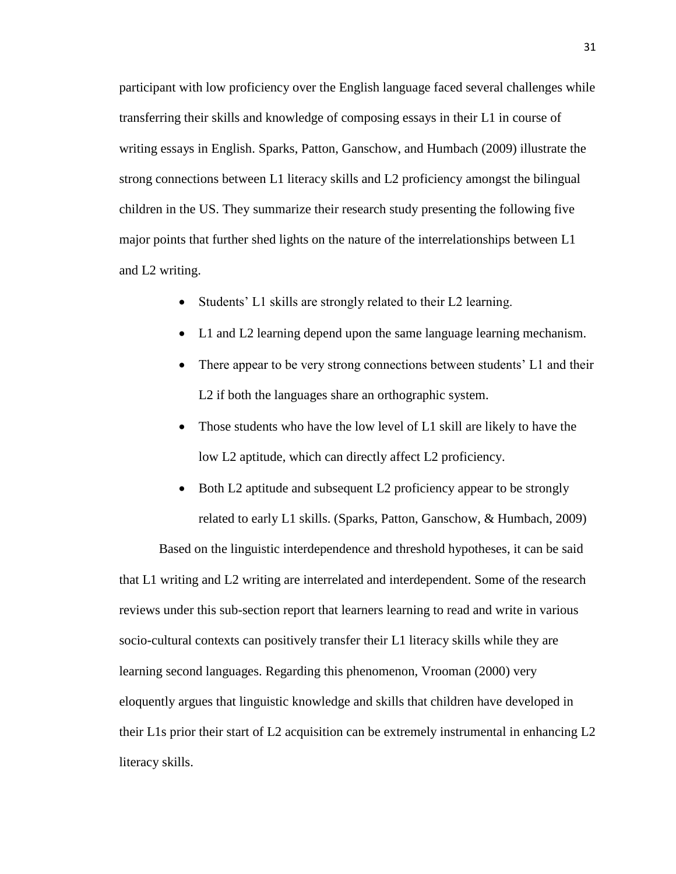participant with low proficiency over the English language faced several challenges while transferring their skills and knowledge of composing essays in their L1 in course of writing essays in English. Sparks, Patton, Ganschow, and Humbach (2009) illustrate the strong connections between L1 literacy skills and L2 proficiency amongst the bilingual children in the US. They summarize their research study presenting the following five major points that further shed lights on the nature of the interrelationships between L1 and L2 writing.

- Students' L1 skills are strongly related to their L2 learning.
- L1 and L2 learning depend upon the same language learning mechanism.
- There appear to be very strong connections between students' L1 and their L2 if both the languages share an orthographic system.
- Those students who have the low level of L1 skill are likely to have the low L2 aptitude, which can directly affect L2 proficiency.
- Both L2 aptitude and subsequent L2 proficiency appear to be strongly related to early L1 skills. (Sparks, Patton, Ganschow, & Humbach, 2009)

Based on the linguistic interdependence and threshold hypotheses, it can be said that L1 writing and L2 writing are interrelated and interdependent. Some of the research reviews under this sub-section report that learners learning to read and write in various socio-cultural contexts can positively transfer their L1 literacy skills while they are learning second languages. Regarding this phenomenon, Vrooman (2000) very eloquently argues that linguistic knowledge and skills that children have developed in their L1s prior their start of L2 acquisition can be extremely instrumental in enhancing L2 literacy skills.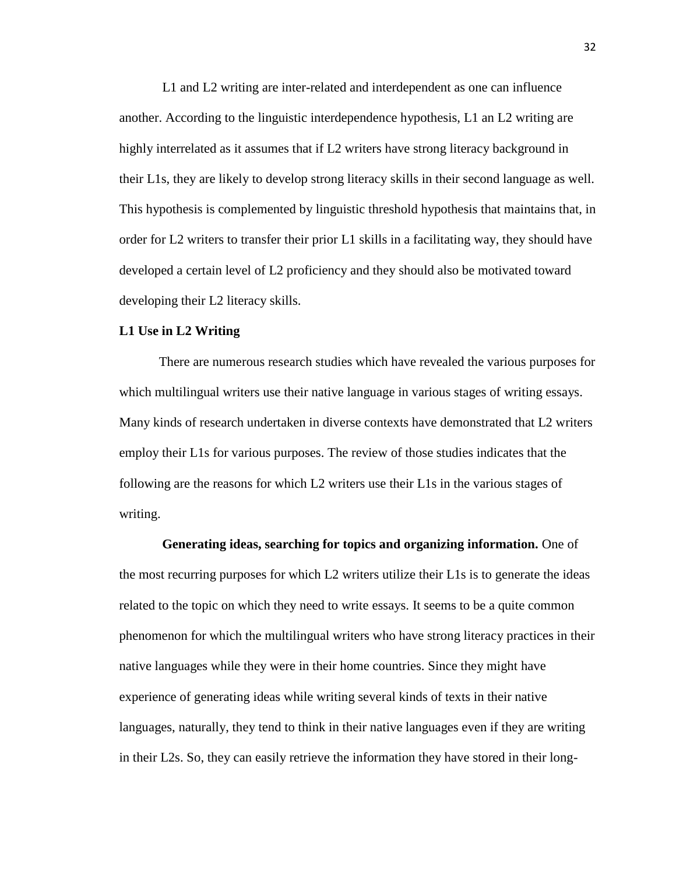L1 and L2 writing are inter-related and interdependent as one can influence another. According to the linguistic interdependence hypothesis, L1 an L2 writing are highly interrelated as it assumes that if L2 writers have strong literacy background in their L1s, they are likely to develop strong literacy skills in their second language as well. This hypothesis is complemented by linguistic threshold hypothesis that maintains that, in order for L2 writers to transfer their prior L1 skills in a facilitating way, they should have developed a certain level of L2 proficiency and they should also be motivated toward developing their L2 literacy skills.

## **L1 Use in L2 Writing**

There are numerous research studies which have revealed the various purposes for which multilingual writers use their native language in various stages of writing essays. Many kinds of research undertaken in diverse contexts have demonstrated that L2 writers employ their L1s for various purposes. The review of those studies indicates that the following are the reasons for which L2 writers use their L1s in the various stages of writing.

**Generating ideas, searching for topics and organizing information.** One of the most recurring purposes for which L2 writers utilize their L1s is to generate the ideas related to the topic on which they need to write essays. It seems to be a quite common phenomenon for which the multilingual writers who have strong literacy practices in their native languages while they were in their home countries. Since they might have experience of generating ideas while writing several kinds of texts in their native languages, naturally, they tend to think in their native languages even if they are writing in their L2s. So, they can easily retrieve the information they have stored in their long-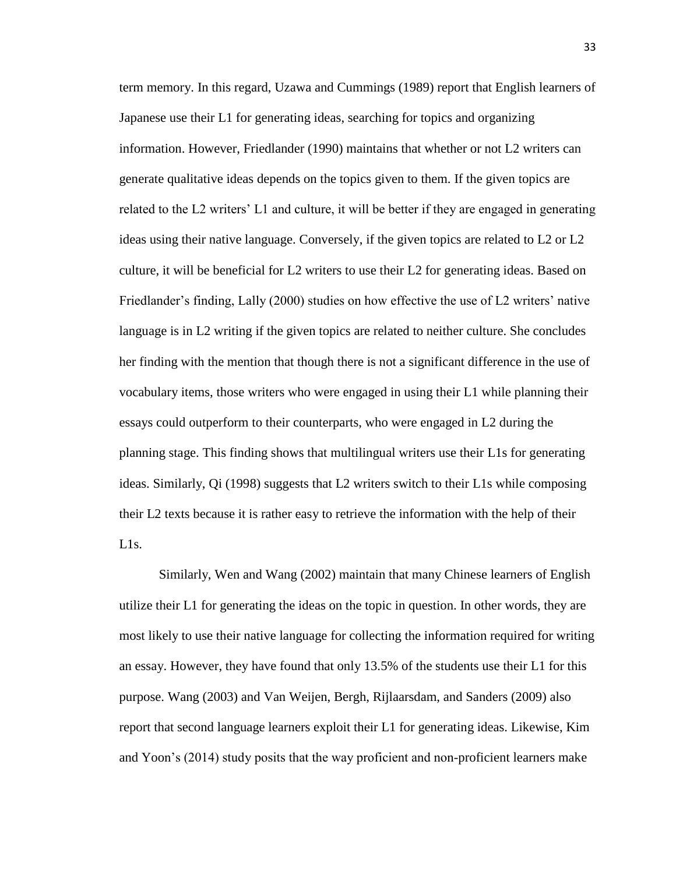term memory. In this regard, Uzawa and Cummings (1989) report that English learners of Japanese use their L1 for generating ideas, searching for topics and organizing information. However, Friedlander (1990) maintains that whether or not L2 writers can generate qualitative ideas depends on the topics given to them. If the given topics are related to the L2 writers' L1 and culture, it will be better if they are engaged in generating ideas using their native language. Conversely, if the given topics are related to L2 or L2 culture, it will be beneficial for L2 writers to use their L2 for generating ideas. Based on Friedlander's finding, Lally (2000) studies on how effective the use of L2 writers' native language is in L2 writing if the given topics are related to neither culture. She concludes her finding with the mention that though there is not a significant difference in the use of vocabulary items, those writers who were engaged in using their L1 while planning their essays could outperform to their counterparts, who were engaged in L2 during the planning stage. This finding shows that multilingual writers use their L1s for generating ideas. Similarly, Qi (1998) suggests that L2 writers switch to their L1s while composing their L2 texts because it is rather easy to retrieve the information with the help of their L1s.

Similarly, Wen and Wang (2002) maintain that many Chinese learners of English utilize their L1 for generating the ideas on the topic in question. In other words, they are most likely to use their native language for collecting the information required for writing an essay. However, they have found that only 13.5% of the students use their L1 for this purpose. Wang (2003) and Van Weijen, Bergh, Rijlaarsdam, and Sanders (2009) also report that second language learners exploit their L1 for generating ideas. Likewise, Kim and Yoon's (2014) study posits that the way proficient and non-proficient learners make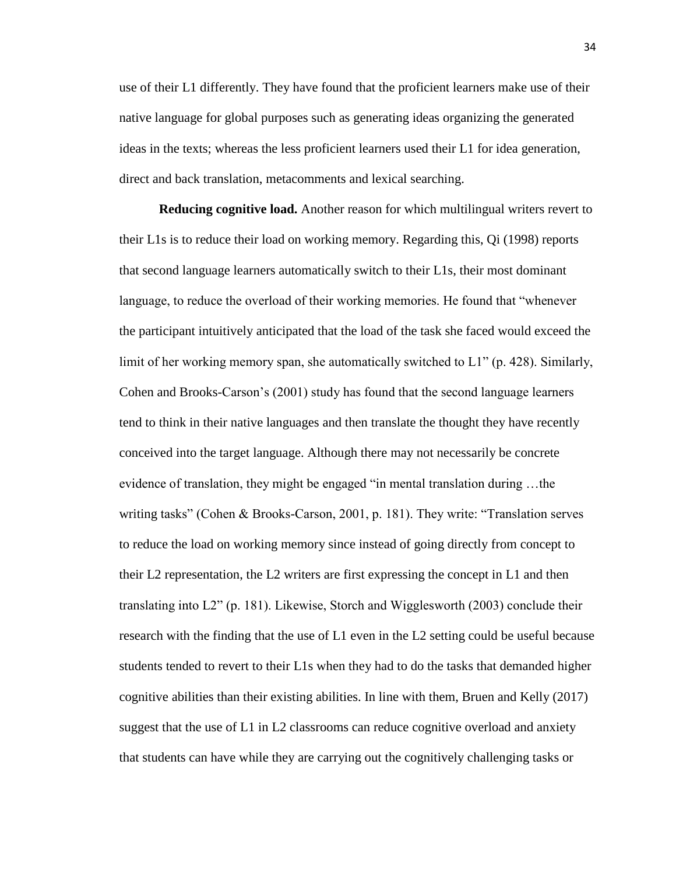use of their L1 differently. They have found that the proficient learners make use of their native language for global purposes such as generating ideas organizing the generated ideas in the texts; whereas the less proficient learners used their L1 for idea generation, direct and back translation, metacomments and lexical searching.

**Reducing cognitive load.** Another reason for which multilingual writers revert to their L1s is to reduce their load on working memory. Regarding this, Qi (1998) reports that second language learners automatically switch to their L1s, their most dominant language, to reduce the overload of their working memories. He found that "whenever the participant intuitively anticipated that the load of the task she faced would exceed the limit of her working memory span, she automatically switched to L1" (p. 428). Similarly, Cohen and Brooks-Carson's (2001) study has found that the second language learners tend to think in their native languages and then translate the thought they have recently conceived into the target language. Although there may not necessarily be concrete evidence of translation, they might be engaged "in mental translation during …the writing tasks" (Cohen & Brooks-Carson, 2001, p. 181). They write: "Translation serves to reduce the load on working memory since instead of going directly from concept to their L2 representation, the L2 writers are first expressing the concept in L1 and then translating into L2" (p. 181). Likewise, Storch and Wigglesworth (2003) conclude their research with the finding that the use of L1 even in the L2 setting could be useful because students tended to revert to their L1s when they had to do the tasks that demanded higher cognitive abilities than their existing abilities. In line with them, Bruen and Kelly (2017) suggest that the use of L1 in L2 classrooms can reduce cognitive overload and anxiety that students can have while they are carrying out the cognitively challenging tasks or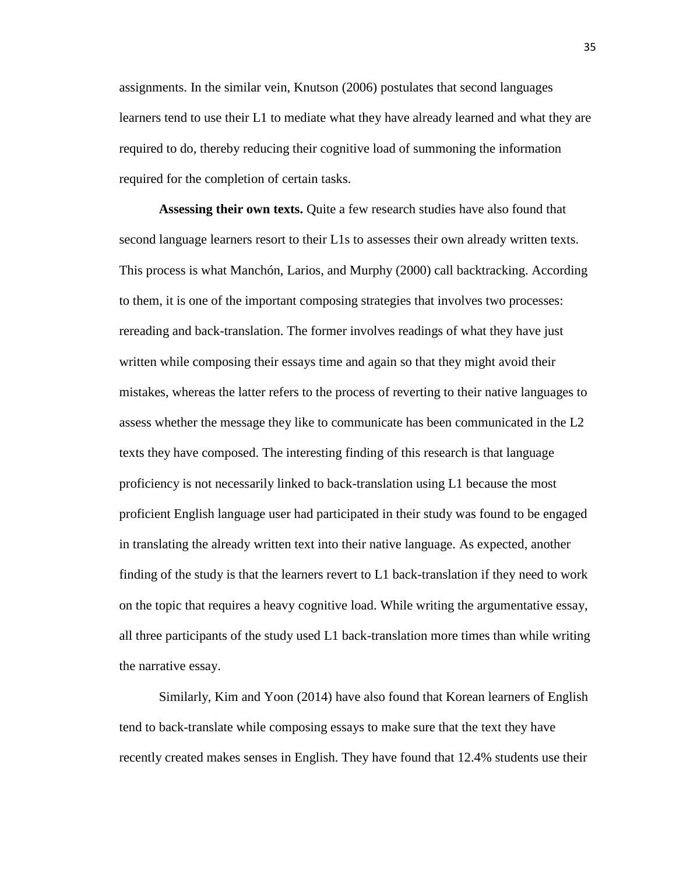assignments. In the similar vein, Knutson (2006) postulates that second languages learners tend to use their L1 to mediate what they have already learned and what they are required to do, thereby reducing their cognitive load of summoning the information required for the completion of certain tasks.

**Assessing their own texts.** Quite a few research studies have also found that second language learners resort to their L1s to assesses their own already written texts. This process is what Manchón, Larios, and Murphy (2000) call backtracking. According to them, it is one of the important composing strategies that involves two processes: rereading and back-translation. The former involves readings of what they have just written while composing their essays time and again so that they might avoid their mistakes, whereas the latter refers to the process of reverting to their native languages to assess whether the message they like to communicate has been communicated in the L2 texts they have composed. The interesting finding of this research is that language proficiency is not necessarily linked to back-translation using L1 because the most proficient English language user had participated in their study was found to be engaged in translating the already written text into their native language. As expected, another finding of the study is that the learners revert to L1 back-translation if they need to work on the topic that requires a heavy cognitive load. While writing the argumentative essay, all three participants of the study used L1 back-translation more times than while writing the narrative essay.

Similarly, Kim and Yoon (2014) have also found that Korean learners of English tend to back-translate while composing essays to make sure that the text they have recently created makes senses in English. They have found that 12.4% students use their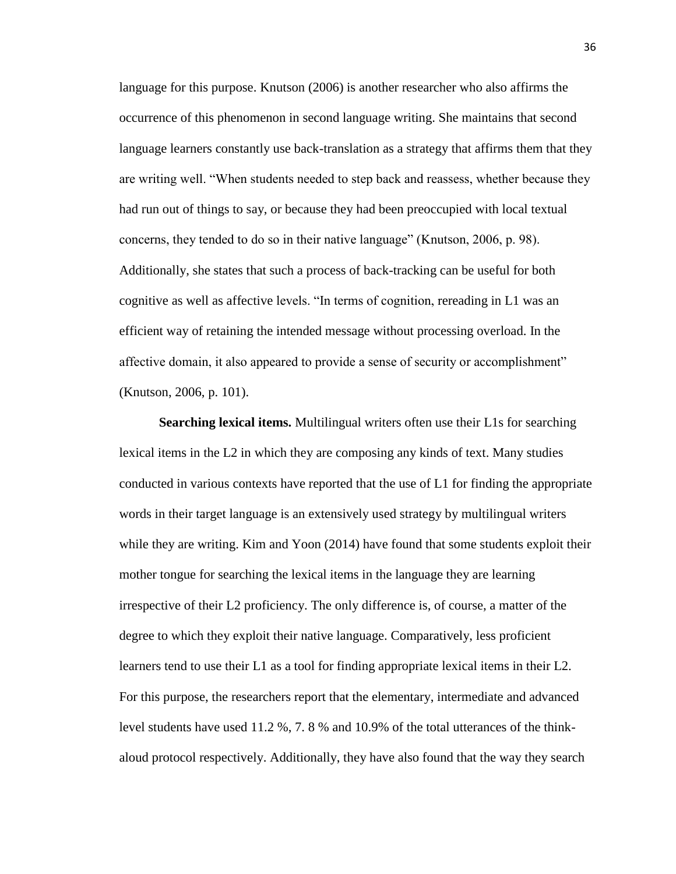language for this purpose. Knutson (2006) is another researcher who also affirms the occurrence of this phenomenon in second language writing. She maintains that second language learners constantly use back-translation as a strategy that affirms them that they are writing well. "When students needed to step back and reassess, whether because they had run out of things to say, or because they had been preoccupied with local textual concerns, they tended to do so in their native language" (Knutson, 2006, p. 98). Additionally, she states that such a process of back-tracking can be useful for both cognitive as well as affective levels. "In terms of cognition, rereading in L1 was an efficient way of retaining the intended message without processing overload. In the affective domain, it also appeared to provide a sense of security or accomplishment" (Knutson, 2006, p. 101).

**Searching lexical items.** Multilingual writers often use their L1s for searching lexical items in the L2 in which they are composing any kinds of text. Many studies conducted in various contexts have reported that the use of L1 for finding the appropriate words in their target language is an extensively used strategy by multilingual writers while they are writing. Kim and Yoon (2014) have found that some students exploit their mother tongue for searching the lexical items in the language they are learning irrespective of their L2 proficiency. The only difference is, of course, a matter of the degree to which they exploit their native language. Comparatively, less proficient learners tend to use their L1 as a tool for finding appropriate lexical items in their L2. For this purpose, the researchers report that the elementary, intermediate and advanced level students have used 11.2 %, 7. 8 % and 10.9% of the total utterances of the thinkaloud protocol respectively. Additionally, they have also found that the way they search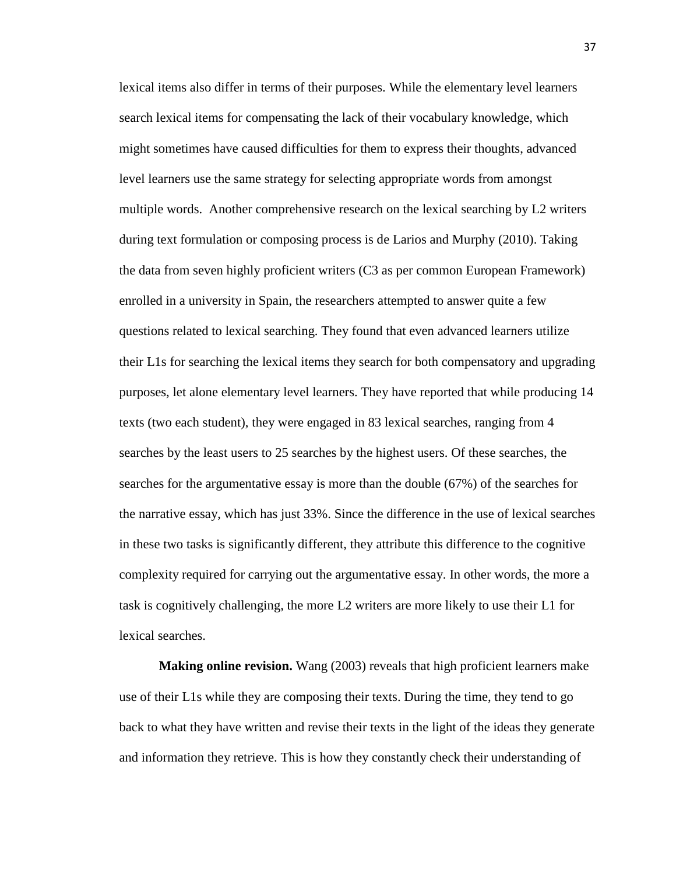lexical items also differ in terms of their purposes. While the elementary level learners search lexical items for compensating the lack of their vocabulary knowledge, which might sometimes have caused difficulties for them to express their thoughts, advanced level learners use the same strategy for selecting appropriate words from amongst multiple words. Another comprehensive research on the lexical searching by L2 writers during text formulation or composing process is de Larios and Murphy (2010). Taking the data from seven highly proficient writers (C3 as per common European Framework) enrolled in a university in Spain, the researchers attempted to answer quite a few questions related to lexical searching. They found that even advanced learners utilize their L1s for searching the lexical items they search for both compensatory and upgrading purposes, let alone elementary level learners. They have reported that while producing 14 texts (two each student), they were engaged in 83 lexical searches, ranging from 4 searches by the least users to 25 searches by the highest users. Of these searches, the searches for the argumentative essay is more than the double (67%) of the searches for the narrative essay, which has just 33%. Since the difference in the use of lexical searches in these two tasks is significantly different, they attribute this difference to the cognitive complexity required for carrying out the argumentative essay. In other words, the more a task is cognitively challenging, the more L2 writers are more likely to use their L1 for lexical searches.

**Making online revision.** Wang (2003) reveals that high proficient learners make use of their L1s while they are composing their texts. During the time, they tend to go back to what they have written and revise their texts in the light of the ideas they generate and information they retrieve. This is how they constantly check their understanding of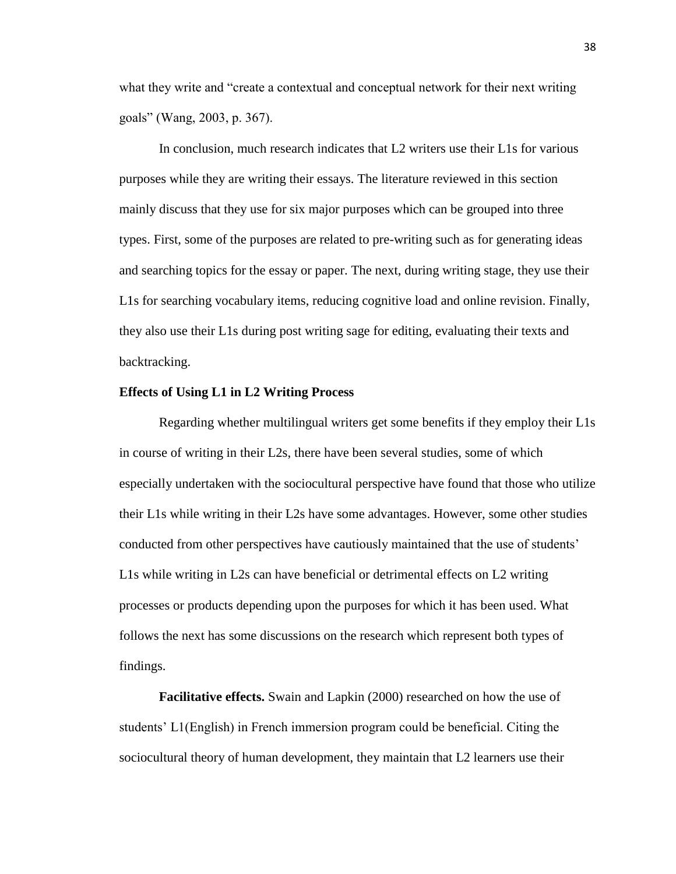what they write and "create a contextual and conceptual network for their next writing goals" (Wang, 2003, p. 367).

In conclusion, much research indicates that L2 writers use their L1s for various purposes while they are writing their essays. The literature reviewed in this section mainly discuss that they use for six major purposes which can be grouped into three types. First, some of the purposes are related to pre-writing such as for generating ideas and searching topics for the essay or paper. The next, during writing stage, they use their L1s for searching vocabulary items, reducing cognitive load and online revision. Finally, they also use their L1s during post writing sage for editing, evaluating their texts and backtracking.

#### **Effects of Using L1 in L2 Writing Process**

Regarding whether multilingual writers get some benefits if they employ their L1s in course of writing in their L2s, there have been several studies, some of which especially undertaken with the sociocultural perspective have found that those who utilize their L1s while writing in their L2s have some advantages. However, some other studies conducted from other perspectives have cautiously maintained that the use of students' L1s while writing in L2s can have beneficial or detrimental effects on L2 writing processes or products depending upon the purposes for which it has been used. What follows the next has some discussions on the research which represent both types of findings.

**Facilitative effects.** Swain and Lapkin (2000) researched on how the use of students' L1(English) in French immersion program could be beneficial. Citing the sociocultural theory of human development, they maintain that L2 learners use their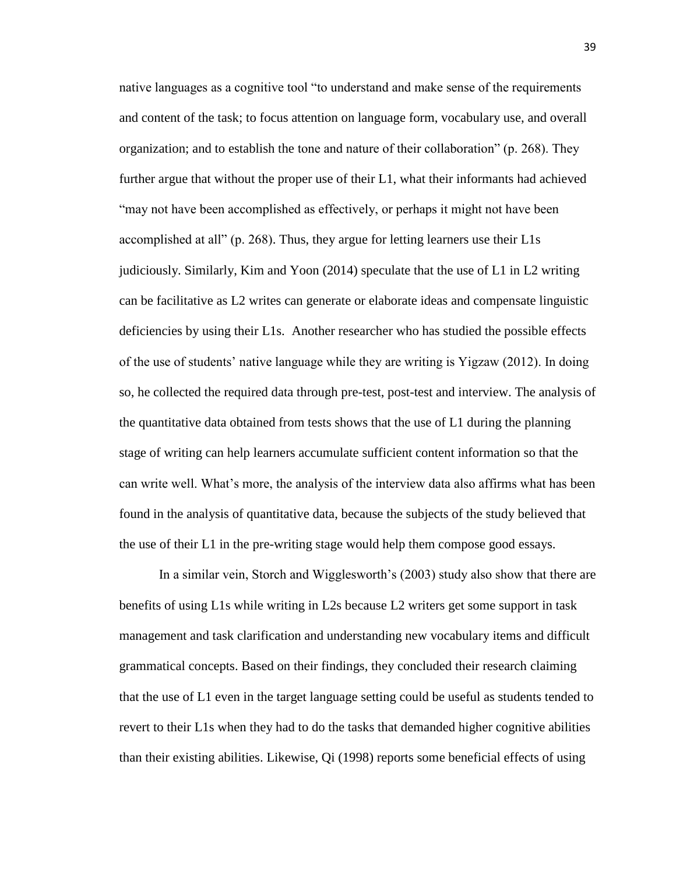native languages as a cognitive tool "to understand and make sense of the requirements and content of the task; to focus attention on language form, vocabulary use, and overall organization; and to establish the tone and nature of their collaboration" (p. 268). They further argue that without the proper use of their L1, what their informants had achieved "may not have been accomplished as effectively, or perhaps it might not have been accomplished at all" (p. 268). Thus, they argue for letting learners use their L1s judiciously. Similarly, Kim and Yoon (2014) speculate that the use of L1 in L2 writing can be facilitative as L2 writes can generate or elaborate ideas and compensate linguistic deficiencies by using their L1s. Another researcher who has studied the possible effects of the use of students' native language while they are writing is Yigzaw (2012). In doing so, he collected the required data through pre-test, post-test and interview. The analysis of the quantitative data obtained from tests shows that the use of L1 during the planning stage of writing can help learners accumulate sufficient content information so that the can write well. What's more, the analysis of the interview data also affirms what has been found in the analysis of quantitative data, because the subjects of the study believed that the use of their L1 in the pre-writing stage would help them compose good essays.

In a similar vein, Storch and Wigglesworth's (2003) study also show that there are benefits of using L1s while writing in L2s because L2 writers get some support in task management and task clarification and understanding new vocabulary items and difficult grammatical concepts. Based on their findings, they concluded their research claiming that the use of L1 even in the target language setting could be useful as students tended to revert to their L1s when they had to do the tasks that demanded higher cognitive abilities than their existing abilities. Likewise, Qi (1998) reports some beneficial effects of using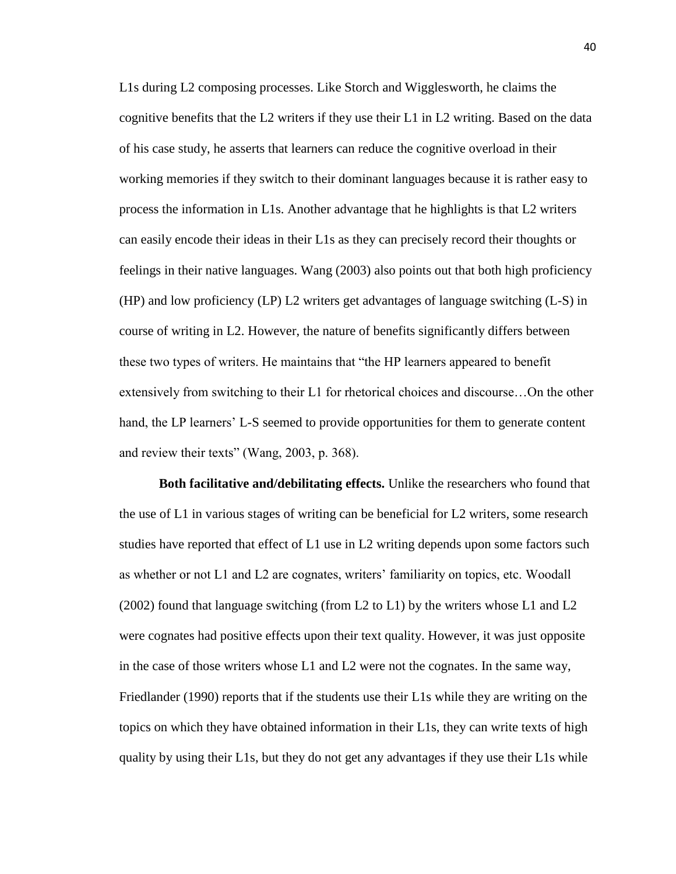L1s during L2 composing processes. Like Storch and Wigglesworth, he claims the cognitive benefits that the L2 writers if they use their L1 in L2 writing. Based on the data of his case study, he asserts that learners can reduce the cognitive overload in their working memories if they switch to their dominant languages because it is rather easy to process the information in L1s. Another advantage that he highlights is that L2 writers can easily encode their ideas in their L1s as they can precisely record their thoughts or feelings in their native languages. Wang (2003) also points out that both high proficiency (HP) and low proficiency (LP) L2 writers get advantages of language switching (L-S) in course of writing in L2. However, the nature of benefits significantly differs between these two types of writers. He maintains that "the HP learners appeared to benefit extensively from switching to their L1 for rhetorical choices and discourse…On the other hand, the LP learners' L-S seemed to provide opportunities for them to generate content and review their texts" (Wang, 2003, p. 368).

**Both facilitative and/debilitating effects.** Unlike the researchers who found that the use of L1 in various stages of writing can be beneficial for L2 writers, some research studies have reported that effect of L1 use in L2 writing depends upon some factors such as whether or not L1 and L2 are cognates, writers' familiarity on topics, etc. Woodall (2002) found that language switching (from L2 to L1) by the writers whose L1 and L2 were cognates had positive effects upon their text quality. However, it was just opposite in the case of those writers whose L1 and L2 were not the cognates. In the same way, Friedlander (1990) reports that if the students use their L1s while they are writing on the topics on which they have obtained information in their L1s, they can write texts of high quality by using their L1s, but they do not get any advantages if they use their L1s while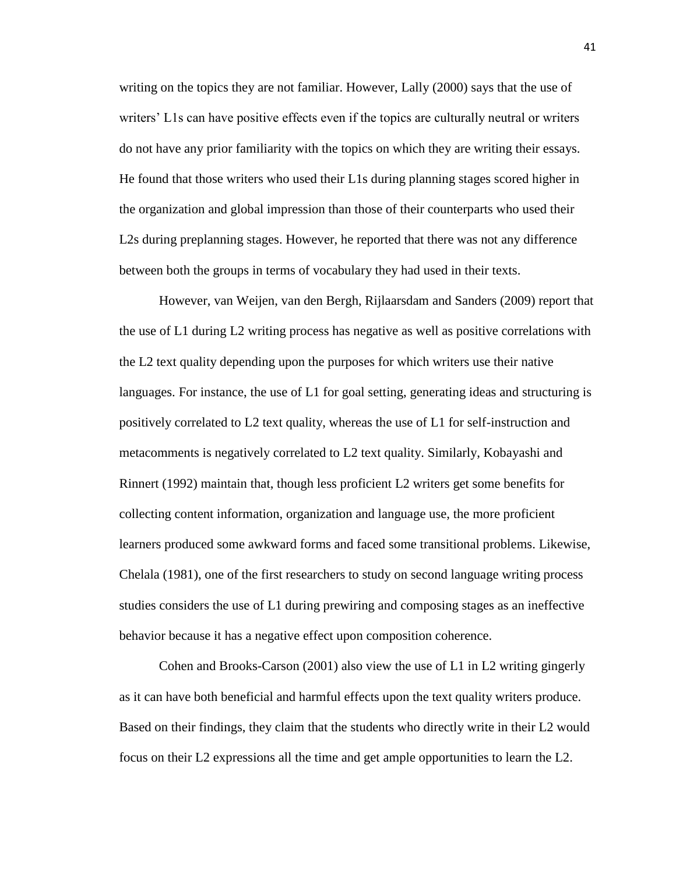writing on the topics they are not familiar. However, Lally (2000) says that the use of writers' L1s can have positive effects even if the topics are culturally neutral or writers do not have any prior familiarity with the topics on which they are writing their essays. He found that those writers who used their L1s during planning stages scored higher in the organization and global impression than those of their counterparts who used their L2s during preplanning stages. However, he reported that there was not any difference between both the groups in terms of vocabulary they had used in their texts.

However, van Weijen, van den Bergh, Rijlaarsdam and Sanders (2009) report that the use of L1 during L2 writing process has negative as well as positive correlations with the L2 text quality depending upon the purposes for which writers use their native languages. For instance, the use of L1 for goal setting, generating ideas and structuring is positively correlated to L2 text quality, whereas the use of L1 for self-instruction and metacomments is negatively correlated to L2 text quality. Similarly, Kobayashi and Rinnert (1992) maintain that, though less proficient L2 writers get some benefits for collecting content information, organization and language use, the more proficient learners produced some awkward forms and faced some transitional problems. Likewise, Chelala (1981), one of the first researchers to study on second language writing process studies considers the use of L1 during prewiring and composing stages as an ineffective behavior because it has a negative effect upon composition coherence.

Cohen and Brooks-Carson (2001) also view the use of L1 in L2 writing gingerly as it can have both beneficial and harmful effects upon the text quality writers produce. Based on their findings, they claim that the students who directly write in their L2 would focus on their L2 expressions all the time and get ample opportunities to learn the L2.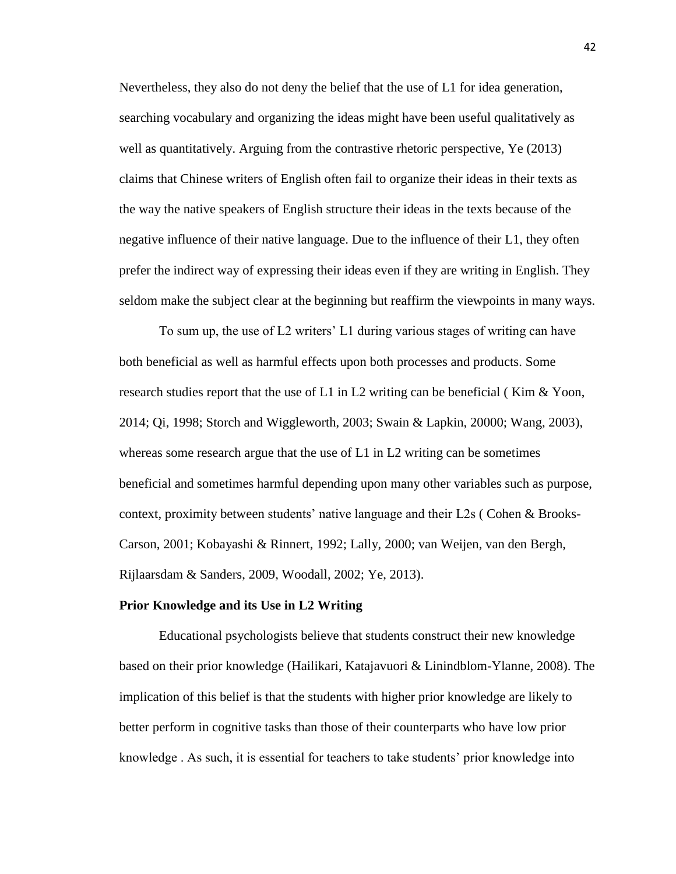Nevertheless, they also do not deny the belief that the use of L1 for idea generation, searching vocabulary and organizing the ideas might have been useful qualitatively as well as quantitatively. Arguing from the contrastive rhetoric perspective, Ye (2013) claims that Chinese writers of English often fail to organize their ideas in their texts as the way the native speakers of English structure their ideas in the texts because of the negative influence of their native language. Due to the influence of their L1, they often prefer the indirect way of expressing their ideas even if they are writing in English. They seldom make the subject clear at the beginning but reaffirm the viewpoints in many ways.

To sum up, the use of L2 writers' L1 during various stages of writing can have both beneficial as well as harmful effects upon both processes and products. Some research studies report that the use of  $L1$  in  $L2$  writing can be beneficial (Kim & Yoon, 2014; Qi, 1998; Storch and Wiggleworth, 2003; Swain & Lapkin, 20000; Wang, 2003), whereas some research argue that the use of L1 in L2 writing can be sometimes beneficial and sometimes harmful depending upon many other variables such as purpose, context, proximity between students' native language and their L2s ( Cohen & Brooks-Carson, 2001; Kobayashi & Rinnert, 1992; Lally, 2000; van Weijen, van den Bergh, Rijlaarsdam & Sanders, 2009, Woodall, 2002; Ye, 2013).

#### **Prior Knowledge and its Use in L2 Writing**

Educational psychologists believe that students construct their new knowledge based on their prior knowledge (Hailikari, Katajavuori & Linindblom-Ylanne, 2008). The implication of this belief is that the students with higher prior knowledge are likely to better perform in cognitive tasks than those of their counterparts who have low prior knowledge . As such, it is essential for teachers to take students' prior knowledge into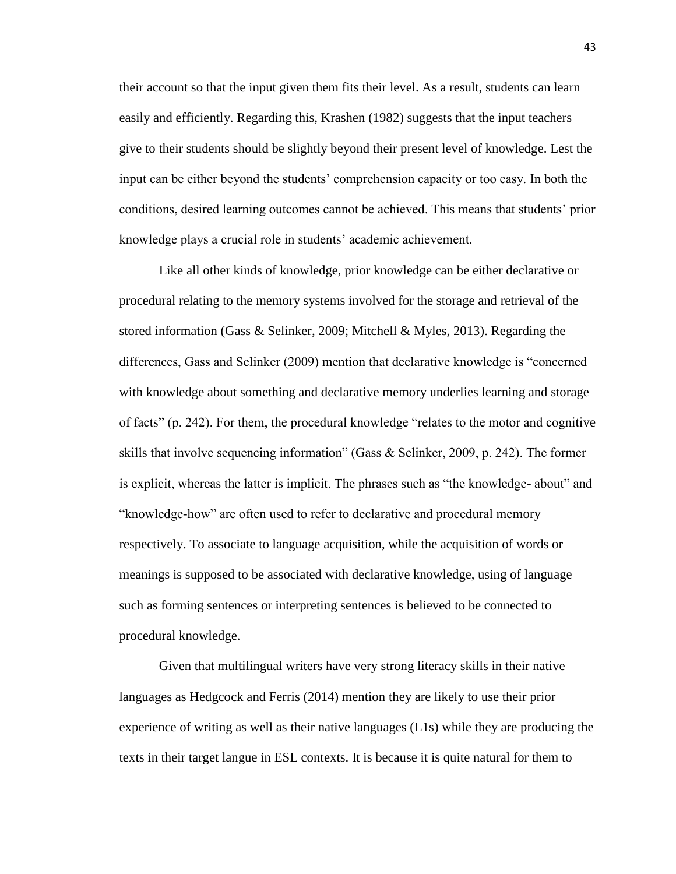their account so that the input given them fits their level. As a result, students can learn easily and efficiently. Regarding this, Krashen (1982) suggests that the input teachers give to their students should be slightly beyond their present level of knowledge. Lest the input can be either beyond the students' comprehension capacity or too easy. In both the conditions, desired learning outcomes cannot be achieved. This means that students' prior knowledge plays a crucial role in students' academic achievement.

Like all other kinds of knowledge, prior knowledge can be either declarative or procedural relating to the memory systems involved for the storage and retrieval of the stored information (Gass & Selinker, 2009; Mitchell & Myles, 2013). Regarding the differences, Gass and Selinker (2009) mention that declarative knowledge is "concerned with knowledge about something and declarative memory underlies learning and storage of facts" (p. 242). For them, the procedural knowledge "relates to the motor and cognitive skills that involve sequencing information" (Gass & Selinker, 2009, p. 242). The former is explicit, whereas the latter is implicit. The phrases such as "the knowledge- about" and "knowledge-how" are often used to refer to declarative and procedural memory respectively. To associate to language acquisition, while the acquisition of words or meanings is supposed to be associated with declarative knowledge, using of language such as forming sentences or interpreting sentences is believed to be connected to procedural knowledge.

Given that multilingual writers have very strong literacy skills in their native languages as Hedgcock and Ferris (2014) mention they are likely to use their prior experience of writing as well as their native languages (L1s) while they are producing the texts in their target langue in ESL contexts. It is because it is quite natural for them to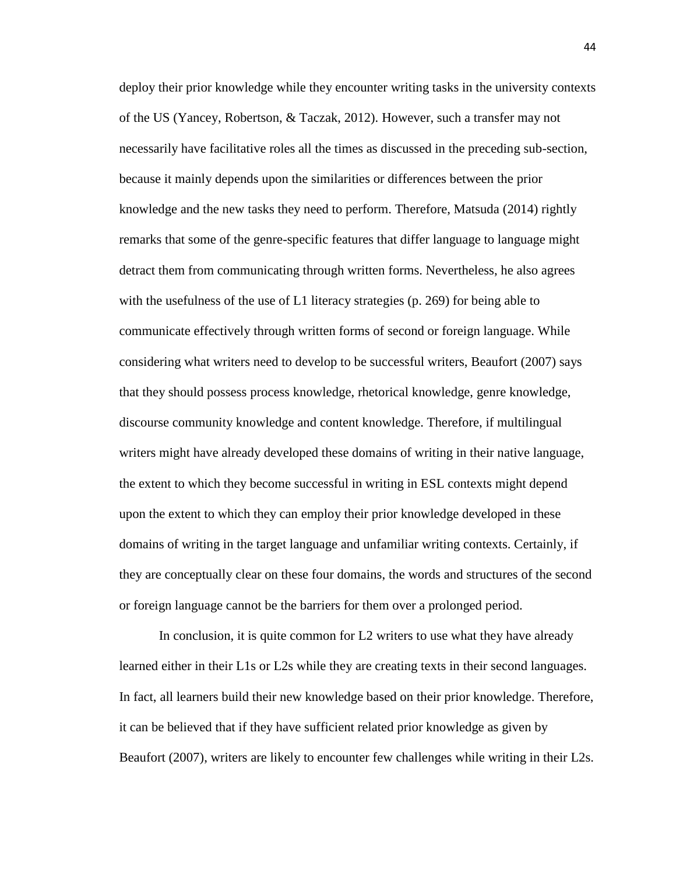deploy their prior knowledge while they encounter writing tasks in the university contexts of the US (Yancey, Robertson, & Taczak, 2012). However, such a transfer may not necessarily have facilitative roles all the times as discussed in the preceding sub-section, because it mainly depends upon the similarities or differences between the prior knowledge and the new tasks they need to perform. Therefore, Matsuda (2014) rightly remarks that some of the genre-specific features that differ language to language might detract them from communicating through written forms. Nevertheless, he also agrees with the usefulness of the use of L1 literacy strategies (p. 269) for being able to communicate effectively through written forms of second or foreign language. While considering what writers need to develop to be successful writers, Beaufort (2007) says that they should possess process knowledge, rhetorical knowledge, genre knowledge, discourse community knowledge and content knowledge. Therefore, if multilingual writers might have already developed these domains of writing in their native language, the extent to which they become successful in writing in ESL contexts might depend upon the extent to which they can employ their prior knowledge developed in these domains of writing in the target language and unfamiliar writing contexts. Certainly, if they are conceptually clear on these four domains, the words and structures of the second or foreign language cannot be the barriers for them over a prolonged period.

In conclusion, it is quite common for L2 writers to use what they have already learned either in their L1s or L2s while they are creating texts in their second languages. In fact, all learners build their new knowledge based on their prior knowledge. Therefore, it can be believed that if they have sufficient related prior knowledge as given by Beaufort (2007), writers are likely to encounter few challenges while writing in their L2s.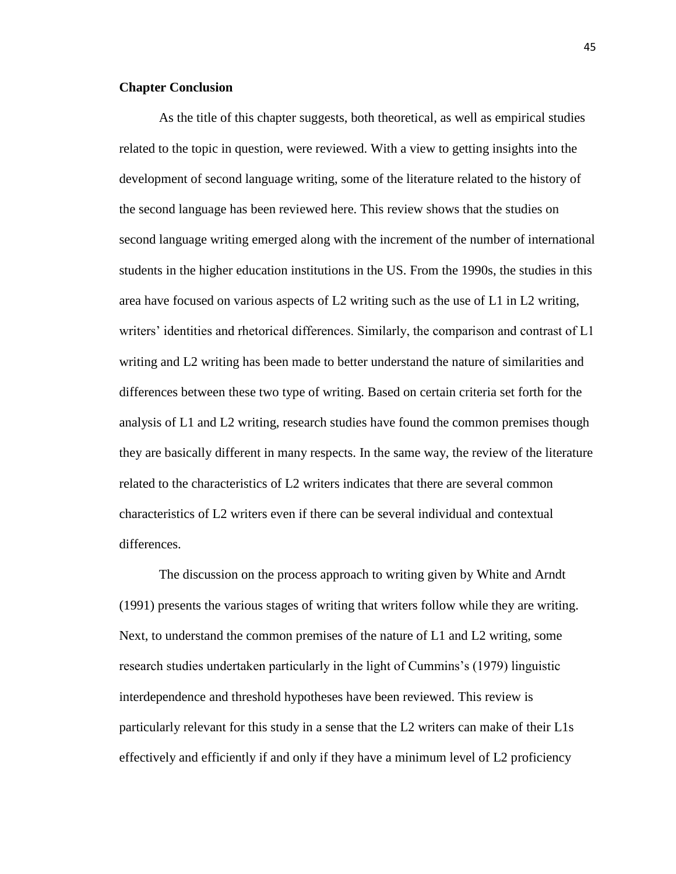# **Chapter Conclusion**

As the title of this chapter suggests, both theoretical, as well as empirical studies related to the topic in question, were reviewed. With a view to getting insights into the development of second language writing, some of the literature related to the history of the second language has been reviewed here. This review shows that the studies on second language writing emerged along with the increment of the number of international students in the higher education institutions in the US. From the 1990s, the studies in this area have focused on various aspects of L2 writing such as the use of L1 in L2 writing, writers' identities and rhetorical differences. Similarly, the comparison and contrast of L1 writing and L2 writing has been made to better understand the nature of similarities and differences between these two type of writing. Based on certain criteria set forth for the analysis of L1 and L2 writing, research studies have found the common premises though they are basically different in many respects. In the same way, the review of the literature related to the characteristics of L2 writers indicates that there are several common characteristics of L2 writers even if there can be several individual and contextual differences.

The discussion on the process approach to writing given by White and Arndt (1991) presents the various stages of writing that writers follow while they are writing. Next, to understand the common premises of the nature of L1 and L2 writing, some research studies undertaken particularly in the light of Cummins's (1979) linguistic interdependence and threshold hypotheses have been reviewed. This review is particularly relevant for this study in a sense that the L2 writers can make of their L1s effectively and efficiently if and only if they have a minimum level of L2 proficiency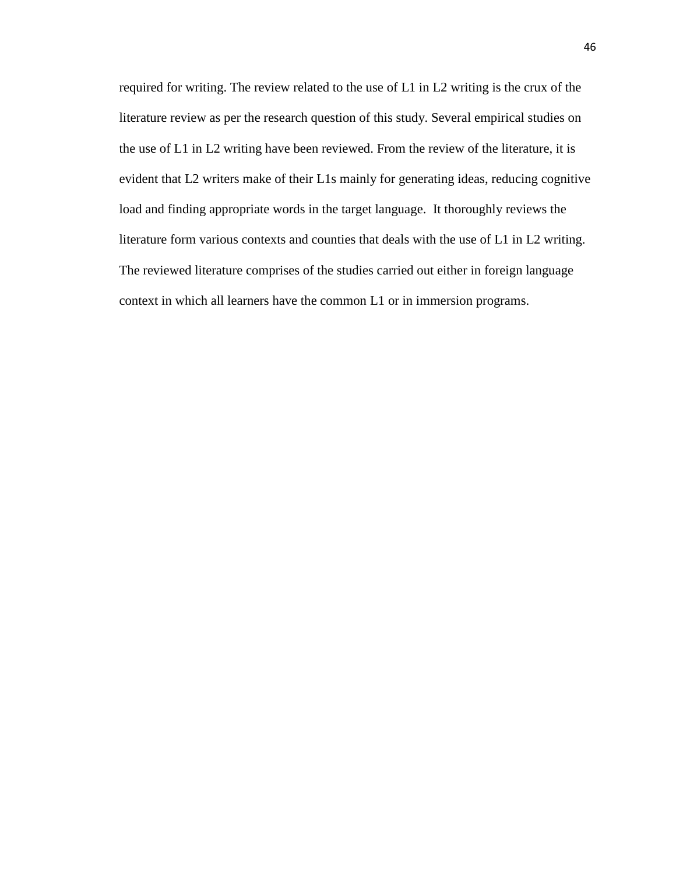required for writing. The review related to the use of L1 in L2 writing is the crux of the literature review as per the research question of this study. Several empirical studies on the use of L1 in L2 writing have been reviewed. From the review of the literature, it is evident that L2 writers make of their L1s mainly for generating ideas, reducing cognitive load and finding appropriate words in the target language. It thoroughly reviews the literature form various contexts and counties that deals with the use of L1 in L2 writing. The reviewed literature comprises of the studies carried out either in foreign language context in which all learners have the common L1 or in immersion programs.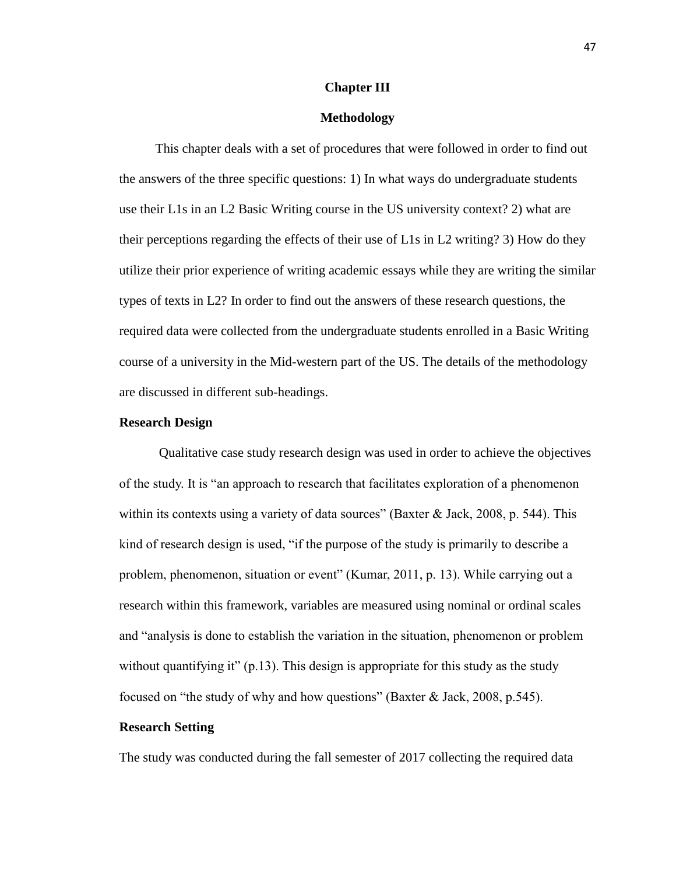#### **Chapter III**

# **Methodology**

 This chapter deals with a set of procedures that were followed in order to find out the answers of the three specific questions: 1) In what ways do undergraduate students use their L1s in an L2 Basic Writing course in the US university context? 2) what are their perceptions regarding the effects of their use of L1s in L2 writing? 3) How do they utilize their prior experience of writing academic essays while they are writing the similar types of texts in L2? In order to find out the answers of these research questions, the required data were collected from the undergraduate students enrolled in a Basic Writing course of a university in the Mid-western part of the US. The details of the methodology are discussed in different sub-headings.

## **Research Design**

Qualitative case study research design was used in order to achieve the objectives of the study. It is "an approach to research that facilitates exploration of a phenomenon within its contexts using a variety of data sources" (Baxter & Jack, 2008, p. 544). This kind of research design is used, "if the purpose of the study is primarily to describe a problem, phenomenon, situation or event" (Kumar, 2011, p. 13). While carrying out a research within this framework, variables are measured using nominal or ordinal scales and "analysis is done to establish the variation in the situation, phenomenon or problem without quantifying it"  $(p.13)$ . This design is appropriate for this study as the study focused on "the study of why and how questions" (Baxter & Jack, 2008, p.545).

## **Research Setting**

The study was conducted during the fall semester of 2017 collecting the required data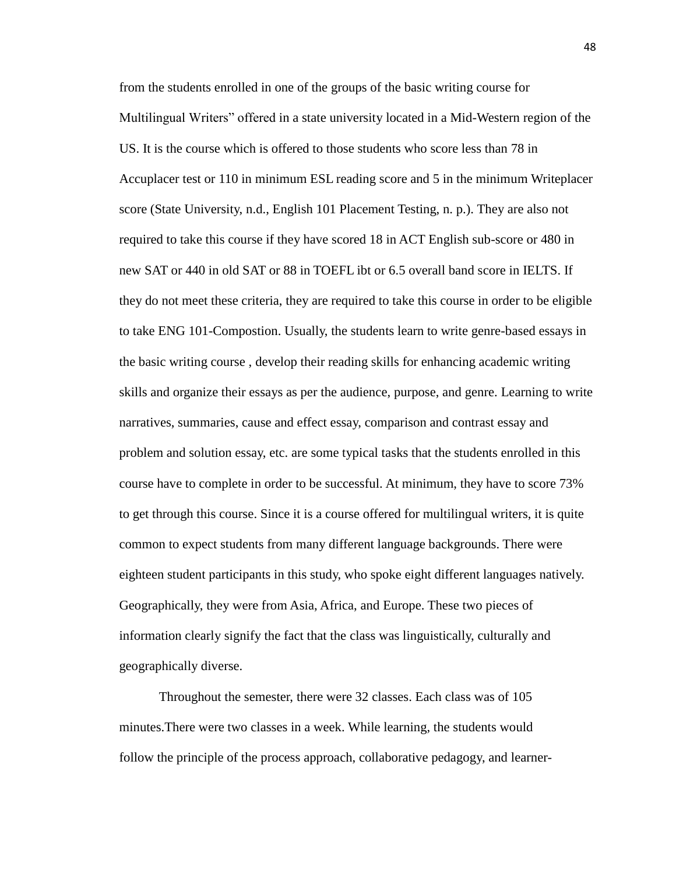from the students enrolled in one of the groups of the basic writing course for Multilingual Writers" offered in a state university located in a Mid-Western region of the US. It is the course which is offered to those students who score less than 78 in Accuplacer test or 110 in minimum ESL reading score and 5 in the minimum Writeplacer score (State University, n.d., English 101 Placement Testing, n. p.). They are also not required to take this course if they have scored 18 in ACT English sub-score or 480 in new SAT or 440 in old SAT or 88 in TOEFL ibt or 6.5 overall band score in IELTS. If they do not meet these criteria, they are required to take this course in order to be eligible to take ENG 101-Compostion. Usually, the students learn to write genre-based essays in the basic writing course , develop their reading skills for enhancing academic writing skills and organize their essays as per the audience, purpose, and genre. Learning to write narratives, summaries, cause and effect essay, comparison and contrast essay and problem and solution essay, etc. are some typical tasks that the students enrolled in this course have to complete in order to be successful. At minimum, they have to score 73% to get through this course. Since it is a course offered for multilingual writers, it is quite common to expect students from many different language backgrounds. There were eighteen student participants in this study, who spoke eight different languages natively. Geographically, they were from Asia, Africa, and Europe. These two pieces of information clearly signify the fact that the class was linguistically, culturally and geographically diverse.

Throughout the semester, there were 32 classes. Each class was of 105 minutes.There were two classes in a week. While learning, the students would follow the principle of the process approach, collaborative pedagogy, and learner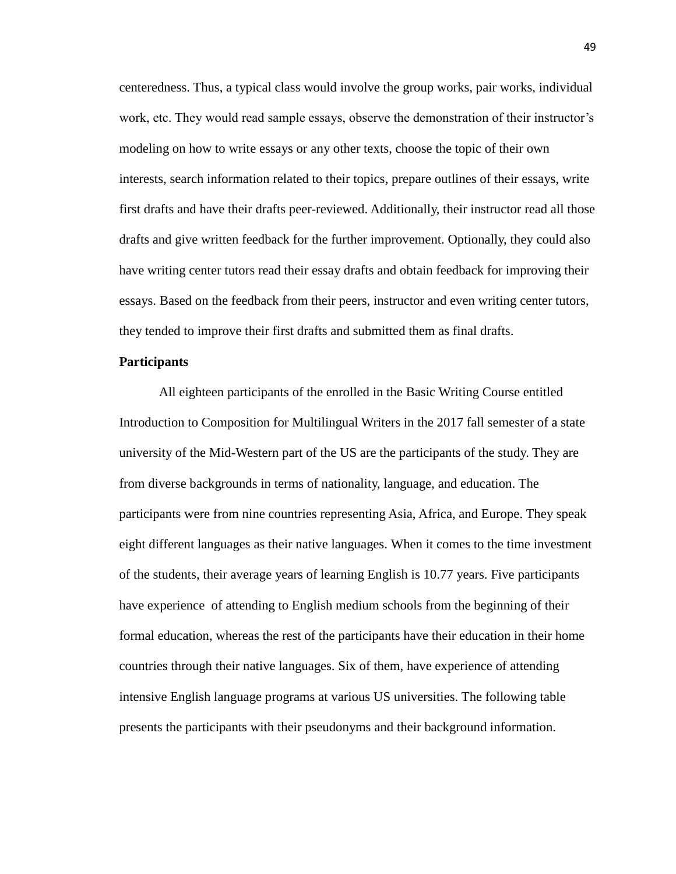centeredness. Thus, a typical class would involve the group works, pair works, individual work, etc. They would read sample essays, observe the demonstration of their instructor's modeling on how to write essays or any other texts, choose the topic of their own interests, search information related to their topics, prepare outlines of their essays, write first drafts and have their drafts peer-reviewed. Additionally, their instructor read all those drafts and give written feedback for the further improvement. Optionally, they could also have writing center tutors read their essay drafts and obtain feedback for improving their essays. Based on the feedback from their peers, instructor and even writing center tutors, they tended to improve their first drafts and submitted them as final drafts.

## **Participants**

All eighteen participants of the enrolled in the Basic Writing Course entitled Introduction to Composition for Multilingual Writers in the 2017 fall semester of a state university of the Mid-Western part of the US are the participants of the study. They are from diverse backgrounds in terms of nationality, language, and education. The participants were from nine countries representing Asia, Africa, and Europe. They speak eight different languages as their native languages. When it comes to the time investment of the students, their average years of learning English is 10.77 years. Five participants have experience of attending to English medium schools from the beginning of their formal education, whereas the rest of the participants have their education in their home countries through their native languages. Six of them, have experience of attending intensive English language programs at various US universities. The following table presents the participants with their pseudonyms and their background information.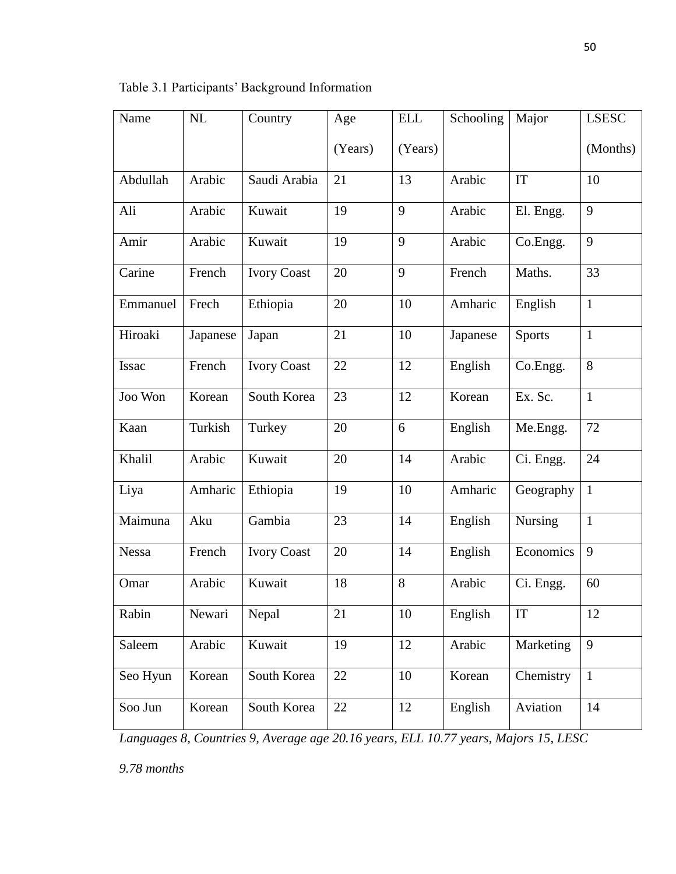| Name         | NL       | Country            | Age     | <b>ELL</b> | Schooling | Major          | <b>LSESC</b> |
|--------------|----------|--------------------|---------|------------|-----------|----------------|--------------|
|              |          |                    | (Years) | (Years)    |           |                | (Months)     |
| Abdullah     | Arabic   | Saudi Arabia       | 21      | 13         | Arabic    | <b>IT</b>      | 10           |
| Ali          | Arabic   | Kuwait             | 19      | 9          | Arabic    | El. Engg.      | 9            |
| Amir         | Arabic   | Kuwait             | 19      | 9          | Arabic    | Co.Engg.       | 9            |
| Carine       | French   | <b>Ivory Coast</b> | 20      | 9          | French    | Maths.         | 33           |
| Emmanuel     | Frech    | Ethiopia           | 20      | 10         | Amharic   | English        | $\mathbf{1}$ |
| Hiroaki      | Japanese | Japan              | 21      | 10         | Japanese  | <b>Sports</b>  | $\mathbf{1}$ |
| <b>Issac</b> | French   | <b>Ivory Coast</b> | 22      | 12         | English   | Co.Engg.       | 8            |
| Joo Won      | Korean   | South Korea        | 23      | 12         | Korean    | Ex. Sc.        | $\mathbf{1}$ |
| Kaan         | Turkish  | Turkey             | 20      | 6          | English   | Me.Engg.       | 72           |
| Khalil       | Arabic   | Kuwait             | 20      | 14         | Arabic    | Ci. Engg.      | 24           |
| Liya         | Amharic  | Ethiopia           | 19      | 10         | Amharic   | Geography      | $\mathbf{1}$ |
| Maimuna      | Aku      | Gambia             | 23      | 14         | English   | <b>Nursing</b> | $\mathbf{1}$ |
| <b>Nessa</b> | French   | <b>Ivory Coast</b> | 20      | 14         | English   | Economics      | 9            |
| Omar         | Arabic   | Kuwait             | 18      | 8          | Arabic    | Ci. Engg.      | 60           |
| Rabin        | Newari   | Nepal              | 21      | 10         | English   | IT             | 12           |
| Saleem       | Arabic   | Kuwait             | 19      | 12         | Arabic    | Marketing      | 9            |
| Seo Hyun     | Korean   | South Korea        | $22\,$  | 10         | Korean    | Chemistry      | $\mathbf{1}$ |
| Soo Jun      | Korean   | South Korea        | 22      | 12         | English   | Aviation       | 14           |

Table 3.1 Participants' Background Information

*Languages 8, Countries 9, Average age 20.16 years, ELL 10.77 years, Majors 15, LESC* 

*9.78 months*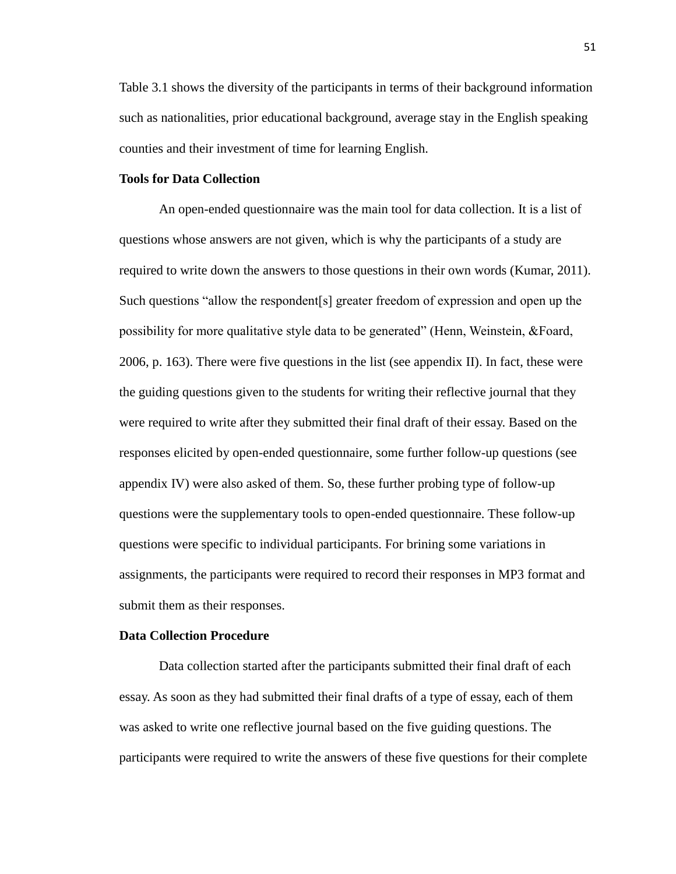Table 3.1 shows the diversity of the participants in terms of their background information such as nationalities, prior educational background, average stay in the English speaking counties and their investment of time for learning English.

# **Tools for Data Collection**

An open-ended questionnaire was the main tool for data collection. It is a list of questions whose answers are not given, which is why the participants of a study are required to write down the answers to those questions in their own words (Kumar, 2011). Such questions "allow the respondent[s] greater freedom of expression and open up the possibility for more qualitative style data to be generated" (Henn, Weinstein, &Foard, 2006, p. 163). There were five questions in the list (see appendix II). In fact, these were the guiding questions given to the students for writing their reflective journal that they were required to write after they submitted their final draft of their essay. Based on the responses elicited by open-ended questionnaire, some further follow-up questions (see appendix IV) were also asked of them. So, these further probing type of follow-up questions were the supplementary tools to open-ended questionnaire. These follow-up questions were specific to individual participants. For brining some variations in assignments, the participants were required to record their responses in MP3 format and submit them as their responses.

## **Data Collection Procedure**

Data collection started after the participants submitted their final draft of each essay. As soon as they had submitted their final drafts of a type of essay, each of them was asked to write one reflective journal based on the five guiding questions. The participants were required to write the answers of these five questions for their complete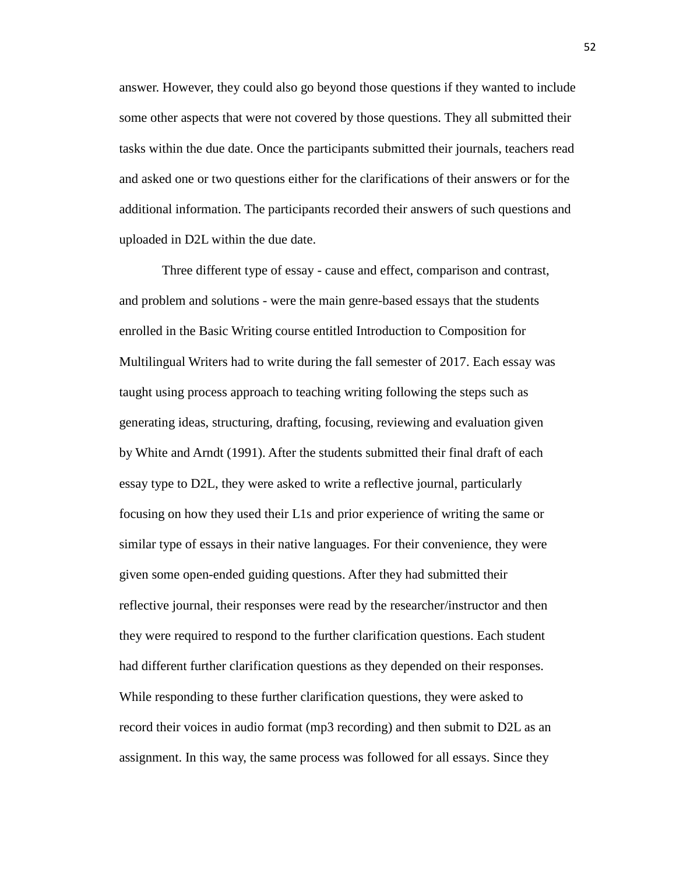answer. However, they could also go beyond those questions if they wanted to include some other aspects that were not covered by those questions. They all submitted their tasks within the due date. Once the participants submitted their journals, teachers read and asked one or two questions either for the clarifications of their answers or for the additional information. The participants recorded their answers of such questions and uploaded in D2L within the due date.

Three different type of essay - cause and effect, comparison and contrast, and problem and solutions - were the main genre-based essays that the students enrolled in the Basic Writing course entitled Introduction to Composition for Multilingual Writers had to write during the fall semester of 2017. Each essay was taught using process approach to teaching writing following the steps such as generating ideas, structuring, drafting, focusing, reviewing and evaluation given by White and Arndt (1991). After the students submitted their final draft of each essay type to D2L, they were asked to write a reflective journal, particularly focusing on how they used their L1s and prior experience of writing the same or similar type of essays in their native languages. For their convenience, they were given some open-ended guiding questions. After they had submitted their reflective journal, their responses were read by the researcher/instructor and then they were required to respond to the further clarification questions. Each student had different further clarification questions as they depended on their responses. While responding to these further clarification questions, they were asked to record their voices in audio format (mp3 recording) and then submit to D2L as an assignment. In this way, the same process was followed for all essays. Since they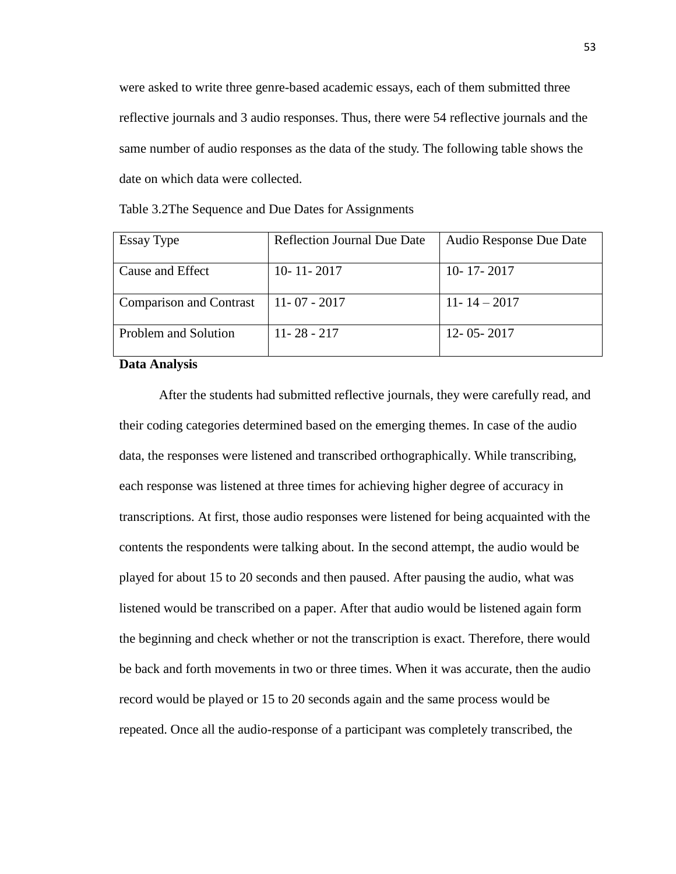were asked to write three genre-based academic essays, each of them submitted three reflective journals and 3 audio responses. Thus, there were 54 reflective journals and the same number of audio responses as the data of the study. The following table shows the date on which data were collected.

| Essay Type                     | <b>Reflection Journal Due Date</b> | Audio Response Due Date |
|--------------------------------|------------------------------------|-------------------------|
| Cause and Effect               | $10 - 11 - 2017$                   | $10 - 17 - 2017$        |
| <b>Comparison and Contrast</b> | $11 - 07 - 2017$                   | $11 - 14 - 2017$        |
| Problem and Solution           | $11 - 28 - 217$                    | $12 - 05 - 2017$        |

Table 3.2The Sequence and Due Dates for Assignments

#### **Data Analysis**

After the students had submitted reflective journals, they were carefully read, and their coding categories determined based on the emerging themes. In case of the audio data, the responses were listened and transcribed orthographically. While transcribing, each response was listened at three times for achieving higher degree of accuracy in transcriptions. At first, those audio responses were listened for being acquainted with the contents the respondents were talking about. In the second attempt, the audio would be played for about 15 to 20 seconds and then paused. After pausing the audio, what was listened would be transcribed on a paper. After that audio would be listened again form the beginning and check whether or not the transcription is exact. Therefore, there would be back and forth movements in two or three times. When it was accurate, then the audio record would be played or 15 to 20 seconds again and the same process would be repeated. Once all the audio-response of a participant was completely transcribed, the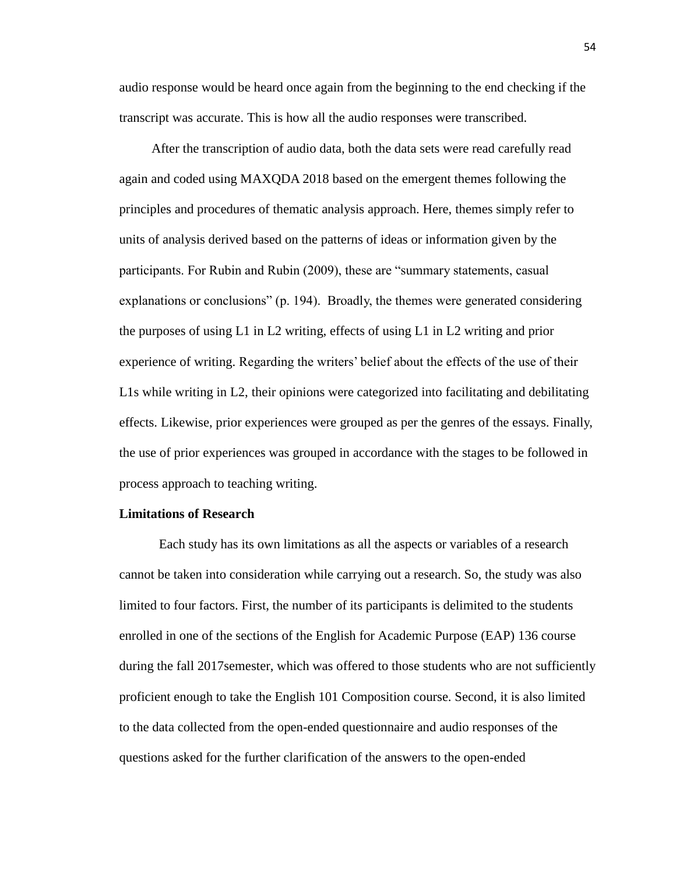audio response would be heard once again from the beginning to the end checking if the transcript was accurate. This is how all the audio responses were transcribed.

 After the transcription of audio data, both the data sets were read carefully read again and coded using MAXQDA 2018 based on the emergent themes following the principles and procedures of thematic analysis approach. Here, themes simply refer to units of analysis derived based on the patterns of ideas or information given by the participants. For Rubin and Rubin (2009), these are "summary statements, casual explanations or conclusions" (p. 194). Broadly, the themes were generated considering the purposes of using L1 in L2 writing, effects of using L1 in L2 writing and prior experience of writing. Regarding the writers' belief about the effects of the use of their L1s while writing in L2, their opinions were categorized into facilitating and debilitating effects. Likewise, prior experiences were grouped as per the genres of the essays. Finally, the use of prior experiences was grouped in accordance with the stages to be followed in process approach to teaching writing.

## **Limitations of Research**

Each study has its own limitations as all the aspects or variables of a research cannot be taken into consideration while carrying out a research. So, the study was also limited to four factors. First, the number of its participants is delimited to the students enrolled in one of the sections of the English for Academic Purpose (EAP) 136 course during the fall 2017semester, which was offered to those students who are not sufficiently proficient enough to take the English 101 Composition course. Second, it is also limited to the data collected from the open-ended questionnaire and audio responses of the questions asked for the further clarification of the answers to the open-ended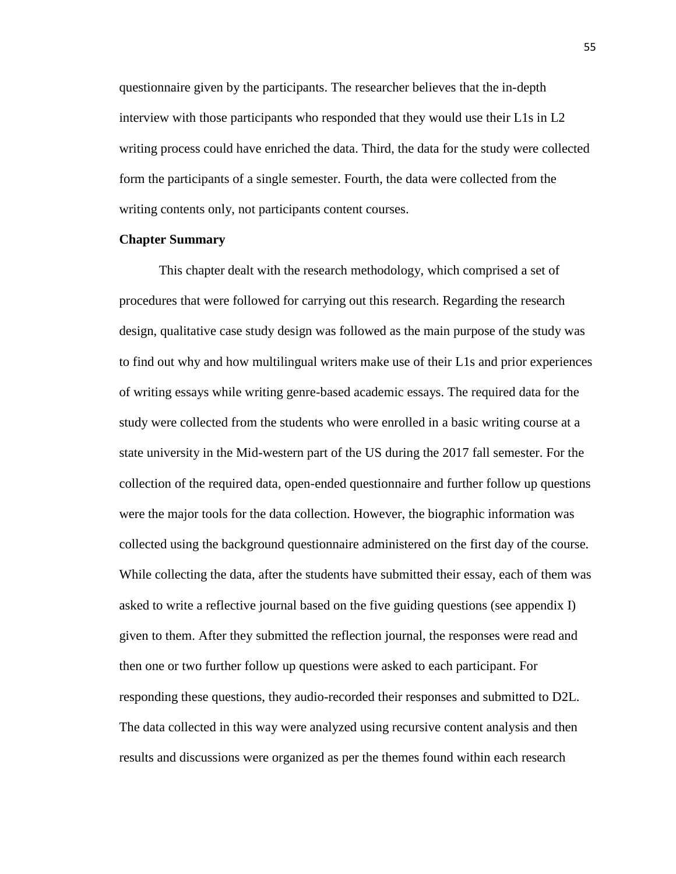questionnaire given by the participants. The researcher believes that the in-depth interview with those participants who responded that they would use their L1s in L2 writing process could have enriched the data. Third, the data for the study were collected form the participants of a single semester. Fourth, the data were collected from the writing contents only, not participants content courses.

## **Chapter Summary**

This chapter dealt with the research methodology, which comprised a set of procedures that were followed for carrying out this research. Regarding the research design, qualitative case study design was followed as the main purpose of the study was to find out why and how multilingual writers make use of their L1s and prior experiences of writing essays while writing genre-based academic essays. The required data for the study were collected from the students who were enrolled in a basic writing course at a state university in the Mid-western part of the US during the 2017 fall semester. For the collection of the required data, open-ended questionnaire and further follow up questions were the major tools for the data collection. However, the biographic information was collected using the background questionnaire administered on the first day of the course. While collecting the data, after the students have submitted their essay, each of them was asked to write a reflective journal based on the five guiding questions (see appendix I) given to them. After they submitted the reflection journal, the responses were read and then one or two further follow up questions were asked to each participant. For responding these questions, they audio-recorded their responses and submitted to D2L. The data collected in this way were analyzed using recursive content analysis and then results and discussions were organized as per the themes found within each research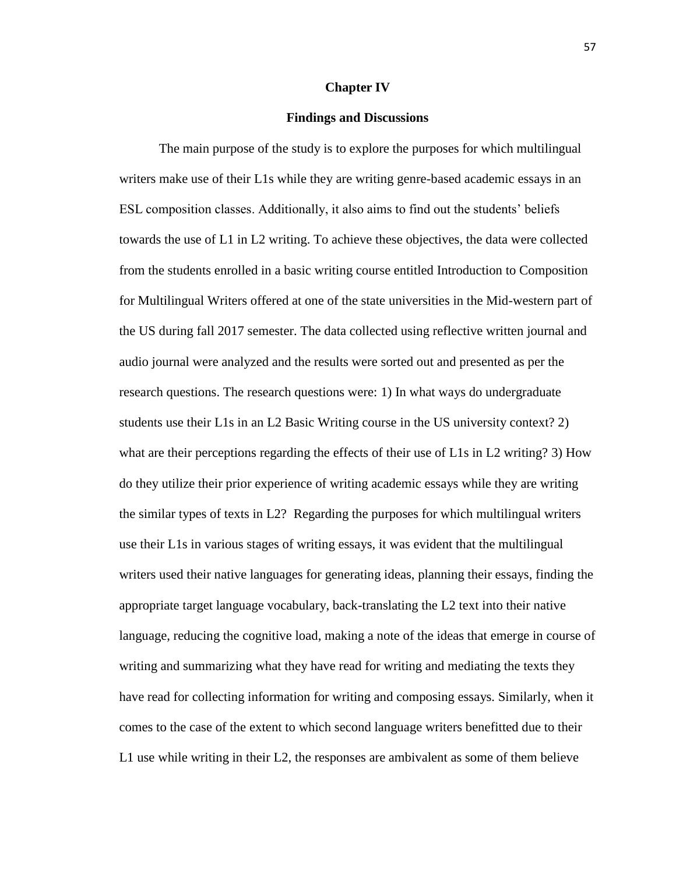#### **Chapter IV**

## **Findings and Discussions**

The main purpose of the study is to explore the purposes for which multilingual writers make use of their L1s while they are writing genre-based academic essays in an ESL composition classes. Additionally, it also aims to find out the students' beliefs towards the use of L1 in L2 writing. To achieve these objectives, the data were collected from the students enrolled in a basic writing course entitled Introduction to Composition for Multilingual Writers offered at one of the state universities in the Mid-western part of the US during fall 2017 semester. The data collected using reflective written journal and audio journal were analyzed and the results were sorted out and presented as per the research questions. The research questions were: 1) In what ways do undergraduate students use their L1s in an L2 Basic Writing course in the US university context? 2) what are their perceptions regarding the effects of their use of L1s in L2 writing? 3) How do they utilize their prior experience of writing academic essays while they are writing the similar types of texts in L2? Regarding the purposes for which multilingual writers use their L1s in various stages of writing essays, it was evident that the multilingual writers used their native languages for generating ideas, planning their essays, finding the appropriate target language vocabulary, back-translating the L2 text into their native language, reducing the cognitive load, making a note of the ideas that emerge in course of writing and summarizing what they have read for writing and mediating the texts they have read for collecting information for writing and composing essays. Similarly, when it comes to the case of the extent to which second language writers benefitted due to their L1 use while writing in their L2, the responses are ambivalent as some of them believe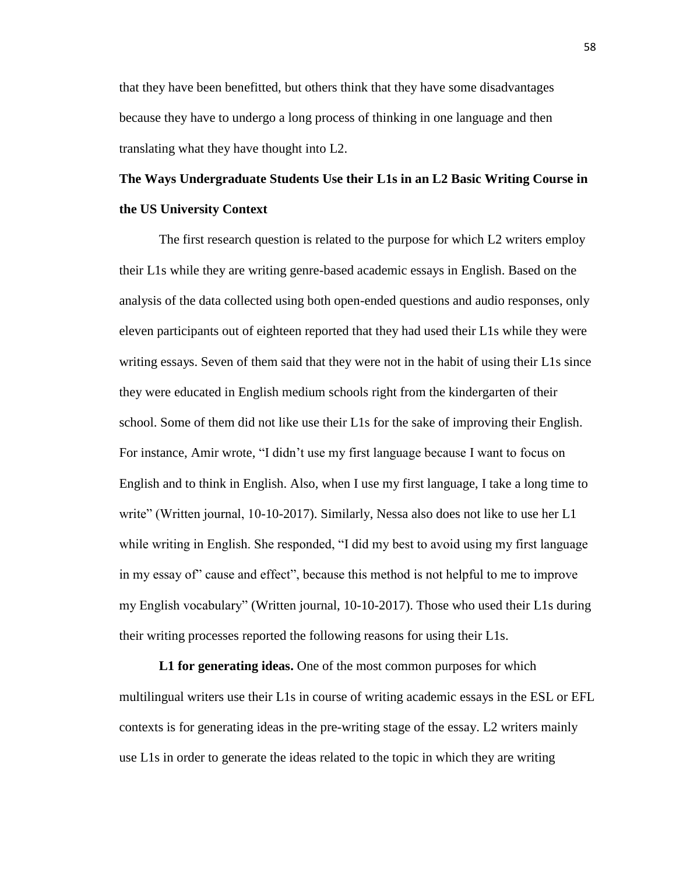that they have been benefitted, but others think that they have some disadvantages because they have to undergo a long process of thinking in one language and then translating what they have thought into L2.

# **The Ways Undergraduate Students Use their L1s in an L2 Basic Writing Course in the US University Context**

The first research question is related to the purpose for which L2 writers employ their L1s while they are writing genre-based academic essays in English. Based on the analysis of the data collected using both open-ended questions and audio responses, only eleven participants out of eighteen reported that they had used their L1s while they were writing essays. Seven of them said that they were not in the habit of using their L1s since they were educated in English medium schools right from the kindergarten of their school. Some of them did not like use their L1s for the sake of improving their English. For instance, Amir wrote, "I didn't use my first language because I want to focus on English and to think in English. Also, when I use my first language, I take a long time to write" (Written journal, 10-10-2017). Similarly, Nessa also does not like to use her L1 while writing in English. She responded, "I did my best to avoid using my first language in my essay of" cause and effect", because this method is not helpful to me to improve my English vocabulary" (Written journal, 10-10-2017). Those who used their L1s during their writing processes reported the following reasons for using their L1s.

**L1 for generating ideas.** One of the most common purposes for which multilingual writers use their L1s in course of writing academic essays in the ESL or EFL contexts is for generating ideas in the pre-writing stage of the essay. L2 writers mainly use L1s in order to generate the ideas related to the topic in which they are writing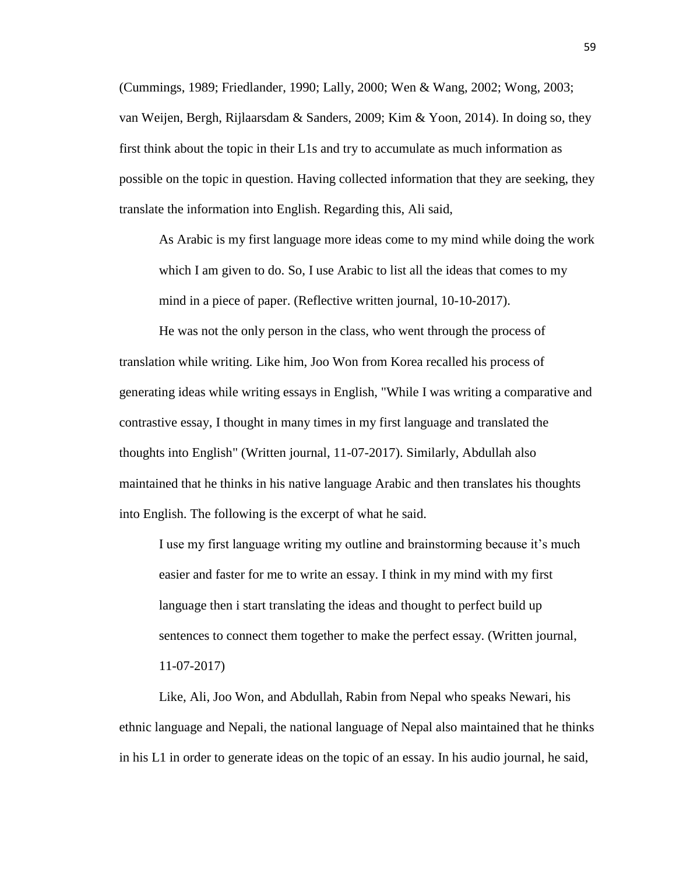(Cummings, 1989; Friedlander, 1990; Lally, 2000; Wen & Wang, 2002; Wong, 2003; van Weijen, Bergh, Rijlaarsdam & Sanders, 2009; Kim & Yoon, 2014). In doing so, they first think about the topic in their L1s and try to accumulate as much information as possible on the topic in question. Having collected information that they are seeking, they translate the information into English. Regarding this, Ali said,

As Arabic is my first language more ideas come to my mind while doing the work which I am given to do. So, I use Arabic to list all the ideas that comes to my mind in a piece of paper. (Reflective written journal, 10-10-2017).

He was not the only person in the class, who went through the process of translation while writing. Like him, Joo Won from Korea recalled his process of generating ideas while writing essays in English, "While I was writing a comparative and contrastive essay, I thought in many times in my first language and translated the thoughts into English" (Written journal, 11-07-2017). Similarly, Abdullah also maintained that he thinks in his native language Arabic and then translates his thoughts into English. The following is the excerpt of what he said.

I use my first language writing my outline and brainstorming because it's much easier and faster for me to write an essay. I think in my mind with my first language then i start translating the ideas and thought to perfect build up sentences to connect them together to make the perfect essay. (Written journal, 11-07-2017)

Like, Ali, Joo Won, and Abdullah, Rabin from Nepal who speaks Newari, his ethnic language and Nepali, the national language of Nepal also maintained that he thinks in his L1 in order to generate ideas on the topic of an essay. In his audio journal, he said,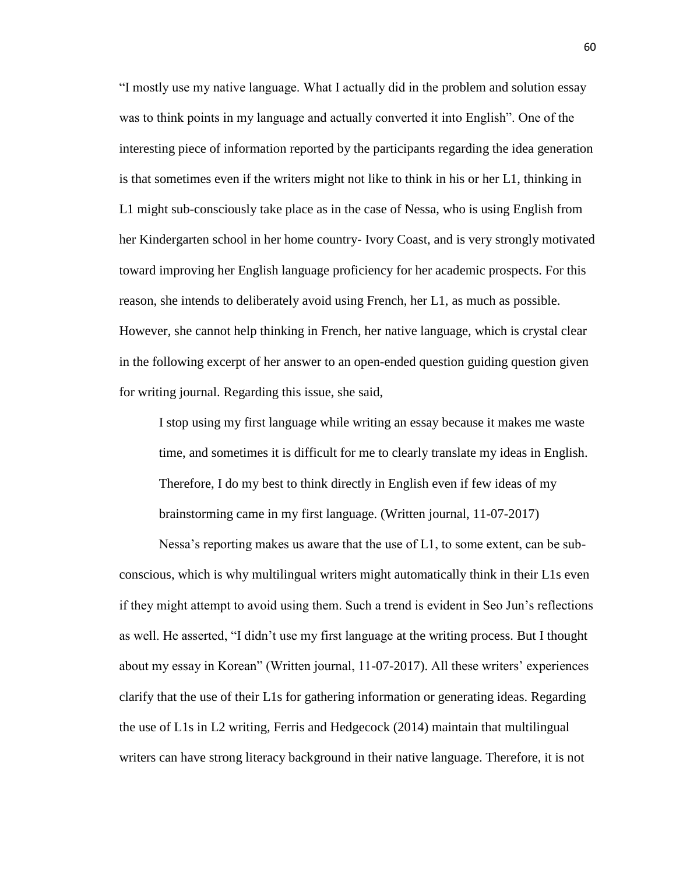"I mostly use my native language. What I actually did in the problem and solution essay was to think points in my language and actually converted it into English". One of the interesting piece of information reported by the participants regarding the idea generation is that sometimes even if the writers might not like to think in his or her L1, thinking in L1 might sub-consciously take place as in the case of Nessa, who is using English from her Kindergarten school in her home country- Ivory Coast, and is very strongly motivated toward improving her English language proficiency for her academic prospects. For this reason, she intends to deliberately avoid using French, her L1, as much as possible. However, she cannot help thinking in French, her native language, which is crystal clear in the following excerpt of her answer to an open-ended question guiding question given for writing journal. Regarding this issue, she said,

I stop using my first language while writing an essay because it makes me waste time, and sometimes it is difficult for me to clearly translate my ideas in English. Therefore, I do my best to think directly in English even if few ideas of my brainstorming came in my first language. (Written journal, 11-07-2017)

Nessa's reporting makes us aware that the use of L1, to some extent, can be subconscious, which is why multilingual writers might automatically think in their L1s even if they might attempt to avoid using them. Such a trend is evident in Seo Jun's reflections as well. He asserted, "I didn't use my first language at the writing process. But I thought about my essay in Korean" (Written journal, 11-07-2017). All these writers' experiences clarify that the use of their L1s for gathering information or generating ideas. Regarding the use of L1s in L2 writing, Ferris and Hedgecock (2014) maintain that multilingual writers can have strong literacy background in their native language. Therefore, it is not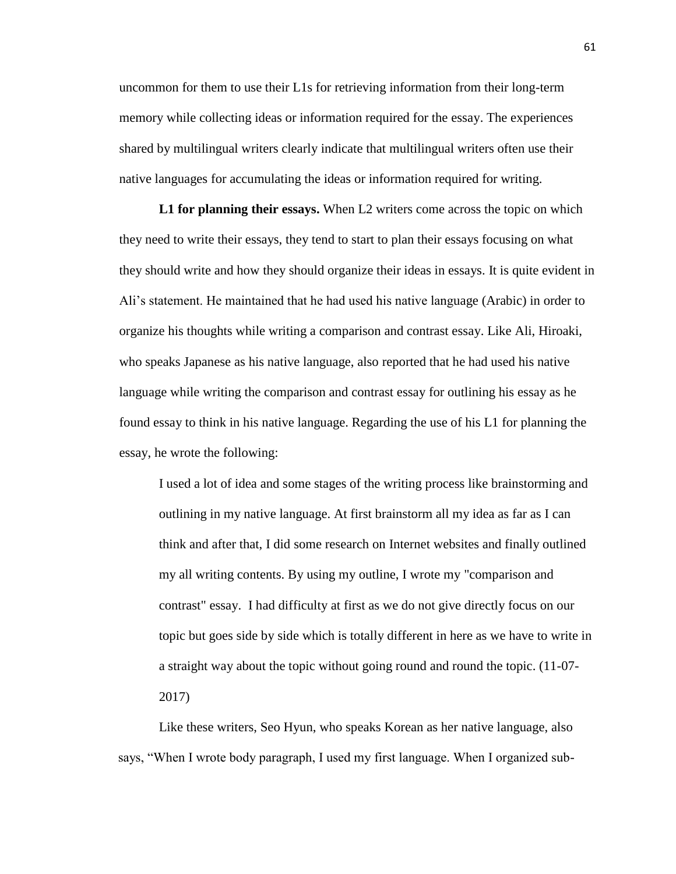uncommon for them to use their L1s for retrieving information from their long-term memory while collecting ideas or information required for the essay. The experiences shared by multilingual writers clearly indicate that multilingual writers often use their native languages for accumulating the ideas or information required for writing.

**L1 for planning their essays.** When L2 writers come across the topic on which they need to write their essays, they tend to start to plan their essays focusing on what they should write and how they should organize their ideas in essays. It is quite evident in Ali's statement. He maintained that he had used his native language (Arabic) in order to organize his thoughts while writing a comparison and contrast essay. Like Ali, Hiroaki, who speaks Japanese as his native language, also reported that he had used his native language while writing the comparison and contrast essay for outlining his essay as he found essay to think in his native language. Regarding the use of his L1 for planning the essay, he wrote the following:

I used a lot of idea and some stages of the writing process like brainstorming and outlining in my native language. At first brainstorm all my idea as far as I can think and after that, I did some research on Internet websites and finally outlined my all writing contents. By using my outline, I wrote my "comparison and contrast" essay. I had difficulty at first as we do not give directly focus on our topic but goes side by side which is totally different in here as we have to write in a straight way about the topic without going round and round the topic. (11-07- 2017)

Like these writers, Seo Hyun, who speaks Korean as her native language, also says, "When I wrote body paragraph, I used my first language. When I organized sub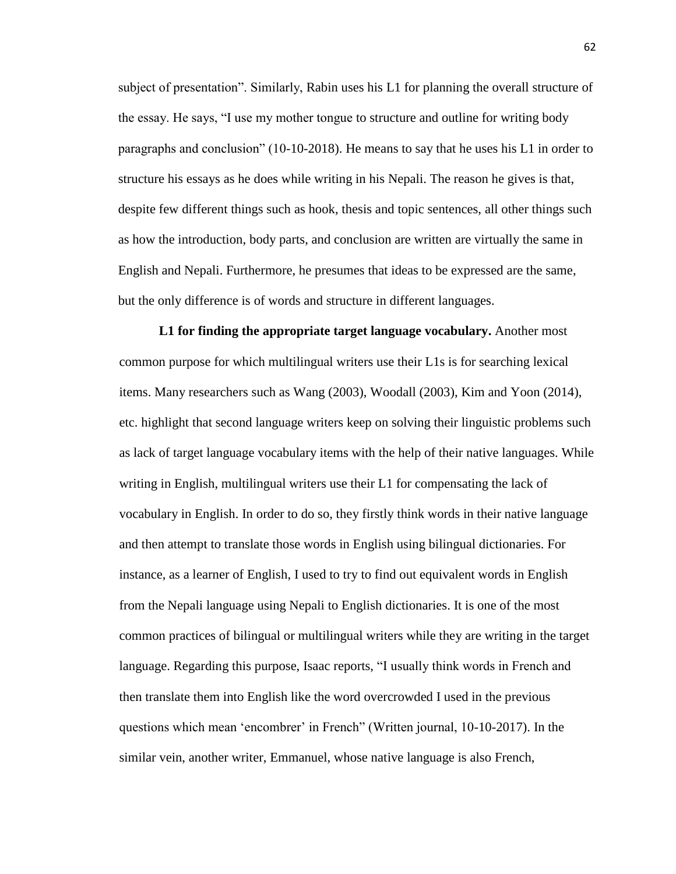subject of presentation". Similarly, Rabin uses his L1 for planning the overall structure of the essay. He says, "I use my mother tongue to structure and outline for writing body paragraphs and conclusion" (10-10-2018). He means to say that he uses his L1 in order to structure his essays as he does while writing in his Nepali. The reason he gives is that, despite few different things such as hook, thesis and topic sentences, all other things such as how the introduction, body parts, and conclusion are written are virtually the same in English and Nepali. Furthermore, he presumes that ideas to be expressed are the same, but the only difference is of words and structure in different languages.

**L1 for finding the appropriate target language vocabulary.** Another most common purpose for which multilingual writers use their L1s is for searching lexical items. Many researchers such as Wang (2003), Woodall (2003), Kim and Yoon (2014), etc. highlight that second language writers keep on solving their linguistic problems such as lack of target language vocabulary items with the help of their native languages. While writing in English, multilingual writers use their L1 for compensating the lack of vocabulary in English. In order to do so, they firstly think words in their native language and then attempt to translate those words in English using bilingual dictionaries. For instance, as a learner of English, I used to try to find out equivalent words in English from the Nepali language using Nepali to English dictionaries. It is one of the most common practices of bilingual or multilingual writers while they are writing in the target language. Regarding this purpose, Isaac reports, "I usually think words in French and then translate them into English like the word overcrowded I used in the previous questions which mean 'encombrer' in French" (Written journal, 10-10-2017). In the similar vein, another writer, Emmanuel, whose native language is also French,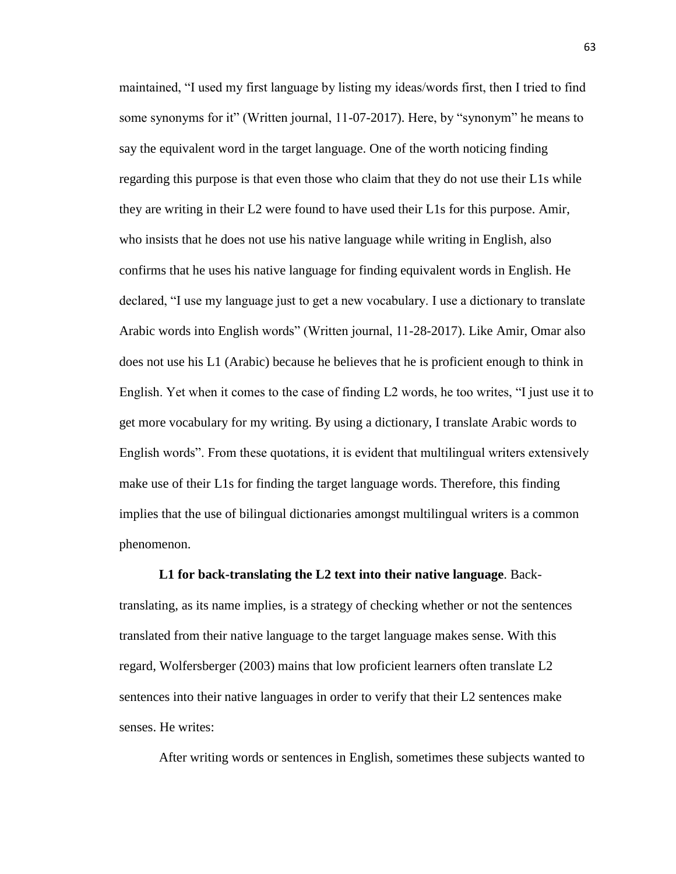maintained, "I used my first language by listing my ideas/words first, then I tried to find some synonyms for it" (Written journal, 11-07-2017). Here, by "synonym" he means to say the equivalent word in the target language. One of the worth noticing finding regarding this purpose is that even those who claim that they do not use their L1s while they are writing in their L2 were found to have used their L1s for this purpose. Amir, who insists that he does not use his native language while writing in English, also confirms that he uses his native language for finding equivalent words in English. He declared, "I use my language just to get a new vocabulary. I use a dictionary to translate Arabic words into English words" (Written journal, 11-28-2017). Like Amir, Omar also does not use his L1 (Arabic) because he believes that he is proficient enough to think in English. Yet when it comes to the case of finding L2 words, he too writes, "I just use it to get more vocabulary for my writing. By using a dictionary, I translate Arabic words to English words". From these quotations, it is evident that multilingual writers extensively make use of their L1s for finding the target language words. Therefore, this finding implies that the use of bilingual dictionaries amongst multilingual writers is a common phenomenon.

**L1 for back-translating the L2 text into their native language**. Backtranslating, as its name implies, is a strategy of checking whether or not the sentences translated from their native language to the target language makes sense. With this regard, Wolfersberger (2003) mains that low proficient learners often translate L2 sentences into their native languages in order to verify that their L2 sentences make senses. He writes:

After writing words or sentences in English, sometimes these subjects wanted to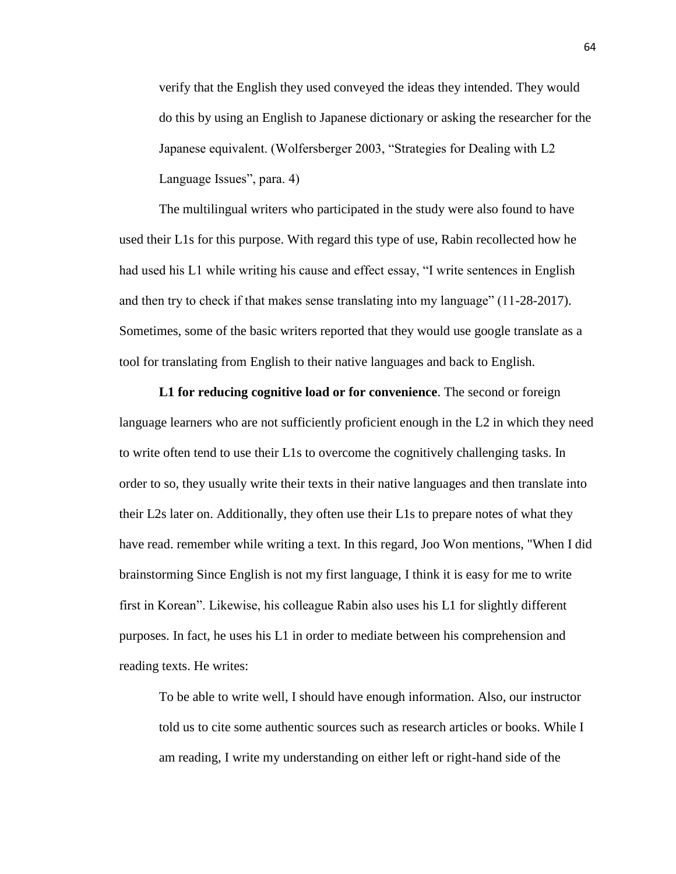verify that the English they used conveyed the ideas they intended. They would do this by using an English to Japanese dictionary or asking the researcher for the Japanese equivalent. (Wolfersberger 2003, "Strategies for Dealing with L2 Language Issues", para. 4)

The multilingual writers who participated in the study were also found to have used their L1s for this purpose. With regard this type of use, Rabin recollected how he had used his L1 while writing his cause and effect essay, "I write sentences in English and then try to check if that makes sense translating into my language" (11-28-2017). Sometimes, some of the basic writers reported that they would use google translate as a tool for translating from English to their native languages and back to English.

**L1 for reducing cognitive load or for convenience**. The second or foreign language learners who are not sufficiently proficient enough in the L2 in which they need to write often tend to use their L1s to overcome the cognitively challenging tasks. In order to so, they usually write their texts in their native languages and then translate into their L2s later on. Additionally, they often use their L1s to prepare notes of what they have read. remember while writing a text. In this regard, Joo Won mentions, "When I did brainstorming Since English is not my first language, I think it is easy for me to write first in Korean". Likewise, his colleague Rabin also uses his L1 for slightly different purposes. In fact, he uses his L1 in order to mediate between his comprehension and reading texts. He writes:

To be able to write well, I should have enough information. Also, our instructor told us to cite some authentic sources such as research articles or books. While I am reading, I write my understanding on either left or right-hand side of the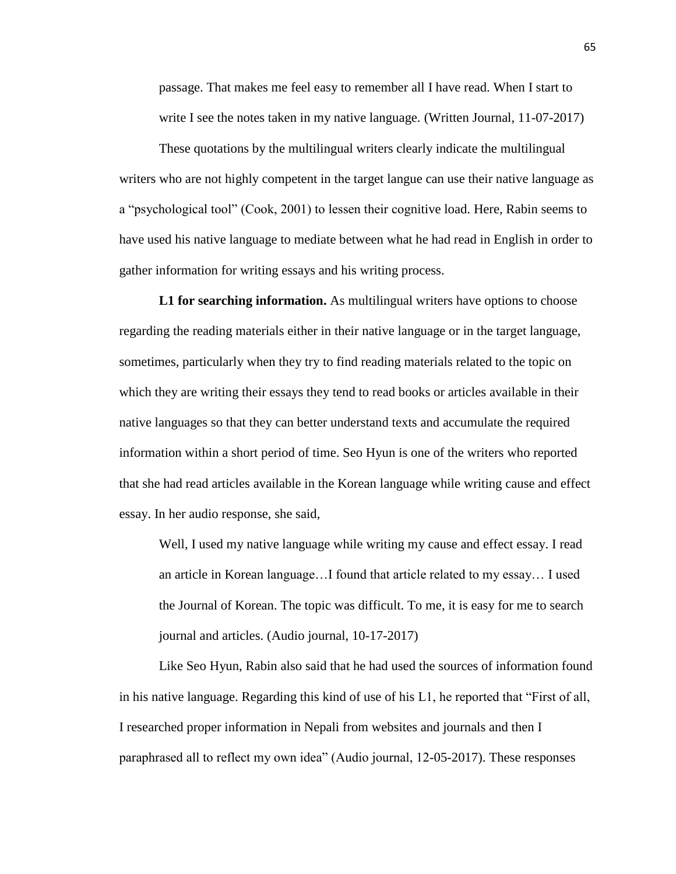passage. That makes me feel easy to remember all I have read. When I start to write I see the notes taken in my native language. (Written Journal, 11-07-2017)

These quotations by the multilingual writers clearly indicate the multilingual writers who are not highly competent in the target langue can use their native language as a "psychological tool" (Cook, 2001) to lessen their cognitive load. Here, Rabin seems to have used his native language to mediate between what he had read in English in order to gather information for writing essays and his writing process.

 **L1 for searching information.** As multilingual writers have options to choose regarding the reading materials either in their native language or in the target language, sometimes, particularly when they try to find reading materials related to the topic on which they are writing their essays they tend to read books or articles available in their native languages so that they can better understand texts and accumulate the required information within a short period of time. Seo Hyun is one of the writers who reported that she had read articles available in the Korean language while writing cause and effect essay. In her audio response, she said,

Well, I used my native language while writing my cause and effect essay. I read an article in Korean language…I found that article related to my essay… I used the Journal of Korean. The topic was difficult. To me, it is easy for me to search journal and articles. (Audio journal, 10-17-2017)

Like Seo Hyun, Rabin also said that he had used the sources of information found in his native language. Regarding this kind of use of his L1, he reported that "First of all, I researched proper information in Nepali from websites and journals and then I paraphrased all to reflect my own idea" (Audio journal, 12-05-2017). These responses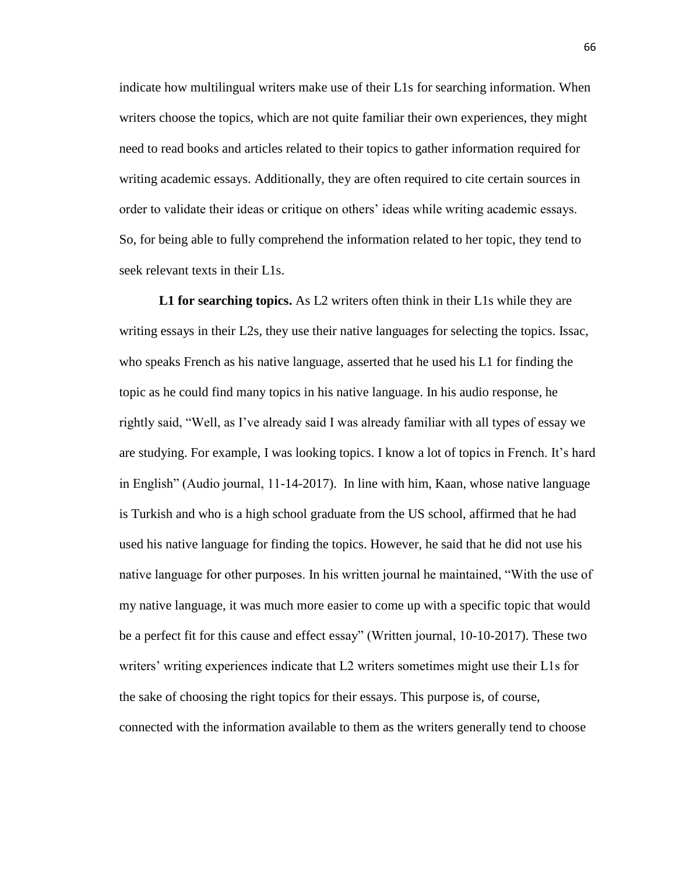indicate how multilingual writers make use of their L1s for searching information. When writers choose the topics, which are not quite familiar their own experiences, they might need to read books and articles related to their topics to gather information required for writing academic essays. Additionally, they are often required to cite certain sources in order to validate their ideas or critique on others' ideas while writing academic essays. So, for being able to fully comprehend the information related to her topic, they tend to seek relevant texts in their L1s.

**L1 for searching topics.** As L2 writers often think in their L1s while they are writing essays in their L2s, they use their native languages for selecting the topics. Issac, who speaks French as his native language, asserted that he used his L1 for finding the topic as he could find many topics in his native language. In his audio response, he rightly said, "Well, as I've already said I was already familiar with all types of essay we are studying. For example, I was looking topics. I know a lot of topics in French. It's hard in English" (Audio journal, 11-14-2017). In line with him, Kaan, whose native language is Turkish and who is a high school graduate from the US school, affirmed that he had used his native language for finding the topics. However, he said that he did not use his native language for other purposes. In his written journal he maintained, "With the use of my native language, it was much more easier to come up with a specific topic that would be a perfect fit for this cause and effect essay" (Written journal, 10-10-2017). These two writers' writing experiences indicate that L2 writers sometimes might use their L1s for the sake of choosing the right topics for their essays. This purpose is, of course, connected with the information available to them as the writers generally tend to choose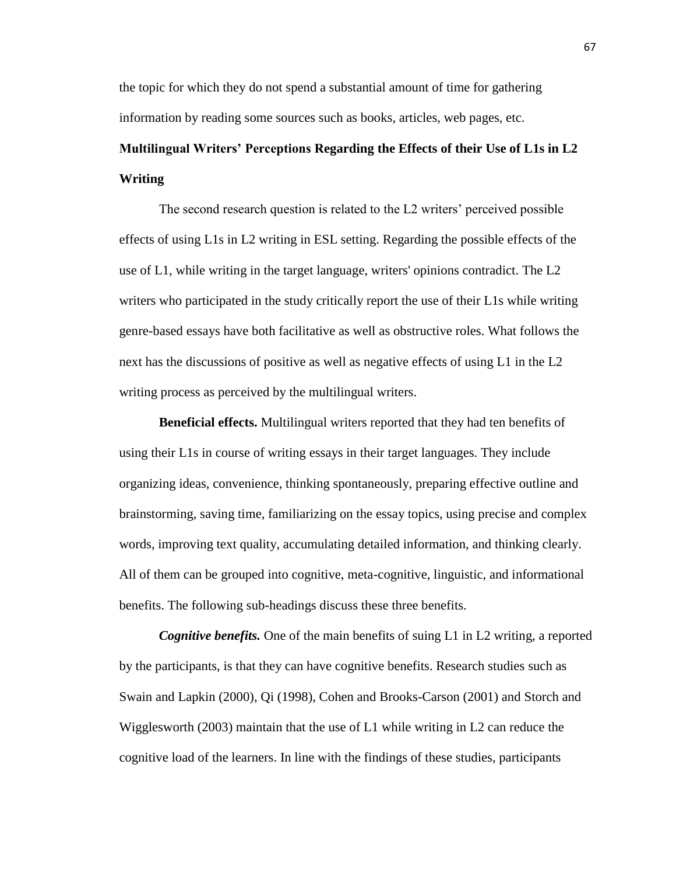the topic for which they do not spend a substantial amount of time for gathering information by reading some sources such as books, articles, web pages, etc.

# **Multilingual Writers' Perceptions Regarding the Effects of their Use of L1s in L2 Writing**

The second research question is related to the L2 writers' perceived possible effects of using L1s in L2 writing in ESL setting. Regarding the possible effects of the use of L1, while writing in the target language, writers' opinions contradict. The L2 writers who participated in the study critically report the use of their L1s while writing genre-based essays have both facilitative as well as obstructive roles. What follows the next has the discussions of positive as well as negative effects of using L1 in the L2 writing process as perceived by the multilingual writers.

 **Beneficial effects.** Multilingual writers reported that they had ten benefits of using their L1s in course of writing essays in their target languages. They include organizing ideas, convenience, thinking spontaneously, preparing effective outline and brainstorming, saving time, familiarizing on the essay topics, using precise and complex words, improving text quality, accumulating detailed information, and thinking clearly. All of them can be grouped into cognitive, meta-cognitive, linguistic, and informational benefits. The following sub-headings discuss these three benefits.

*Cognitive benefits.* One of the main benefits of suing L1 in L2 writing, a reported by the participants, is that they can have cognitive benefits. Research studies such as Swain and Lapkin (2000), Qi (1998), Cohen and Brooks-Carson (2001) and Storch and Wigglesworth (2003) maintain that the use of L1 while writing in L2 can reduce the cognitive load of the learners. In line with the findings of these studies, participants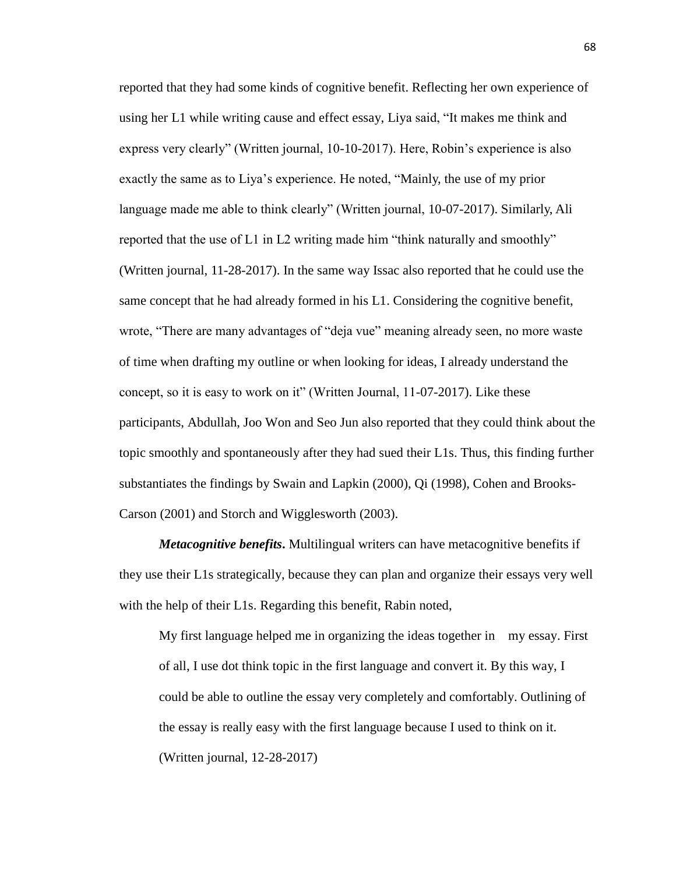reported that they had some kinds of cognitive benefit. Reflecting her own experience of using her L1 while writing cause and effect essay, Liya said, "It makes me think and express very clearly" (Written journal, 10-10-2017). Here, Robin's experience is also exactly the same as to Liya's experience. He noted, "Mainly, the use of my prior language made me able to think clearly" (Written journal, 10-07-2017). Similarly, Ali reported that the use of L1 in L2 writing made him "think naturally and smoothly" (Written journal, 11-28-2017). In the same way Issac also reported that he could use the same concept that he had already formed in his L1. Considering the cognitive benefit, wrote, "There are many advantages of "deja vue" meaning already seen, no more waste of time when drafting my outline or when looking for ideas, I already understand the concept, so it is easy to work on it" (Written Journal, 11-07-2017). Like these participants, Abdullah, Joo Won and Seo Jun also reported that they could think about the topic smoothly and spontaneously after they had sued their L1s. Thus, this finding further substantiates the findings by Swain and Lapkin (2000), Qi (1998), Cohen and Brooks-Carson (2001) and Storch and Wigglesworth (2003).

*Metacognitive benefits***.** Multilingual writers can have metacognitive benefits if they use their L1s strategically, because they can plan and organize their essays very well with the help of their L1s. Regarding this benefit, Rabin noted,

My first language helped me in organizing the ideas together in my essay. First of all, I use dot think topic in the first language and convert it. By this way, I could be able to outline the essay very completely and comfortably. Outlining of the essay is really easy with the first language because I used to think on it. (Written journal, 12-28-2017)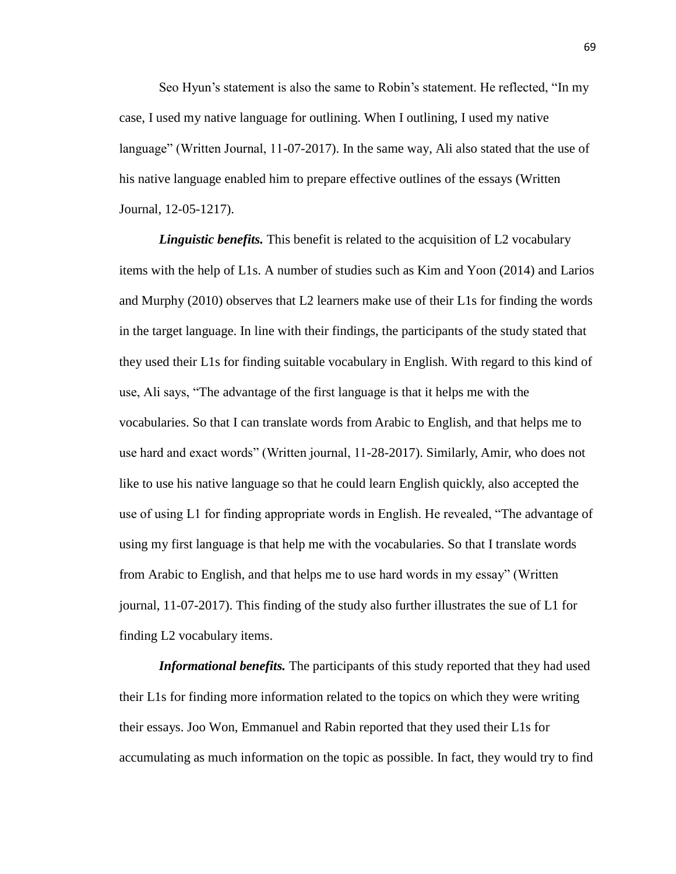Seo Hyun's statement is also the same to Robin's statement. He reflected, "In my case, I used my native language for outlining. When I outlining, I used my native language" (Written Journal, 11-07-2017). In the same way, Ali also stated that the use of his native language enabled him to prepare effective outlines of the essays (Written Journal, 12-05-1217).

*Linguistic benefits.* This benefit is related to the acquisition of L2 vocabulary items with the help of L1s. A number of studies such as Kim and Yoon (2014) and Larios and Murphy (2010) observes that L2 learners make use of their L1s for finding the words in the target language. In line with their findings, the participants of the study stated that they used their L1s for finding suitable vocabulary in English. With regard to this kind of use, Ali says, "The advantage of the first language is that it helps me with the vocabularies. So that I can translate words from Arabic to English, and that helps me to use hard and exact words" (Written journal, 11-28-2017). Similarly, Amir, who does not like to use his native language so that he could learn English quickly, also accepted the use of using L1 for finding appropriate words in English. He revealed, "The advantage of using my first language is that help me with the vocabularies. So that I translate words from Arabic to English, and that helps me to use hard words in my essay" (Written journal, 11-07-2017). This finding of the study also further illustrates the sue of L1 for finding L2 vocabulary items.

*Informational benefits.* The participants of this study reported that they had used their L1s for finding more information related to the topics on which they were writing their essays. Joo Won, Emmanuel and Rabin reported that they used their L1s for accumulating as much information on the topic as possible. In fact, they would try to find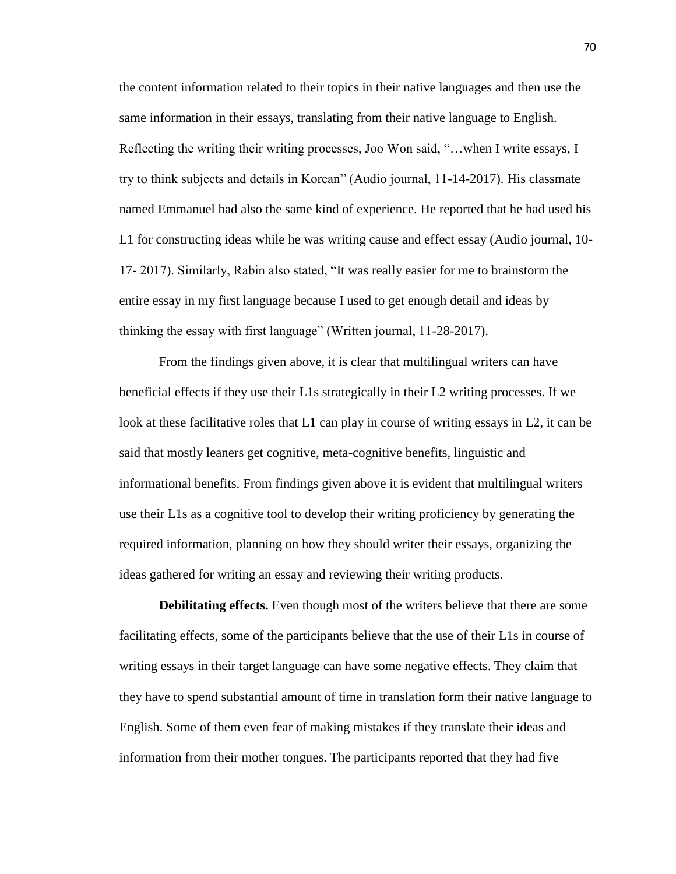the content information related to their topics in their native languages and then use the same information in their essays, translating from their native language to English. Reflecting the writing their writing processes, Joo Won said, "…when I write essays, I try to think subjects and details in Korean" (Audio journal, 11-14-2017). His classmate named Emmanuel had also the same kind of experience. He reported that he had used his L1 for constructing ideas while he was writing cause and effect essay (Audio journal, 10- 17- 2017). Similarly, Rabin also stated, "It was really easier for me to brainstorm the entire essay in my first language because I used to get enough detail and ideas by thinking the essay with first language" (Written journal, 11-28-2017).

From the findings given above, it is clear that multilingual writers can have beneficial effects if they use their L1s strategically in their L2 writing processes. If we look at these facilitative roles that L1 can play in course of writing essays in L2, it can be said that mostly leaners get cognitive, meta-cognitive benefits, linguistic and informational benefits. From findings given above it is evident that multilingual writers use their L1s as a cognitive tool to develop their writing proficiency by generating the required information, planning on how they should writer their essays, organizing the ideas gathered for writing an essay and reviewing their writing products.

**Debilitating effects.** Even though most of the writers believe that there are some facilitating effects, some of the participants believe that the use of their L1s in course of writing essays in their target language can have some negative effects. They claim that they have to spend substantial amount of time in translation form their native language to English. Some of them even fear of making mistakes if they translate their ideas and information from their mother tongues. The participants reported that they had five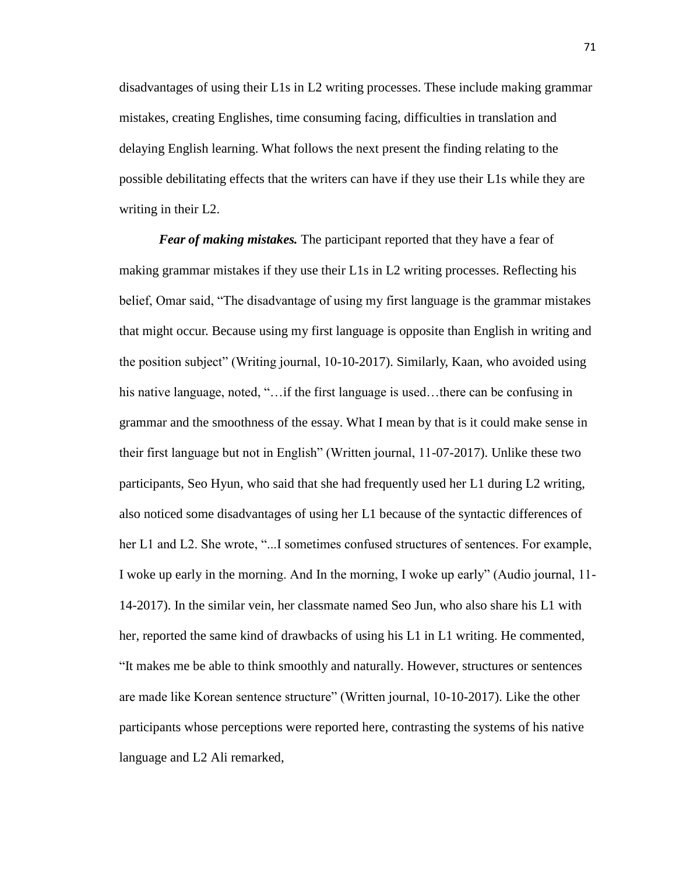disadvantages of using their L1s in L2 writing processes. These include making grammar mistakes, creating Englishes, time consuming facing, difficulties in translation and delaying English learning. What follows the next present the finding relating to the possible debilitating effects that the writers can have if they use their L1s while they are writing in their L2.

*Fear of making mistakes.* The participant reported that they have a fear of making grammar mistakes if they use their L1s in L2 writing processes. Reflecting his belief, Omar said, "The disadvantage of using my first language is the grammar mistakes that might occur. Because using my first language is opposite than English in writing and the position subject" (Writing journal, 10-10-2017). Similarly, Kaan, who avoided using his native language, noted, "...if the first language is used...there can be confusing in grammar and the smoothness of the essay. What I mean by that is it could make sense in their first language but not in English" (Written journal, 11-07-2017). Unlike these two participants, Seo Hyun, who said that she had frequently used her L1 during L2 writing, also noticed some disadvantages of using her L1 because of the syntactic differences of her L1 and L2. She wrote, "...I sometimes confused structures of sentences. For example, I woke up early in the morning. And In the morning, I woke up early" (Audio journal, 11- 14-2017). In the similar vein, her classmate named Seo Jun, who also share his L1 with her, reported the same kind of drawbacks of using his L1 in L1 writing. He commented, "It makes me be able to think smoothly and naturally. However, structures or sentences are made like Korean sentence structure" (Written journal, 10-10-2017). Like the other participants whose perceptions were reported here, contrasting the systems of his native language and L2 Ali remarked,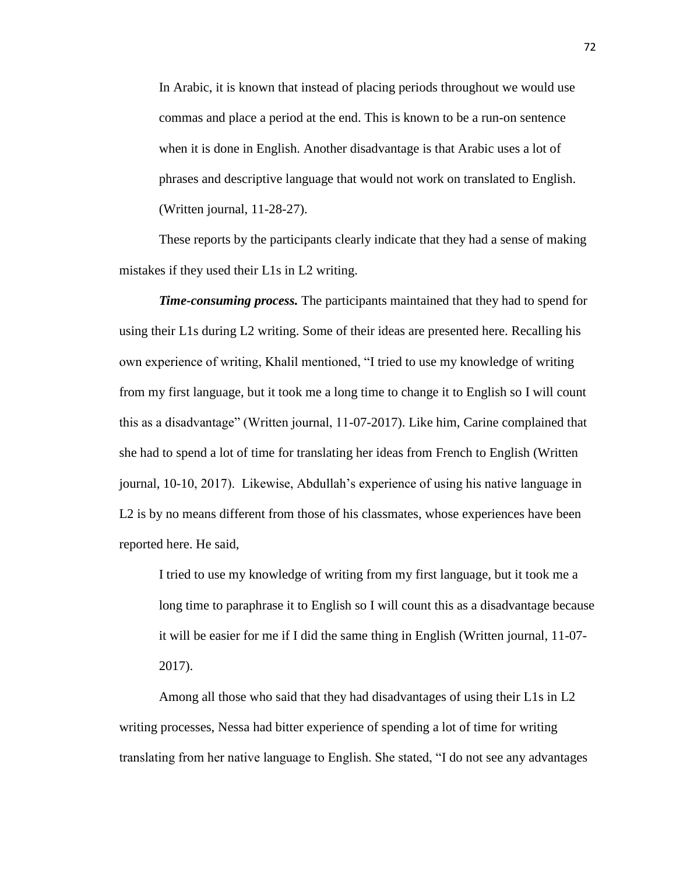In Arabic, it is known that instead of placing periods throughout we would use commas and place a period at the end. This is known to be a run-on sentence when it is done in English. Another disadvantage is that Arabic uses a lot of phrases and descriptive language that would not work on translated to English. (Written journal, 11-28-27).

These reports by the participants clearly indicate that they had a sense of making mistakes if they used their L1s in L2 writing.

*Time-consuming process.* The participants maintained that they had to spend for using their L1s during L2 writing. Some of their ideas are presented here. Recalling his own experience of writing, Khalil mentioned, "I tried to use my knowledge of writing from my first language, but it took me a long time to change it to English so I will count this as a disadvantage" (Written journal, 11-07-2017). Like him, Carine complained that she had to spend a lot of time for translating her ideas from French to English (Written journal, 10-10, 2017). Likewise, Abdullah's experience of using his native language in L2 is by no means different from those of his classmates, whose experiences have been reported here. He said,

I tried to use my knowledge of writing from my first language, but it took me a long time to paraphrase it to English so I will count this as a disadvantage because it will be easier for me if I did the same thing in English (Written journal, 11-07- 2017).

Among all those who said that they had disadvantages of using their L1s in L2 writing processes, Nessa had bitter experience of spending a lot of time for writing translating from her native language to English. She stated, "I do not see any advantages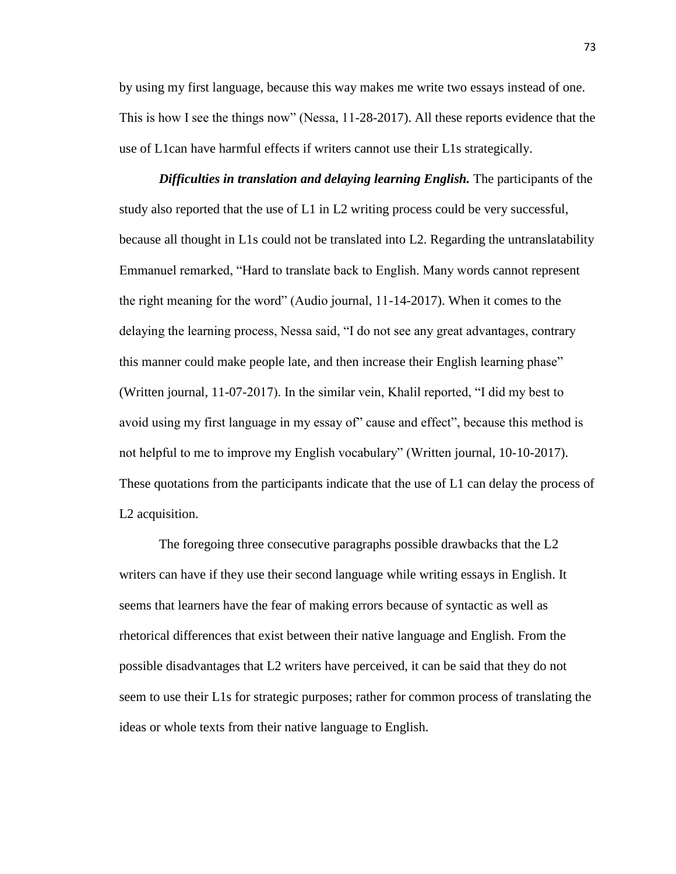by using my first language, because this way makes me write two essays instead of one. This is how I see the things now" (Nessa, 11-28-2017). All these reports evidence that the use of L1can have harmful effects if writers cannot use their L1s strategically.

*Difficulties in translation and delaying learning English.* The participants of the study also reported that the use of L1 in L2 writing process could be very successful, because all thought in L1s could not be translated into L2. Regarding the untranslatability Emmanuel remarked, "Hard to translate back to English. Many words cannot represent the right meaning for the word" (Audio journal, 11-14-2017). When it comes to the delaying the learning process, Nessa said, "I do not see any great advantages, contrary this manner could make people late, and then increase their English learning phase" (Written journal, 11-07-2017). In the similar vein, Khalil reported, "I did my best to avoid using my first language in my essay of" cause and effect", because this method is not helpful to me to improve my English vocabulary" (Written journal, 10-10-2017). These quotations from the participants indicate that the use of L1 can delay the process of L2 acquisition.

The foregoing three consecutive paragraphs possible drawbacks that the L2 writers can have if they use their second language while writing essays in English. It seems that learners have the fear of making errors because of syntactic as well as rhetorical differences that exist between their native language and English. From the possible disadvantages that L2 writers have perceived, it can be said that they do not seem to use their L1s for strategic purposes; rather for common process of translating the ideas or whole texts from their native language to English.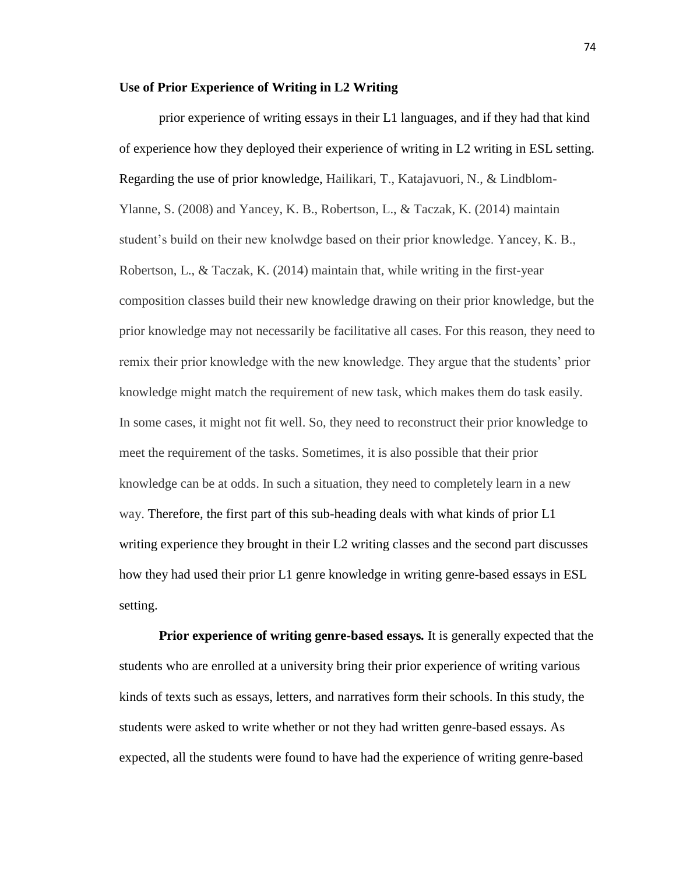## **Use of Prior Experience of Writing in L2 Writing**

prior experience of writing essays in their L1 languages, and if they had that kind of experience how they deployed their experience of writing in L2 writing in ESL setting. Regarding the use of prior knowledge, Hailikari, T., Katajavuori, N., & Lindblom-Ylanne, S. (2008) and Yancey, K. B., Robertson, L., & Taczak, K. (2014) maintain student's build on their new knolwdge based on their prior knowledge. Yancey, K. B., Robertson, L., & Taczak, K. (2014) maintain that, while writing in the first-year composition classes build their new knowledge drawing on their prior knowledge, but the prior knowledge may not necessarily be facilitative all cases. For this reason, they need to remix their prior knowledge with the new knowledge. They argue that the students' prior knowledge might match the requirement of new task, which makes them do task easily. In some cases, it might not fit well. So, they need to reconstruct their prior knowledge to meet the requirement of the tasks. Sometimes, it is also possible that their prior knowledge can be at odds. In such a situation, they need to completely learn in a new way. Therefore, the first part of this sub-heading deals with what kinds of prior L1 writing experience they brought in their L2 writing classes and the second part discusses how they had used their prior L1 genre knowledge in writing genre-based essays in ESL setting.

**Prior experience of writing genre-based essays***.* It is generally expected that the students who are enrolled at a university bring their prior experience of writing various kinds of texts such as essays, letters, and narratives form their schools. In this study, the students were asked to write whether or not they had written genre-based essays. As expected, all the students were found to have had the experience of writing genre-based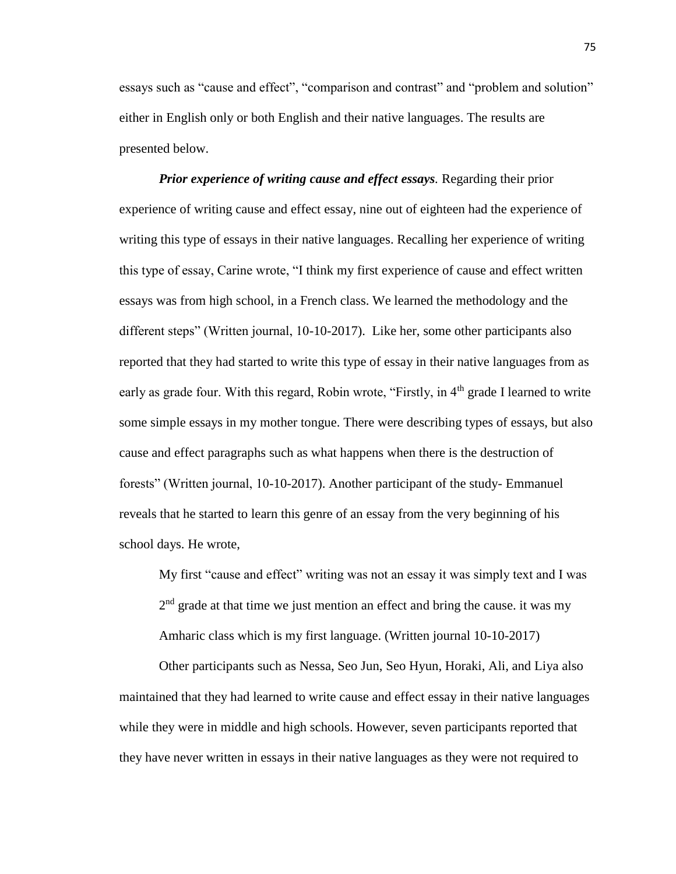essays such as "cause and effect", "comparison and contrast" and "problem and solution" either in English only or both English and their native languages. The results are presented below.

*Prior experience of writing cause and effect essays.* Regarding their prior experience of writing cause and effect essay, nine out of eighteen had the experience of writing this type of essays in their native languages. Recalling her experience of writing this type of essay, Carine wrote, "I think my first experience of cause and effect written essays was from high school, in a French class. We learned the methodology and the different steps" (Written journal, 10-10-2017). Like her, some other participants also reported that they had started to write this type of essay in their native languages from as early as grade four. With this regard, Robin wrote, "Firstly, in 4<sup>th</sup> grade I learned to write some simple essays in my mother tongue. There were describing types of essays, but also cause and effect paragraphs such as what happens when there is the destruction of forests" (Written journal, 10-10-2017). Another participant of the study- Emmanuel reveals that he started to learn this genre of an essay from the very beginning of his school days. He wrote,

My first "cause and effect" writing was not an essay it was simply text and I was  $2<sup>nd</sup>$  grade at that time we just mention an effect and bring the cause. it was my Amharic class which is my first language. (Written journal 10-10-2017)

Other participants such as Nessa, Seo Jun, Seo Hyun, Horaki, Ali, and Liya also maintained that they had learned to write cause and effect essay in their native languages while they were in middle and high schools. However, seven participants reported that they have never written in essays in their native languages as they were not required to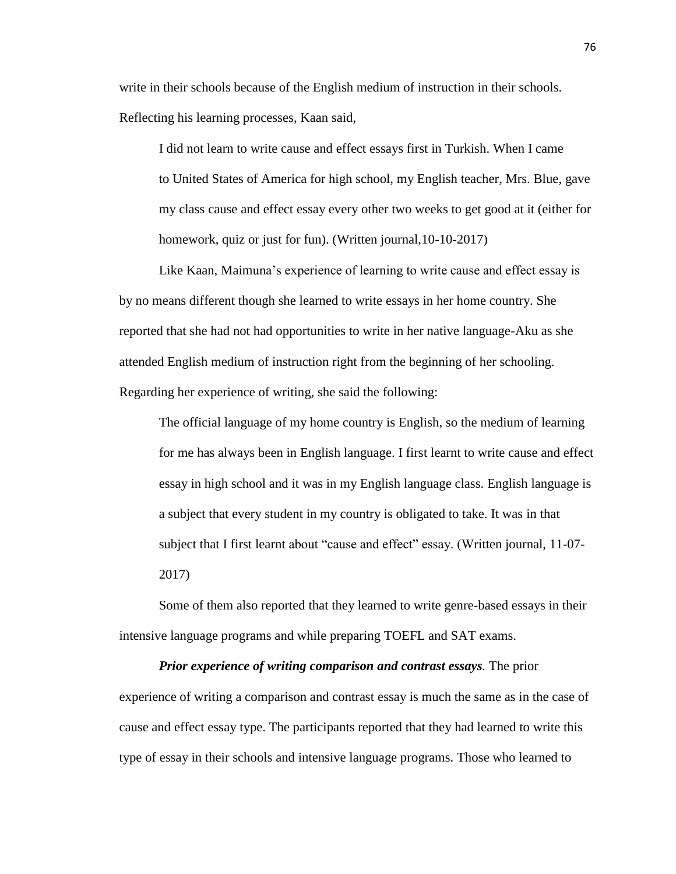write in their schools because of the English medium of instruction in their schools. Reflecting his learning processes, Kaan said,

I did not learn to write cause and effect essays first in Turkish. When I came to United States of America for high school, my English teacher, Mrs. Blue, gave my class cause and effect essay every other two weeks to get good at it (either for homework, quiz or just for fun). (Written journal, 10-10-2017)

Like Kaan, Maimuna's experience of learning to write cause and effect essay is by no means different though she learned to write essays in her home country. She reported that she had not had opportunities to write in her native language-Aku as she attended English medium of instruction right from the beginning of her schooling. Regarding her experience of writing, she said the following:

The official language of my home country is English, so the medium of learning for me has always been in English language. I first learnt to write cause and effect essay in high school and it was in my English language class. English language is a subject that every student in my country is obligated to take. It was in that subject that I first learnt about "cause and effect" essay. (Written journal, 11-07- 2017)

Some of them also reported that they learned to write genre-based essays in their intensive language programs and while preparing TOEFL and SAT exams.

*Prior experience of writing comparison and contrast essays.* The prior experience of writing a comparison and contrast essay is much the same as in the case of cause and effect essay type. The participants reported that they had learned to write this type of essay in their schools and intensive language programs. Those who learned to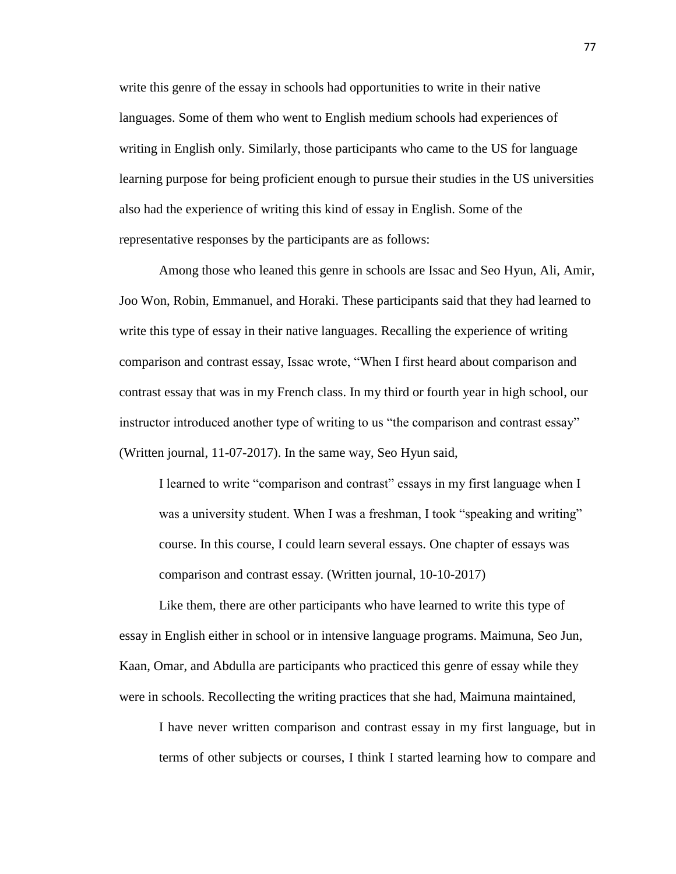write this genre of the essay in schools had opportunities to write in their native languages. Some of them who went to English medium schools had experiences of writing in English only. Similarly, those participants who came to the US for language learning purpose for being proficient enough to pursue their studies in the US universities also had the experience of writing this kind of essay in English. Some of the representative responses by the participants are as follows:

Among those who leaned this genre in schools are Issac and Seo Hyun, Ali, Amir, Joo Won, Robin, Emmanuel, and Horaki. These participants said that they had learned to write this type of essay in their native languages. Recalling the experience of writing comparison and contrast essay, Issac wrote, "When I first heard about comparison and contrast essay that was in my French class. In my third or fourth year in high school, our instructor introduced another type of writing to us "the comparison and contrast essay" (Written journal, 11-07-2017). In the same way, Seo Hyun said,

I learned to write "comparison and contrast" essays in my first language when I was a university student. When I was a freshman, I took "speaking and writing" course. In this course, I could learn several essays. One chapter of essays was comparison and contrast essay. (Written journal, 10-10-2017)

Like them, there are other participants who have learned to write this type of essay in English either in school or in intensive language programs. Maimuna, Seo Jun, Kaan, Omar, and Abdulla are participants who practiced this genre of essay while they were in schools. Recollecting the writing practices that she had, Maimuna maintained,

I have never written comparison and contrast essay in my first language, but in terms of other subjects or courses, I think I started learning how to compare and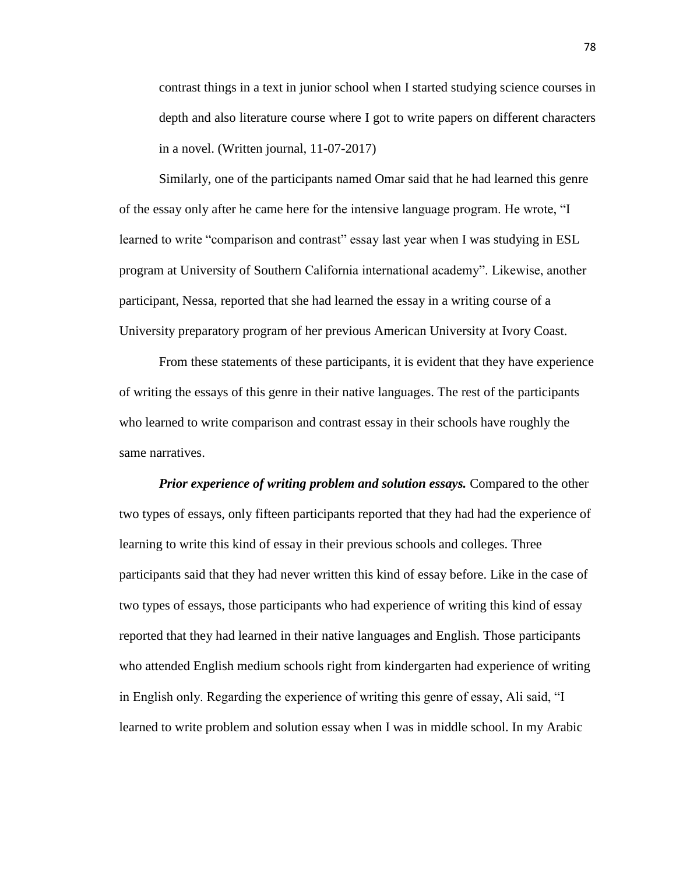contrast things in a text in junior school when I started studying science courses in depth and also literature course where I got to write papers on different characters in a novel. (Written journal, 11-07-2017)

Similarly, one of the participants named Omar said that he had learned this genre of the essay only after he came here for the intensive language program. He wrote, "I learned to write "comparison and contrast" essay last year when I was studying in ESL program at University of Southern California international academy". Likewise, another participant, Nessa, reported that she had learned the essay in a writing course of a University preparatory program of her previous American University at Ivory Coast.

From these statements of these participants, it is evident that they have experience of writing the essays of this genre in their native languages. The rest of the participants who learned to write comparison and contrast essay in their schools have roughly the same narratives.

*Prior experience of writing problem and solution essays.* Compared to the other two types of essays, only fifteen participants reported that they had had the experience of learning to write this kind of essay in their previous schools and colleges. Three participants said that they had never written this kind of essay before. Like in the case of two types of essays, those participants who had experience of writing this kind of essay reported that they had learned in their native languages and English. Those participants who attended English medium schools right from kindergarten had experience of writing in English only. Regarding the experience of writing this genre of essay, Ali said, "I learned to write problem and solution essay when I was in middle school. In my Arabic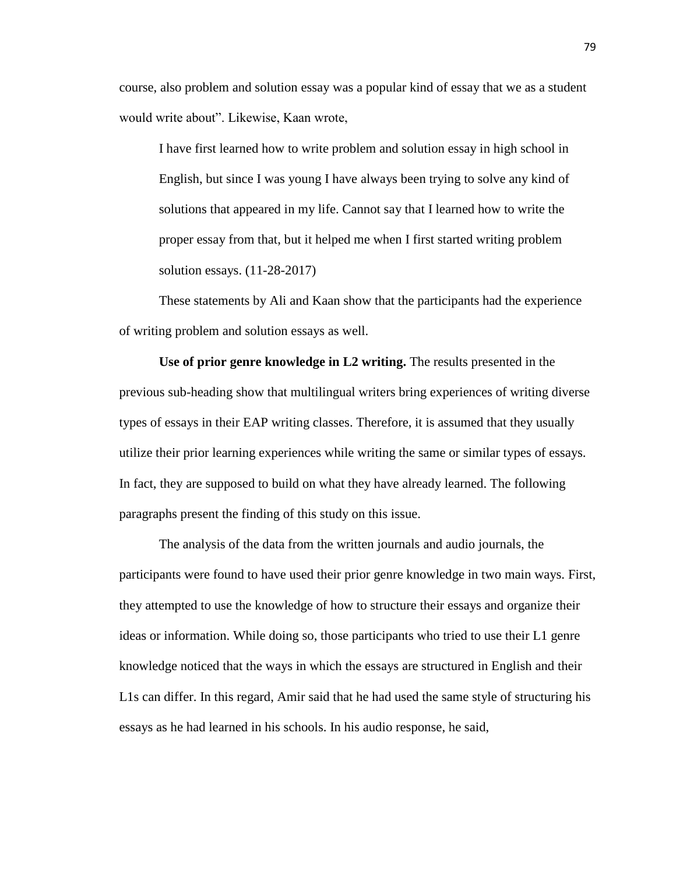course, also problem and solution essay was a popular kind of essay that we as a student would write about". Likewise, Kaan wrote,

I have first learned how to write problem and solution essay in high school in English, but since I was young I have always been trying to solve any kind of solutions that appeared in my life. Cannot say that I learned how to write the proper essay from that, but it helped me when I first started writing problem solution essays. (11-28-2017)

These statements by Ali and Kaan show that the participants had the experience of writing problem and solution essays as well.

**Use of prior genre knowledge in L2 writing.** The results presented in the previous sub-heading show that multilingual writers bring experiences of writing diverse types of essays in their EAP writing classes. Therefore, it is assumed that they usually utilize their prior learning experiences while writing the same or similar types of essays. In fact, they are supposed to build on what they have already learned. The following paragraphs present the finding of this study on this issue.

The analysis of the data from the written journals and audio journals, the participants were found to have used their prior genre knowledge in two main ways. First, they attempted to use the knowledge of how to structure their essays and organize their ideas or information. While doing so, those participants who tried to use their L1 genre knowledge noticed that the ways in which the essays are structured in English and their L1s can differ. In this regard, Amir said that he had used the same style of structuring his essays as he had learned in his schools. In his audio response, he said,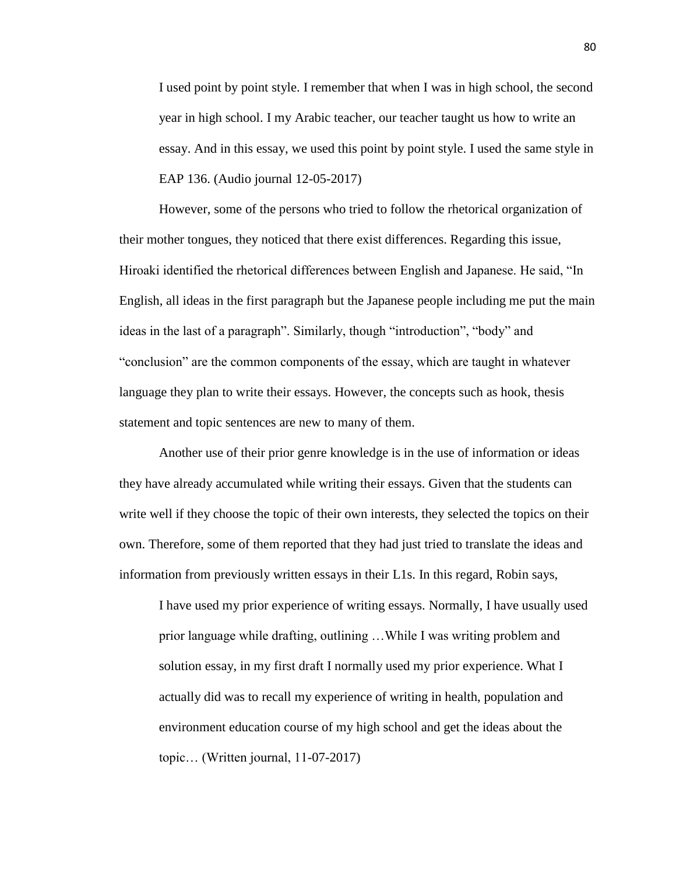I used point by point style. I remember that when I was in high school, the second year in high school. I my Arabic teacher, our teacher taught us how to write an essay. And in this essay, we used this point by point style. I used the same style in EAP 136. (Audio journal 12-05-2017)

However, some of the persons who tried to follow the rhetorical organization of their mother tongues, they noticed that there exist differences. Regarding this issue, Hiroaki identified the rhetorical differences between English and Japanese. He said, "In English, all ideas in the first paragraph but the Japanese people including me put the main ideas in the last of a paragraph". Similarly, though "introduction", "body" and "conclusion" are the common components of the essay, which are taught in whatever language they plan to write their essays. However, the concepts such as hook, thesis statement and topic sentences are new to many of them.

Another use of their prior genre knowledge is in the use of information or ideas they have already accumulated while writing their essays. Given that the students can write well if they choose the topic of their own interests, they selected the topics on their own. Therefore, some of them reported that they had just tried to translate the ideas and information from previously written essays in their L1s. In this regard, Robin says,

I have used my prior experience of writing essays. Normally, I have usually used prior language while drafting, outlining …While I was writing problem and solution essay, in my first draft I normally used my prior experience. What I actually did was to recall my experience of writing in health, population and environment education course of my high school and get the ideas about the topic… (Written journal, 11-07-2017)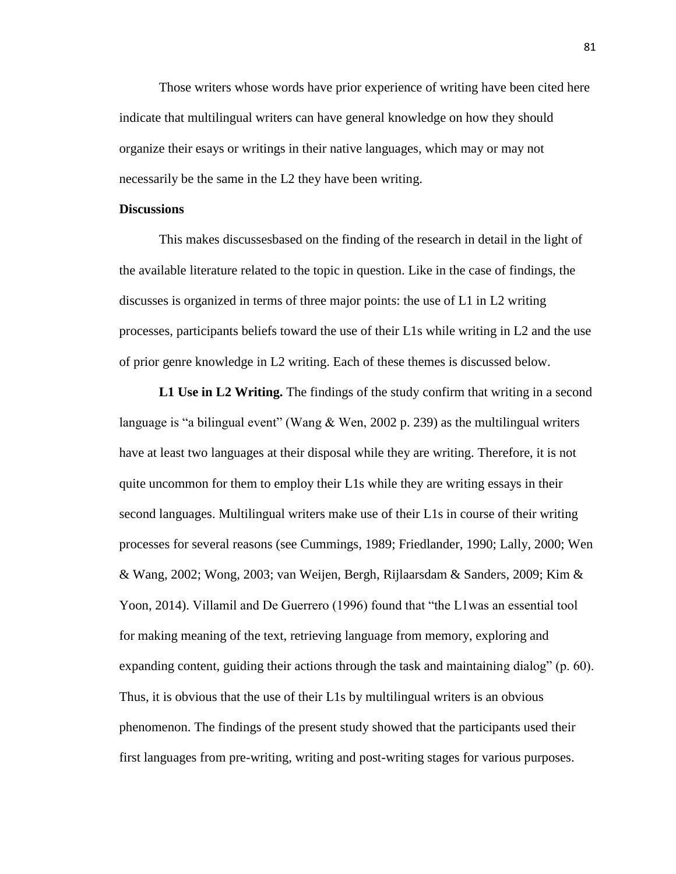Those writers whose words have prior experience of writing have been cited here indicate that multilingual writers can have general knowledge on how they should organize their esays or writings in their native languages, which may or may not necessarily be the same in the L2 they have been writing.

### **Discussions**

This makes discussesbased on the finding of the research in detail in the light of the available literature related to the topic in question. Like in the case of findings, the discusses is organized in terms of three major points: the use of L1 in L2 writing processes, participants beliefs toward the use of their L1s while writing in L2 and the use of prior genre knowledge in L2 writing. Each of these themes is discussed below.

**L1 Use in L2 Writing.** The findings of the study confirm that writing in a second language is "a bilingual event" (Wang  $&$  Wen, 2002 p. 239) as the multilingual writers have at least two languages at their disposal while they are writing. Therefore, it is not quite uncommon for them to employ their L1s while they are writing essays in their second languages. Multilingual writers make use of their L1s in course of their writing processes for several reasons (see Cummings, 1989; Friedlander, 1990; Lally, 2000; Wen & Wang, 2002; Wong, 2003; van Weijen, Bergh, Rijlaarsdam & Sanders, 2009; Kim & Yoon, 2014). Villamil and De Guerrero (1996) found that "the L1was an essential tool for making meaning of the text, retrieving language from memory, exploring and expanding content, guiding their actions through the task and maintaining dialog" (p. 60). Thus, it is obvious that the use of their L1s by multilingual writers is an obvious phenomenon. The findings of the present study showed that the participants used their first languages from pre-writing, writing and post-writing stages for various purposes.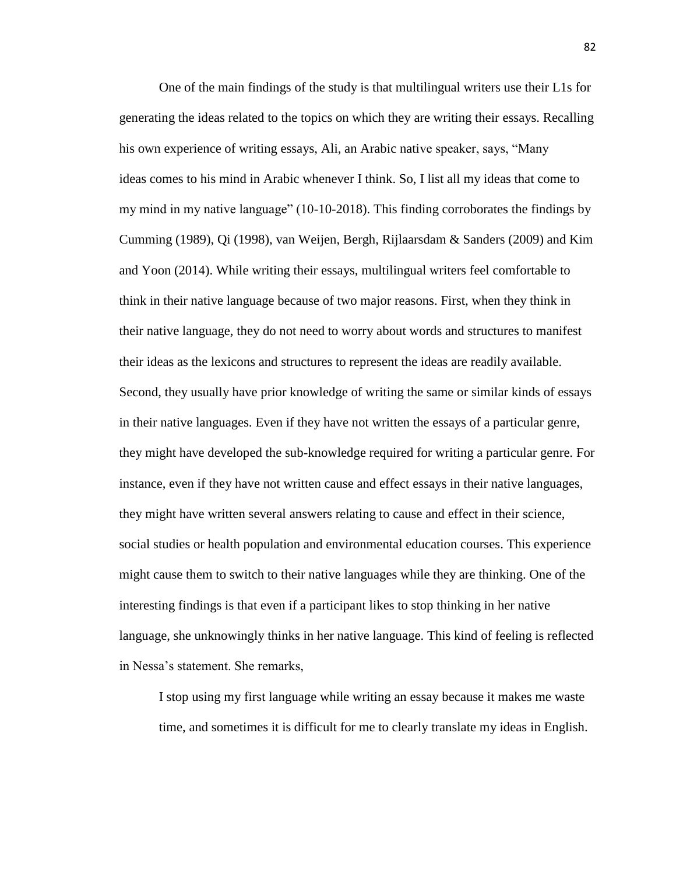One of the main findings of the study is that multilingual writers use their L1s for generating the ideas related to the topics on which they are writing their essays. Recalling his own experience of writing essays, Ali, an Arabic native speaker, says, "Many ideas comes to his mind in Arabic whenever I think. So, I list all my ideas that come to my mind in my native language" (10-10-2018). This finding corroborates the findings by Cumming (1989), Qi (1998), van Weijen, Bergh, Rijlaarsdam & Sanders (2009) and Kim and Yoon (2014). While writing their essays, multilingual writers feel comfortable to think in their native language because of two major reasons. First, when they think in their native language, they do not need to worry about words and structures to manifest their ideas as the lexicons and structures to represent the ideas are readily available. Second, they usually have prior knowledge of writing the same or similar kinds of essays in their native languages. Even if they have not written the essays of a particular genre, they might have developed the sub-knowledge required for writing a particular genre. For instance, even if they have not written cause and effect essays in their native languages, they might have written several answers relating to cause and effect in their science, social studies or health population and environmental education courses. This experience might cause them to switch to their native languages while they are thinking. One of the interesting findings is that even if a participant likes to stop thinking in her native language, she unknowingly thinks in her native language. This kind of feeling is reflected in Nessa's statement. She remarks,

I stop using my first language while writing an essay because it makes me waste time, and sometimes it is difficult for me to clearly translate my ideas in English.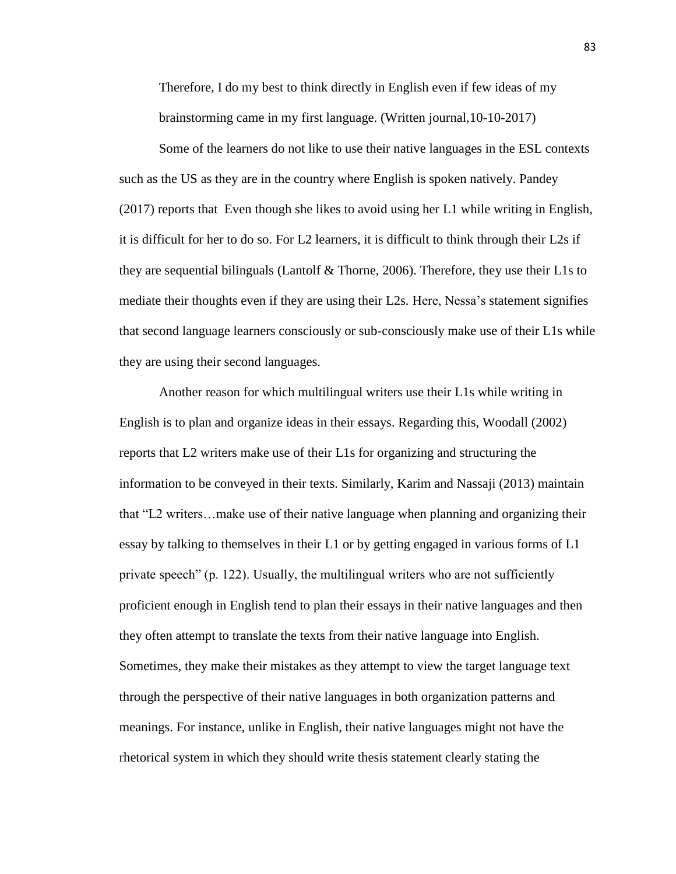Therefore, I do my best to think directly in English even if few ideas of my brainstorming came in my first language. (Written journal,10-10-2017)

Some of the learners do not like to use their native languages in the ESL contexts such as the US as they are in the country where English is spoken natively. Pandey (2017) reports that Even though she likes to avoid using her L1 while writing in English, it is difficult for her to do so. For L2 learners, it is difficult to think through their L2s if they are sequential bilinguals (Lantolf  $\&$  Thorne, 2006). Therefore, they use their L1s to mediate their thoughts even if they are using their L2s. Here, Nessa's statement signifies that second language learners consciously or sub-consciously make use of their L1s while they are using their second languages.

Another reason for which multilingual writers use their L1s while writing in English is to plan and organize ideas in their essays. Regarding this, Woodall (2002) reports that L2 writers make use of their L1s for organizing and structuring the information to be conveyed in their texts. Similarly, Karim and Nassaji (2013) maintain that "L2 writers…make use of their native language when planning and organizing their essay by talking to themselves in their L1 or by getting engaged in various forms of L1 private speech" (p. 122). Usually, the multilingual writers who are not sufficiently proficient enough in English tend to plan their essays in their native languages and then they often attempt to translate the texts from their native language into English. Sometimes, they make their mistakes as they attempt to view the target language text through the perspective of their native languages in both organization patterns and meanings. For instance, unlike in English, their native languages might not have the rhetorical system in which they should write thesis statement clearly stating the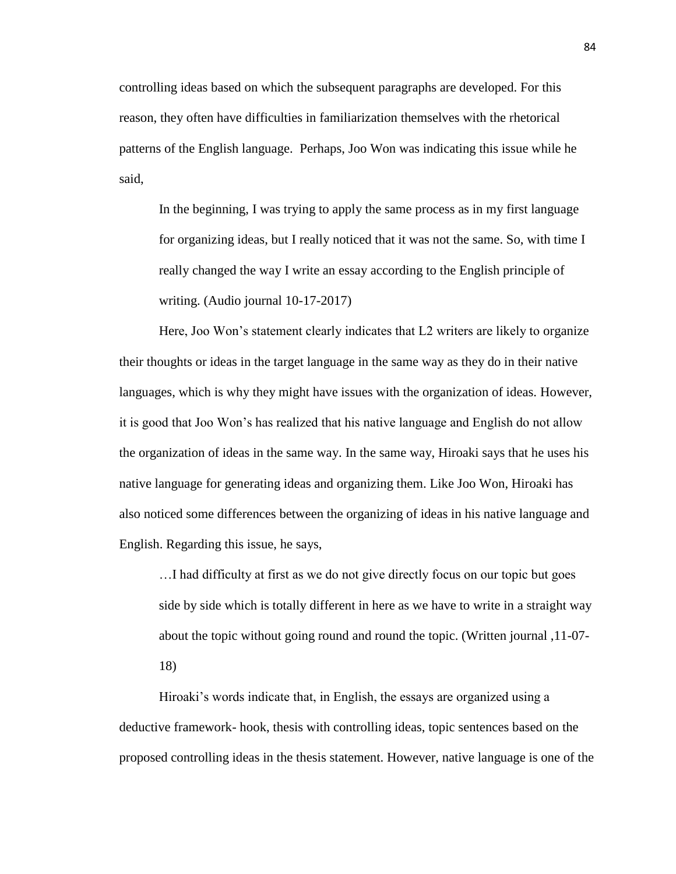controlling ideas based on which the subsequent paragraphs are developed. For this reason, they often have difficulties in familiarization themselves with the rhetorical patterns of the English language. Perhaps, Joo Won was indicating this issue while he said,

In the beginning, I was trying to apply the same process as in my first language for organizing ideas, but I really noticed that it was not the same. So, with time I really changed the way I write an essay according to the English principle of writing. (Audio journal 10-17-2017)

Here, Joo Won's statement clearly indicates that L2 writers are likely to organize their thoughts or ideas in the target language in the same way as they do in their native languages, which is why they might have issues with the organization of ideas. However, it is good that Joo Won's has realized that his native language and English do not allow the organization of ideas in the same way. In the same way, Hiroaki says that he uses his native language for generating ideas and organizing them. Like Joo Won, Hiroaki has also noticed some differences between the organizing of ideas in his native language and English. Regarding this issue, he says,

…I had difficulty at first as we do not give directly focus on our topic but goes side by side which is totally different in here as we have to write in a straight way about the topic without going round and round the topic. (Written journal ,11-07- 18)

Hiroaki's words indicate that, in English, the essays are organized using a deductive framework- hook, thesis with controlling ideas, topic sentences based on the proposed controlling ideas in the thesis statement. However, native language is one of the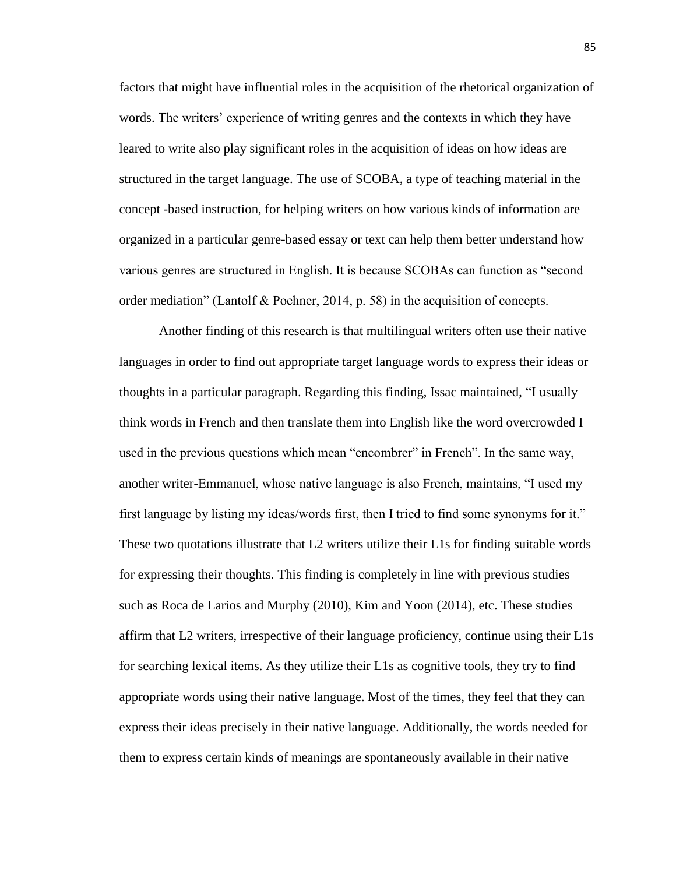factors that might have influential roles in the acquisition of the rhetorical organization of words. The writers' experience of writing genres and the contexts in which they have leared to write also play significant roles in the acquisition of ideas on how ideas are structured in the target language. The use of SCOBA, a type of teaching material in the concept -based instruction, for helping writers on how various kinds of information are organized in a particular genre-based essay or text can help them better understand how various genres are structured in English. It is because SCOBAs can function as "second order mediation" (Lantolf & Poehner, 2014, p. 58) in the acquisition of concepts.

Another finding of this research is that multilingual writers often use their native languages in order to find out appropriate target language words to express their ideas or thoughts in a particular paragraph. Regarding this finding, Issac maintained, "I usually think words in French and then translate them into English like the word overcrowded I used in the previous questions which mean "encombrer" in French". In the same way, another writer-Emmanuel, whose native language is also French, maintains, "I used my first language by listing my ideas/words first, then I tried to find some synonyms for it." These two quotations illustrate that L2 writers utilize their L1s for finding suitable words for expressing their thoughts. This finding is completely in line with previous studies such as Roca de Larios and Murphy (2010), Kim and Yoon (2014), etc. These studies affirm that L2 writers, irrespective of their language proficiency, continue using their L1s for searching lexical items. As they utilize their L1s as cognitive tools, they try to find appropriate words using their native language. Most of the times, they feel that they can express their ideas precisely in their native language. Additionally, the words needed for them to express certain kinds of meanings are spontaneously available in their native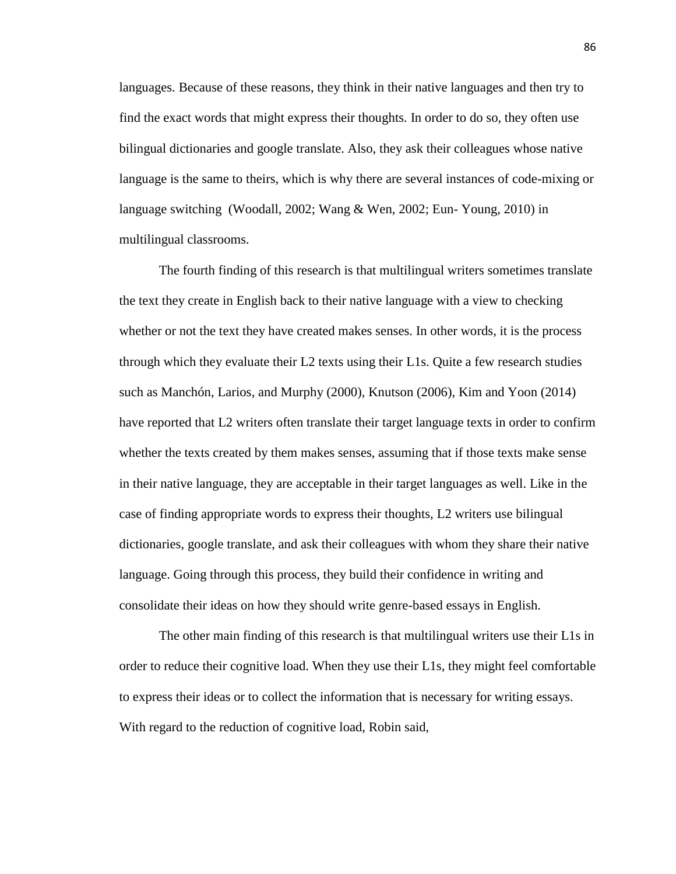languages. Because of these reasons, they think in their native languages and then try to find the exact words that might express their thoughts. In order to do so, they often use bilingual dictionaries and google translate. Also, they ask their colleagues whose native language is the same to theirs, which is why there are several instances of code-mixing or language switching (Woodall, 2002; Wang & Wen, 2002; Eun- Young, 2010) in multilingual classrooms.

The fourth finding of this research is that multilingual writers sometimes translate the text they create in English back to their native language with a view to checking whether or not the text they have created makes senses. In other words, it is the process through which they evaluate their L2 texts using their L1s. Quite a few research studies such as Manchón, Larios, and Murphy (2000), Knutson (2006), Kim and Yoon (2014) have reported that L2 writers often translate their target language texts in order to confirm whether the texts created by them makes senses, assuming that if those texts make sense in their native language, they are acceptable in their target languages as well. Like in the case of finding appropriate words to express their thoughts, L2 writers use bilingual dictionaries, google translate, and ask their colleagues with whom they share their native language. Going through this process, they build their confidence in writing and consolidate their ideas on how they should write genre-based essays in English.

The other main finding of this research is that multilingual writers use their L1s in order to reduce their cognitive load. When they use their L1s, they might feel comfortable to express their ideas or to collect the information that is necessary for writing essays. With regard to the reduction of cognitive load, Robin said,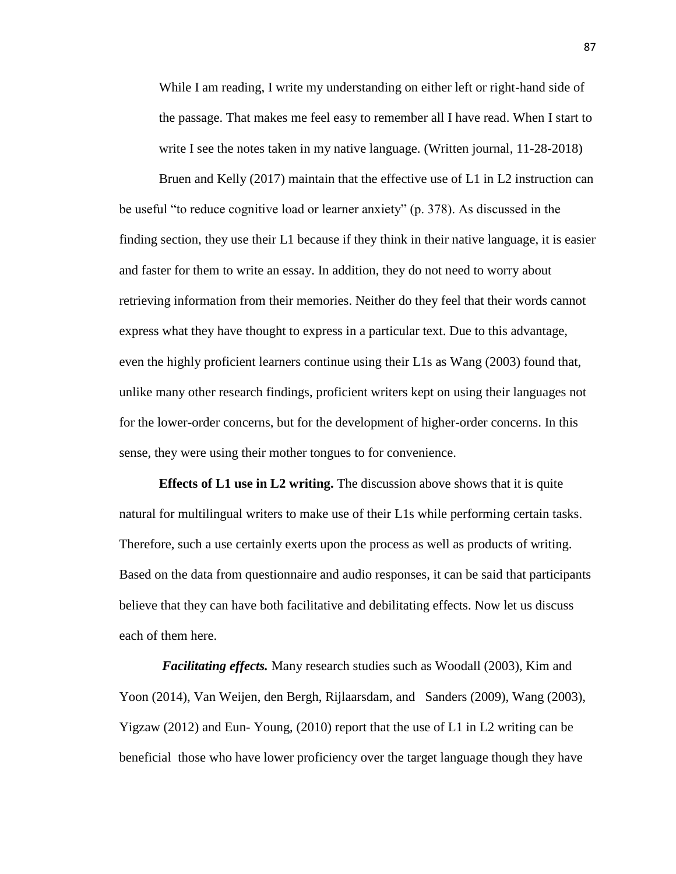While I am reading, I write my understanding on either left or right-hand side of the passage. That makes me feel easy to remember all I have read. When I start to write I see the notes taken in my native language. (Written journal, 11-28-2018)

Bruen and Kelly (2017) maintain that the effective use of L1 in L2 instruction can be useful "to reduce cognitive load or learner anxiety" (p. 378). As discussed in the finding section, they use their L1 because if they think in their native language, it is easier and faster for them to write an essay. In addition, they do not need to worry about retrieving information from their memories. Neither do they feel that their words cannot express what they have thought to express in a particular text. Due to this advantage, even the highly proficient learners continue using their L1s as Wang (2003) found that, unlike many other research findings, proficient writers kept on using their languages not for the lower-order concerns, but for the development of higher-order concerns. In this sense, they were using their mother tongues to for convenience.

**Effects of L1 use in L2 writing.** The discussion above shows that it is quite natural for multilingual writers to make use of their L1s while performing certain tasks. Therefore, such a use certainly exerts upon the process as well as products of writing. Based on the data from questionnaire and audio responses, it can be said that participants believe that they can have both facilitative and debilitating effects. Now let us discuss each of them here.

*Facilitating effects.* Many research studies such as Woodall (2003), Kim and Yoon (2014), Van Weijen, den Bergh, Rijlaarsdam, and Sanders (2009), Wang (2003), Yigzaw (2012) and Eun- Young, (2010) report that the use of L1 in L2 writing can be beneficial those who have lower proficiency over the target language though they have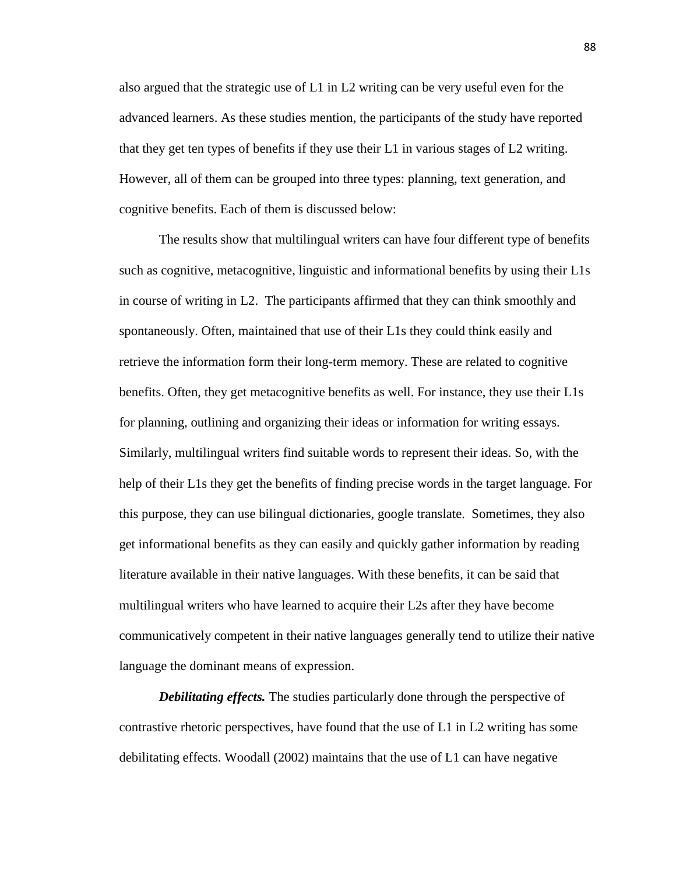also argued that the strategic use of L1 in L2 writing can be very useful even for the advanced learners. As these studies mention, the participants of the study have reported that they get ten types of benefits if they use their L1 in various stages of L2 writing. However, all of them can be grouped into three types: planning, text generation, and cognitive benefits. Each of them is discussed below:

The results show that multilingual writers can have four different type of benefits such as cognitive, metacognitive, linguistic and informational benefits by using their L1s in course of writing in L2. The participants affirmed that they can think smoothly and spontaneously. Often, maintained that use of their L1s they could think easily and retrieve the information form their long-term memory. These are related to cognitive benefits. Often, they get metacognitive benefits as well. For instance, they use their L1s for planning, outlining and organizing their ideas or information for writing essays. Similarly, multilingual writers find suitable words to represent their ideas. So, with the help of their L1s they get the benefits of finding precise words in the target language. For this purpose, they can use bilingual dictionaries, google translate. Sometimes, they also get informational benefits as they can easily and quickly gather information by reading literature available in their native languages. With these benefits, it can be said that multilingual writers who have learned to acquire their L2s after they have become communicatively competent in their native languages generally tend to utilize their native language the dominant means of expression.

*Debilitating effects.* The studies particularly done through the perspective of contrastive rhetoric perspectives, have found that the use of L1 in L2 writing has some debilitating effects. Woodall (2002) maintains that the use of L1 can have negative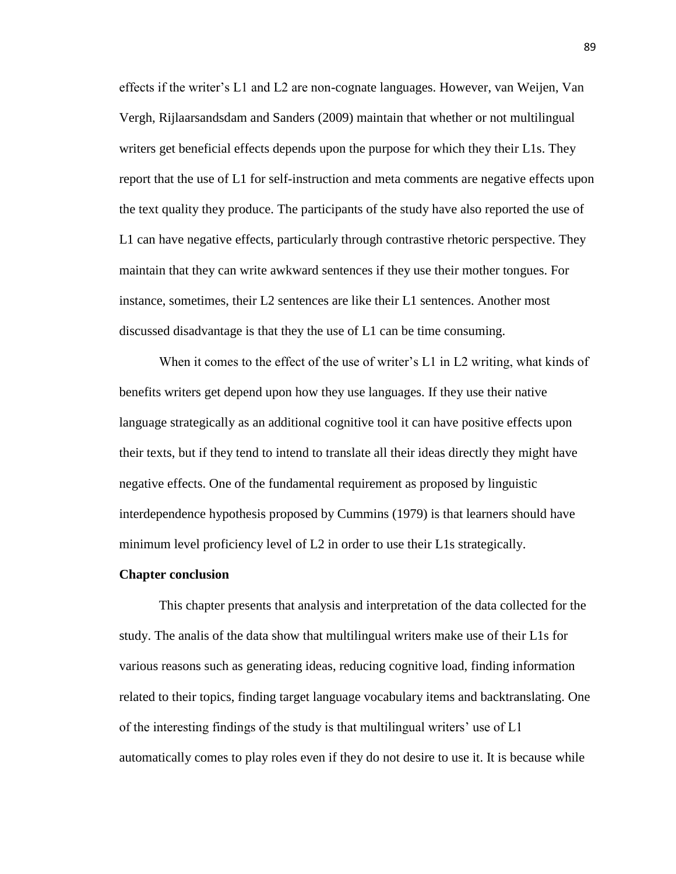effects if the writer's L1 and L2 are non-cognate languages. However, van Weijen, Van Vergh, Rijlaarsandsdam and Sanders (2009) maintain that whether or not multilingual writers get beneficial effects depends upon the purpose for which they their L1s. They report that the use of L1 for self-instruction and meta comments are negative effects upon the text quality they produce. The participants of the study have also reported the use of L1 can have negative effects, particularly through contrastive rhetoric perspective. They maintain that they can write awkward sentences if they use their mother tongues. For instance, sometimes, their L2 sentences are like their L1 sentences. Another most discussed disadvantage is that they the use of L1 can be time consuming.

When it comes to the effect of the use of writer's L1 in L2 writing, what kinds of benefits writers get depend upon how they use languages. If they use their native language strategically as an additional cognitive tool it can have positive effects upon their texts, but if they tend to intend to translate all their ideas directly they might have negative effects. One of the fundamental requirement as proposed by linguistic interdependence hypothesis proposed by Cummins (1979) is that learners should have minimum level proficiency level of L2 in order to use their L1s strategically.

#### **Chapter conclusion**

This chapter presents that analysis and interpretation of the data collected for the study. The analis of the data show that multilingual writers make use of their L1s for various reasons such as generating ideas, reducing cognitive load, finding information related to their topics, finding target language vocabulary items and backtranslating. One of the interesting findings of the study is that multilingual writers' use of L1 automatically comes to play roles even if they do not desire to use it. It is because while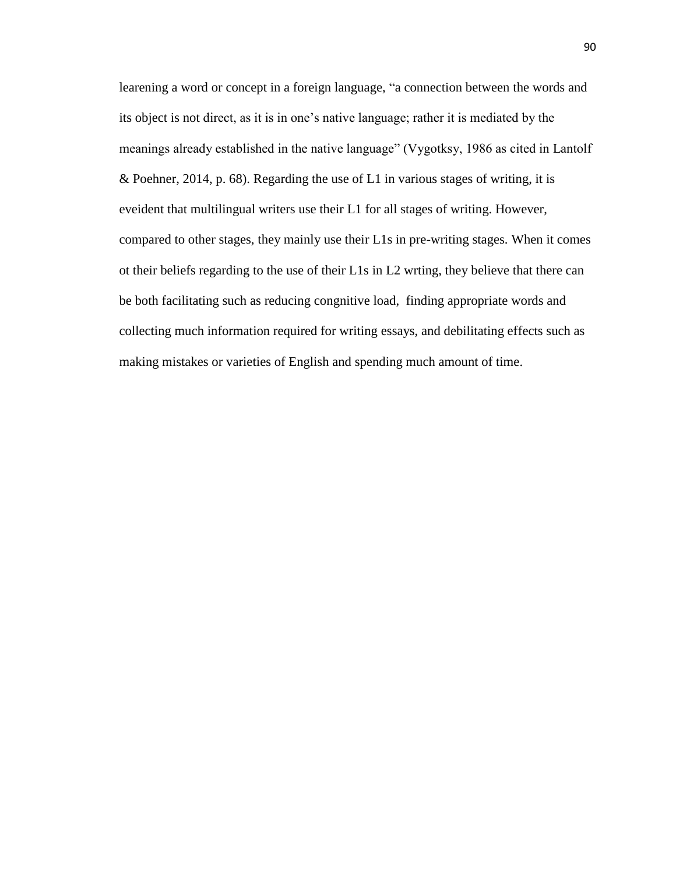learening a word or concept in a foreign language, "a connection between the words and its object is not direct, as it is in one's native language; rather it is mediated by the meanings already established in the native language" (Vygotksy, 1986 as cited in Lantolf & Poehner, 2014, p. 68). Regarding the use of L1 in various stages of writing, it is eveident that multilingual writers use their L1 for all stages of writing. However, compared to other stages, they mainly use their L1s in pre-writing stages. When it comes ot their beliefs regarding to the use of their L1s in L2 wrting, they believe that there can be both facilitating such as reducing congnitive load, finding appropriate words and collecting much information required for writing essays, and debilitating effects such as making mistakes or varieties of English and spending much amount of time.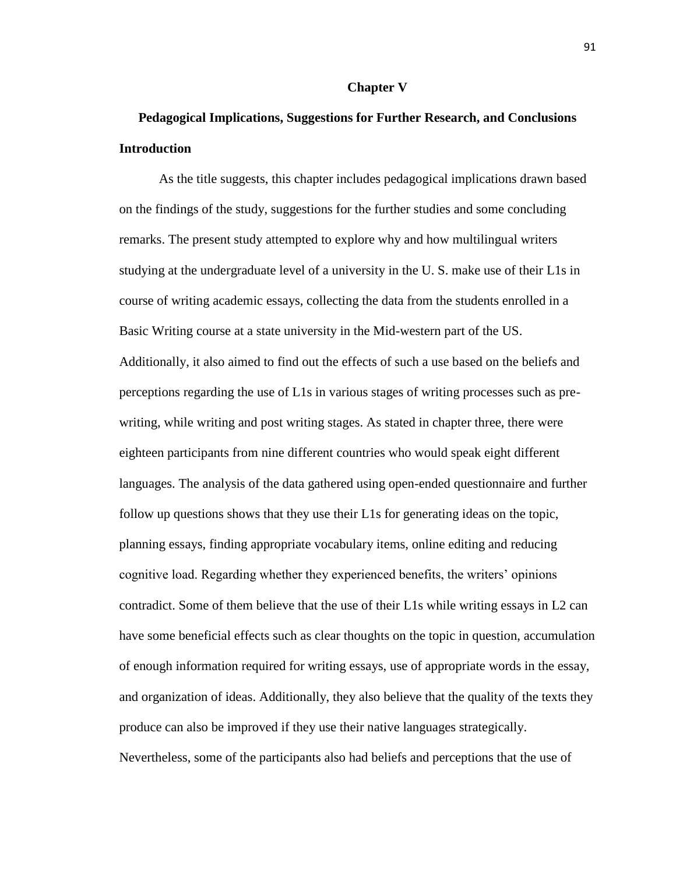### **Chapter V**

# **Pedagogical Implications, Suggestions for Further Research, and Conclusions Introduction**

As the title suggests, this chapter includes pedagogical implications drawn based on the findings of the study, suggestions for the further studies and some concluding remarks. The present study attempted to explore why and how multilingual writers studying at the undergraduate level of a university in the U. S. make use of their L1s in course of writing academic essays, collecting the data from the students enrolled in a Basic Writing course at a state university in the Mid-western part of the US. Additionally, it also aimed to find out the effects of such a use based on the beliefs and perceptions regarding the use of L1s in various stages of writing processes such as prewriting, while writing and post writing stages. As stated in chapter three, there were eighteen participants from nine different countries who would speak eight different languages. The analysis of the data gathered using open-ended questionnaire and further follow up questions shows that they use their L1s for generating ideas on the topic, planning essays, finding appropriate vocabulary items, online editing and reducing cognitive load. Regarding whether they experienced benefits, the writers' opinions contradict. Some of them believe that the use of their L1s while writing essays in L2 can have some beneficial effects such as clear thoughts on the topic in question, accumulation of enough information required for writing essays, use of appropriate words in the essay, and organization of ideas. Additionally, they also believe that the quality of the texts they produce can also be improved if they use their native languages strategically. Nevertheless, some of the participants also had beliefs and perceptions that the use of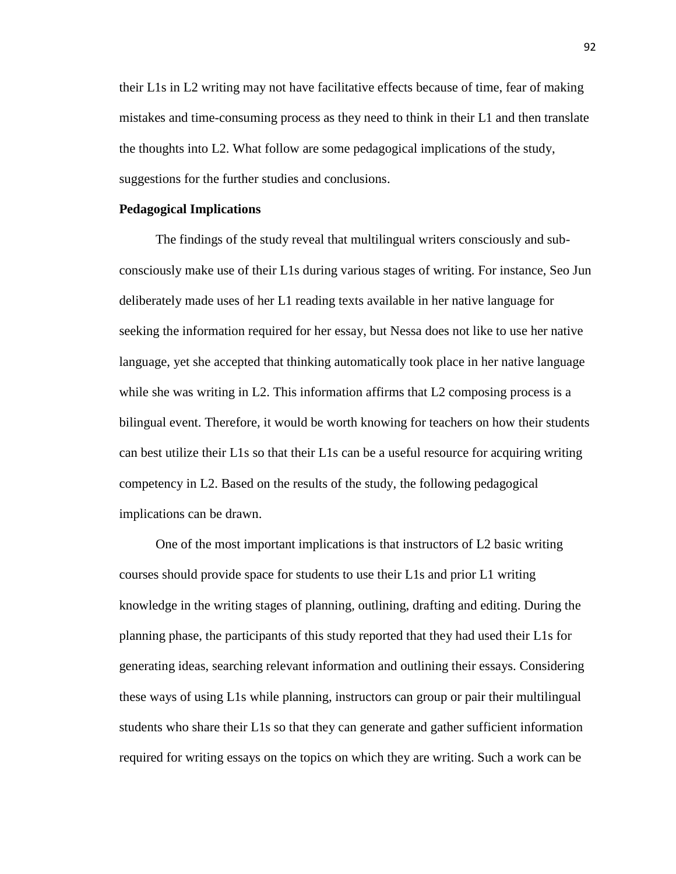their L1s in L2 writing may not have facilitative effects because of time, fear of making mistakes and time-consuming process as they need to think in their L1 and then translate the thoughts into L2. What follow are some pedagogical implications of the study, suggestions for the further studies and conclusions.

#### **Pedagogical Implications**

 The findings of the study reveal that multilingual writers consciously and subconsciously make use of their L1s during various stages of writing. For instance, Seo Jun deliberately made uses of her L1 reading texts available in her native language for seeking the information required for her essay, but Nessa does not like to use her native language, yet she accepted that thinking automatically took place in her native language while she was writing in L2. This information affirms that L2 composing process is a bilingual event. Therefore, it would be worth knowing for teachers on how their students can best utilize their L1s so that their L1s can be a useful resource for acquiring writing competency in L2. Based on the results of the study, the following pedagogical implications can be drawn.

 One of the most important implications is that instructors of L2 basic writing courses should provide space for students to use their L1s and prior L1 writing knowledge in the writing stages of planning, outlining, drafting and editing. During the planning phase, the participants of this study reported that they had used their L1s for generating ideas, searching relevant information and outlining their essays. Considering these ways of using L1s while planning, instructors can group or pair their multilingual students who share their L1s so that they can generate and gather sufficient information required for writing essays on the topics on which they are writing. Such a work can be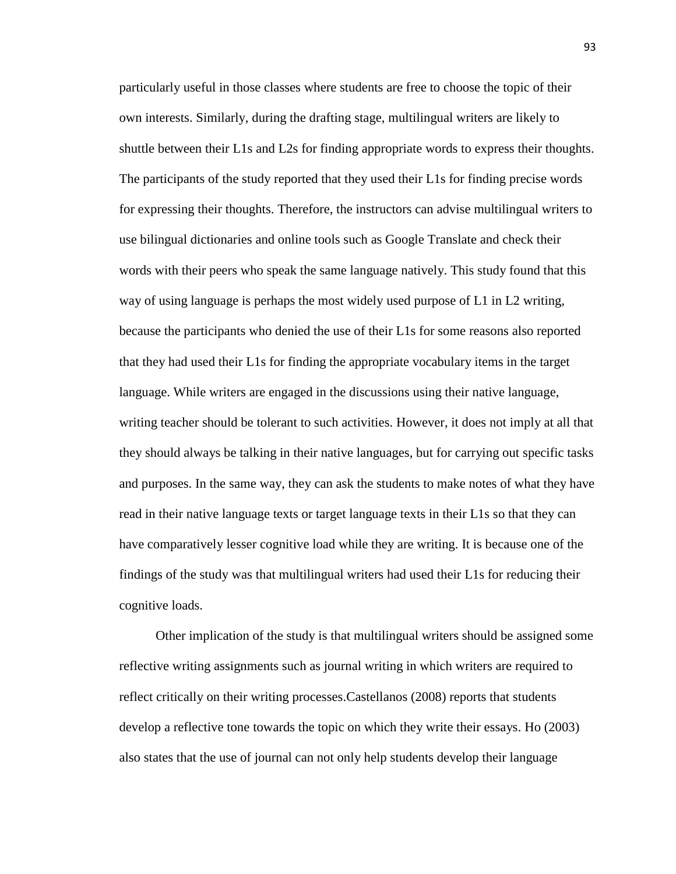particularly useful in those classes where students are free to choose the topic of their own interests. Similarly, during the drafting stage, multilingual writers are likely to shuttle between their L1s and L2s for finding appropriate words to express their thoughts. The participants of the study reported that they used their L1s for finding precise words for expressing their thoughts. Therefore, the instructors can advise multilingual writers to use bilingual dictionaries and online tools such as Google Translate and check their words with their peers who speak the same language natively. This study found that this way of using language is perhaps the most widely used purpose of L1 in L2 writing, because the participants who denied the use of their L1s for some reasons also reported that they had used their L1s for finding the appropriate vocabulary items in the target language. While writers are engaged in the discussions using their native language, writing teacher should be tolerant to such activities. However, it does not imply at all that they should always be talking in their native languages, but for carrying out specific tasks and purposes. In the same way, they can ask the students to make notes of what they have read in their native language texts or target language texts in their L1s so that they can have comparatively lesser cognitive load while they are writing. It is because one of the findings of the study was that multilingual writers had used their L1s for reducing their cognitive loads.

 Other implication of the study is that multilingual writers should be assigned some reflective writing assignments such as journal writing in which writers are required to reflect critically on their writing processes.Castellanos (2008) reports that students develop a reflective tone towards the topic on which they write their essays. Ho (2003) also states that the use of journal can not only help students develop their language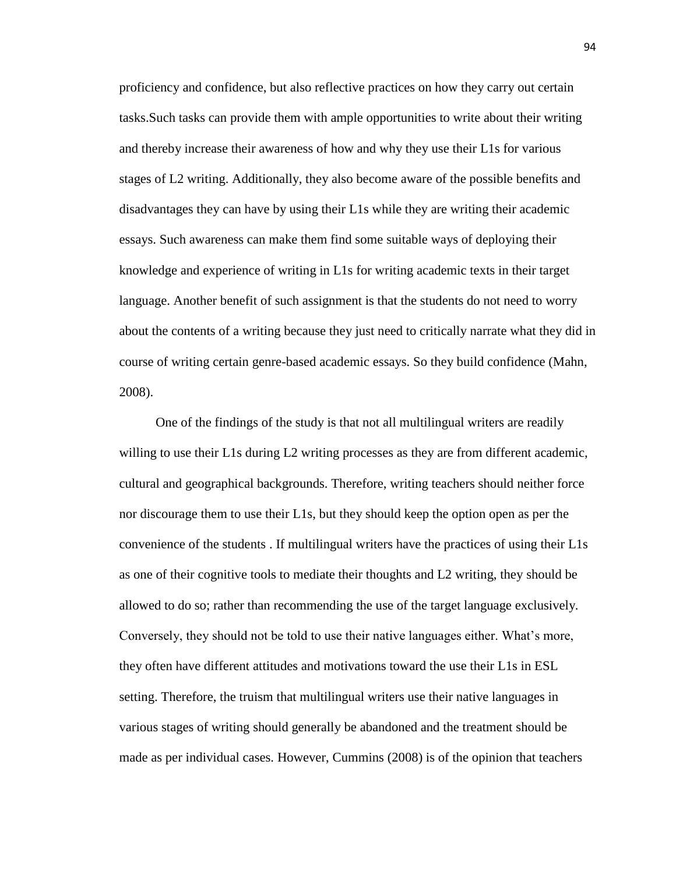proficiency and confidence, but also reflective practices on how they carry out certain tasks.Such tasks can provide them with ample opportunities to write about their writing and thereby increase their awareness of how and why they use their L1s for various stages of L2 writing. Additionally, they also become aware of the possible benefits and disadvantages they can have by using their L1s while they are writing their academic essays. Such awareness can make them find some suitable ways of deploying their knowledge and experience of writing in L1s for writing academic texts in their target language. Another benefit of such assignment is that the students do not need to worry about the contents of a writing because they just need to critically narrate what they did in course of writing certain genre-based academic essays. So they build confidence (Mahn, 2008).

 One of the findings of the study is that not all multilingual writers are readily willing to use their L1s during L2 writing processes as they are from different academic, cultural and geographical backgrounds. Therefore, writing teachers should neither force nor discourage them to use their L1s, but they should keep the option open as per the convenience of the students . If multilingual writers have the practices of using their L1s as one of their cognitive tools to mediate their thoughts and L2 writing, they should be allowed to do so; rather than recommending the use of the target language exclusively. Conversely, they should not be told to use their native languages either. What's more, they often have different attitudes and motivations toward the use their L1s in ESL setting. Therefore, the truism that multilingual writers use their native languages in various stages of writing should generally be abandoned and the treatment should be made as per individual cases. However, Cummins (2008) is of the opinion that teachers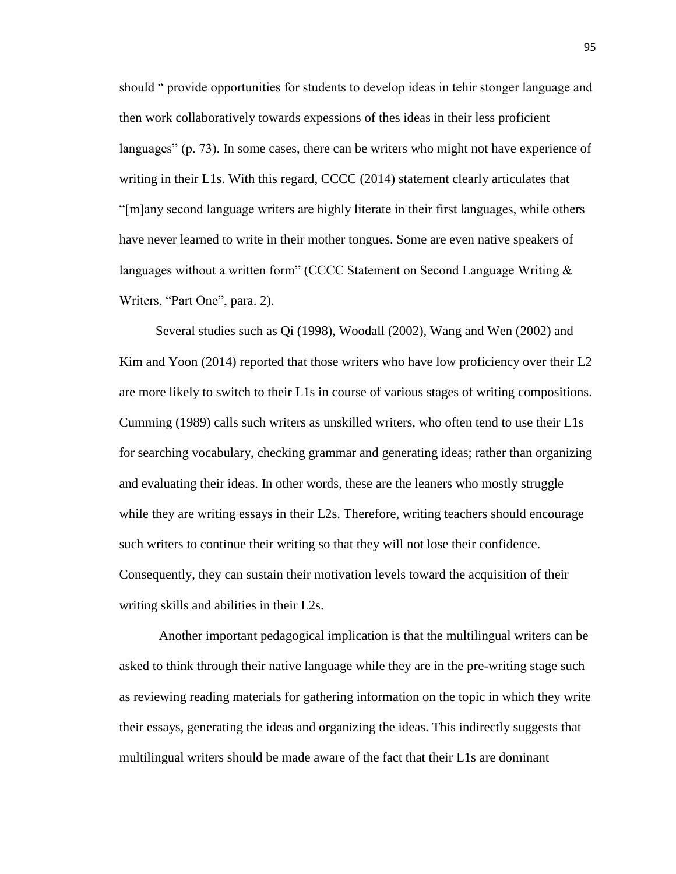should " provide opportunities for students to develop ideas in tehir stonger language and then work collaboratively towards expessions of thes ideas in their less proficient languages" (p. 73). In some cases, there can be writers who might not have experience of writing in their L1s. With this regard, CCCC (2014) statement clearly articulates that "[m]any second language writers are highly literate in their first languages, while others have never learned to write in their mother tongues. Some are even native speakers of languages without a written form" (CCCC Statement on Second Language Writing  $\&$ Writers, "Part One", para. 2).

 Several studies such as Qi (1998), Woodall (2002), Wang and Wen (2002) and Kim and Yoon (2014) reported that those writers who have low proficiency over their L2 are more likely to switch to their L1s in course of various stages of writing compositions. Cumming (1989) calls such writers as unskilled writers, who often tend to use their L1s for searching vocabulary, checking grammar and generating ideas; rather than organizing and evaluating their ideas. In other words, these are the leaners who mostly struggle while they are writing essays in their L2s. Therefore, writing teachers should encourage such writers to continue their writing so that they will not lose their confidence. Consequently, they can sustain their motivation levels toward the acquisition of their writing skills and abilities in their L2s.

 Another important pedagogical implication is that the multilingual writers can be asked to think through their native language while they are in the pre-writing stage such as reviewing reading materials for gathering information on the topic in which they write their essays, generating the ideas and organizing the ideas. This indirectly suggests that multilingual writers should be made aware of the fact that their L1s are dominant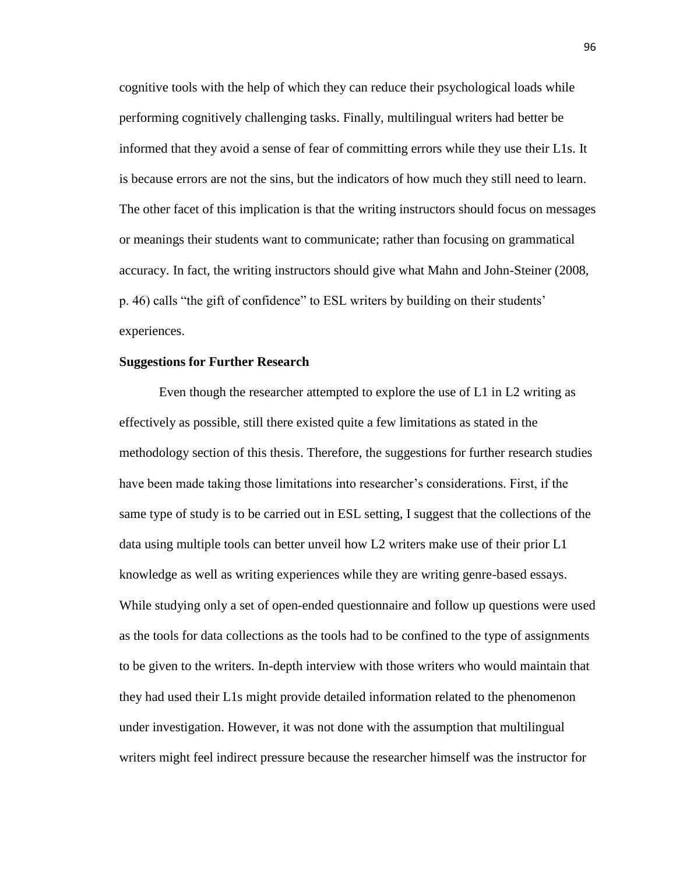cognitive tools with the help of which they can reduce their psychological loads while performing cognitively challenging tasks. Finally, multilingual writers had better be informed that they avoid a sense of fear of committing errors while they use their L1s. It is because errors are not the sins, but the indicators of how much they still need to learn. The other facet of this implication is that the writing instructors should focus on messages or meanings their students want to communicate; rather than focusing on grammatical accuracy. In fact, the writing instructors should give what Mahn and John-Steiner (2008, p. 46) calls "the gift of confidence" to ESL writers by building on their students' experiences.

#### **Suggestions for Further Research**

 Even though the researcher attempted to explore the use of L1 in L2 writing as effectively as possible, still there existed quite a few limitations as stated in the methodology section of this thesis. Therefore, the suggestions for further research studies have been made taking those limitations into researcher's considerations. First, if the same type of study is to be carried out in ESL setting, I suggest that the collections of the data using multiple tools can better unveil how L2 writers make use of their prior L1 knowledge as well as writing experiences while they are writing genre-based essays. While studying only a set of open-ended questionnaire and follow up questions were used as the tools for data collections as the tools had to be confined to the type of assignments to be given to the writers. In-depth interview with those writers who would maintain that they had used their L1s might provide detailed information related to the phenomenon under investigation. However, it was not done with the assumption that multilingual writers might feel indirect pressure because the researcher himself was the instructor for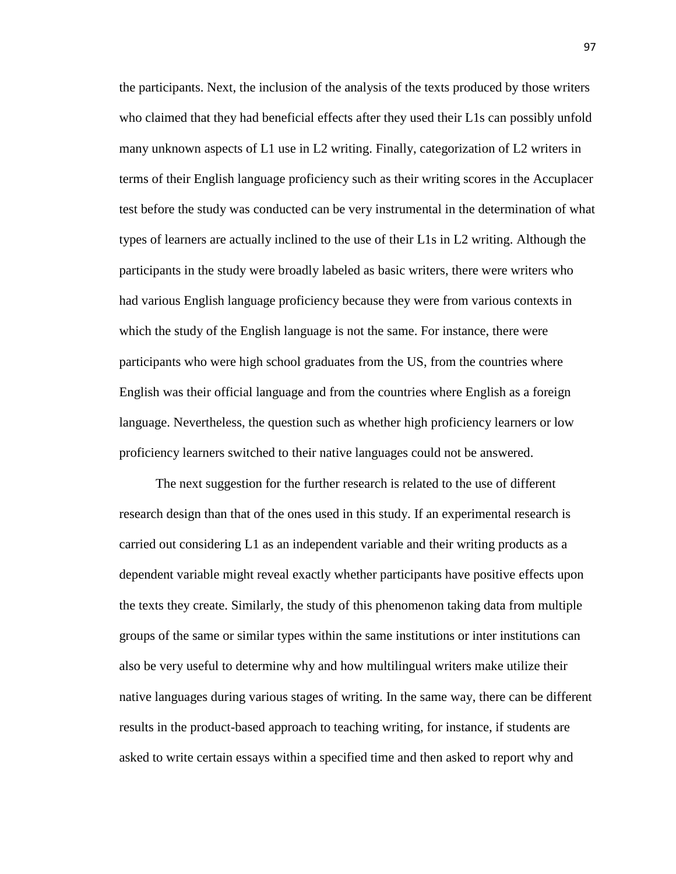the participants. Next, the inclusion of the analysis of the texts produced by those writers who claimed that they had beneficial effects after they used their L1s can possibly unfold many unknown aspects of L1 use in L2 writing. Finally, categorization of L2 writers in terms of their English language proficiency such as their writing scores in the Accuplacer test before the study was conducted can be very instrumental in the determination of what types of learners are actually inclined to the use of their L1s in L2 writing. Although the participants in the study were broadly labeled as basic writers, there were writers who had various English language proficiency because they were from various contexts in which the study of the English language is not the same. For instance, there were participants who were high school graduates from the US, from the countries where English was their official language and from the countries where English as a foreign language. Nevertheless, the question such as whether high proficiency learners or low proficiency learners switched to their native languages could not be answered.

 The next suggestion for the further research is related to the use of different research design than that of the ones used in this study. If an experimental research is carried out considering L1 as an independent variable and their writing products as a dependent variable might reveal exactly whether participants have positive effects upon the texts they create. Similarly, the study of this phenomenon taking data from multiple groups of the same or similar types within the same institutions or inter institutions can also be very useful to determine why and how multilingual writers make utilize their native languages during various stages of writing. In the same way, there can be different results in the product-based approach to teaching writing, for instance, if students are asked to write certain essays within a specified time and then asked to report why and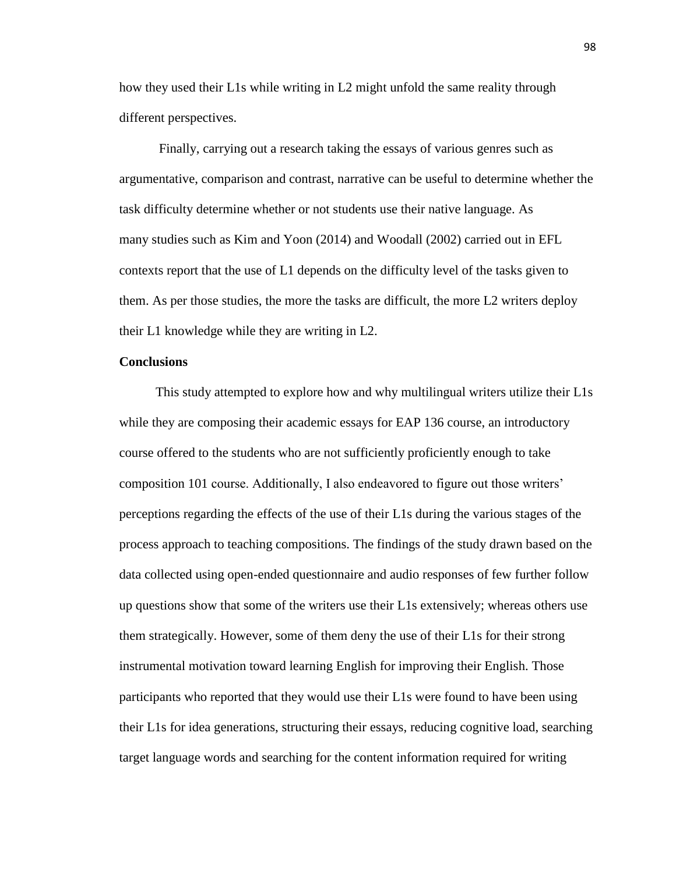how they used their L1s while writing in L2 might unfold the same reality through different perspectives.

Finally, carrying out a research taking the essays of various genres such as argumentative, comparison and contrast, narrative can be useful to determine whether the task difficulty determine whether or not students use their native language. As many studies such as Kim and Yoon (2014) and Woodall (2002) carried out in EFL contexts report that the use of L1 depends on the difficulty level of the tasks given to them. As per those studies, the more the tasks are difficult, the more L2 writers deploy their L1 knowledge while they are writing in L2.

## **Conclusions**

 This study attempted to explore how and why multilingual writers utilize their L1s while they are composing their academic essays for EAP 136 course, an introductory course offered to the students who are not sufficiently proficiently enough to take composition 101 course. Additionally, I also endeavored to figure out those writers' perceptions regarding the effects of the use of their L1s during the various stages of the process approach to teaching compositions. The findings of the study drawn based on the data collected using open-ended questionnaire and audio responses of few further follow up questions show that some of the writers use their L1s extensively; whereas others use them strategically. However, some of them deny the use of their L1s for their strong instrumental motivation toward learning English for improving their English. Those participants who reported that they would use their L1s were found to have been using their L1s for idea generations, structuring their essays, reducing cognitive load, searching target language words and searching for the content information required for writing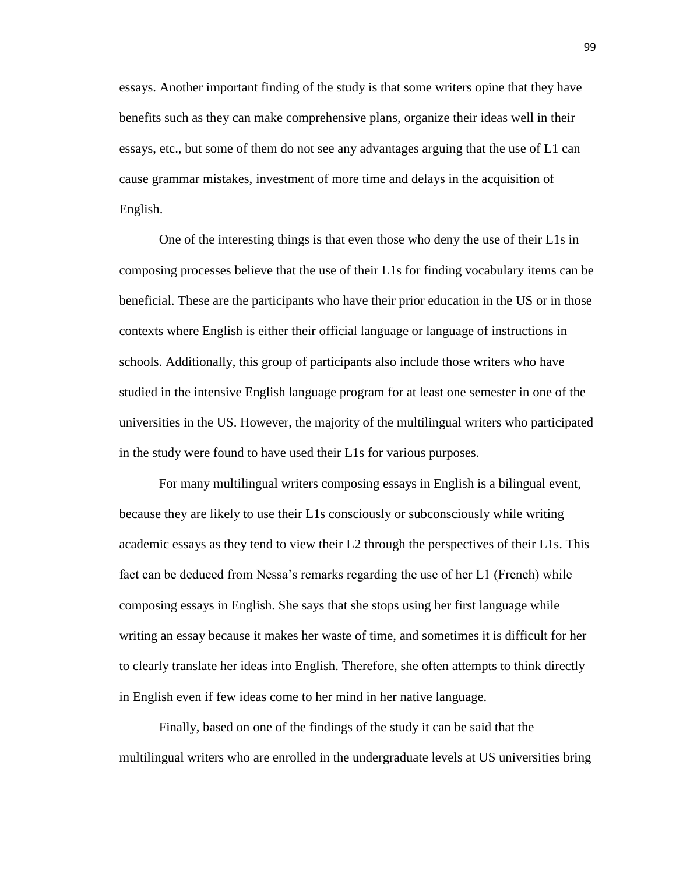essays. Another important finding of the study is that some writers opine that they have benefits such as they can make comprehensive plans, organize their ideas well in their essays, etc., but some of them do not see any advantages arguing that the use of L1 can cause grammar mistakes, investment of more time and delays in the acquisition of English.

 One of the interesting things is that even those who deny the use of their L1s in composing processes believe that the use of their L1s for finding vocabulary items can be beneficial. These are the participants who have their prior education in the US or in those contexts where English is either their official language or language of instructions in schools. Additionally, this group of participants also include those writers who have studied in the intensive English language program for at least one semester in one of the universities in the US. However, the majority of the multilingual writers who participated in the study were found to have used their L1s for various purposes.

 For many multilingual writers composing essays in English is a bilingual event, because they are likely to use their L1s consciously or subconsciously while writing academic essays as they tend to view their L2 through the perspectives of their L1s. This fact can be deduced from Nessa's remarks regarding the use of her L1 (French) while composing essays in English. She says that she stops using her first language while writing an essay because it makes her waste of time, and sometimes it is difficult for her to clearly translate her ideas into English. Therefore, she often attempts to think directly in English even if few ideas come to her mind in her native language.

 Finally, based on one of the findings of the study it can be said that the multilingual writers who are enrolled in the undergraduate levels at US universities bring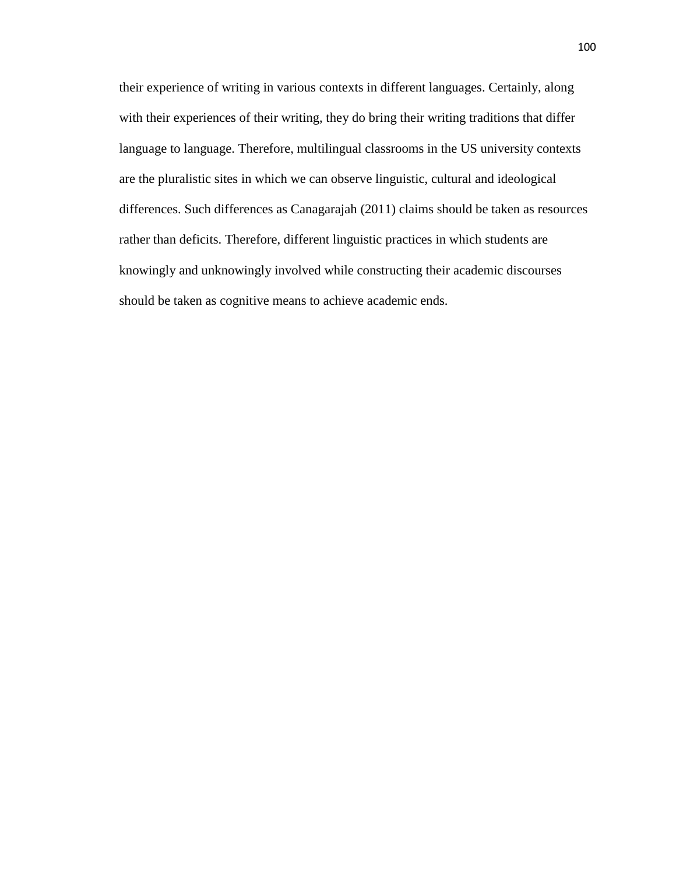their experience of writing in various contexts in different languages. Certainly, along with their experiences of their writing, they do bring their writing traditions that differ language to language. Therefore, multilingual classrooms in the US university contexts are the pluralistic sites in which we can observe linguistic, cultural and ideological differences. Such differences as Canagarajah (2011) claims should be taken as resources rather than deficits. Therefore, different linguistic practices in which students are knowingly and unknowingly involved while constructing their academic discourses should be taken as cognitive means to achieve academic ends.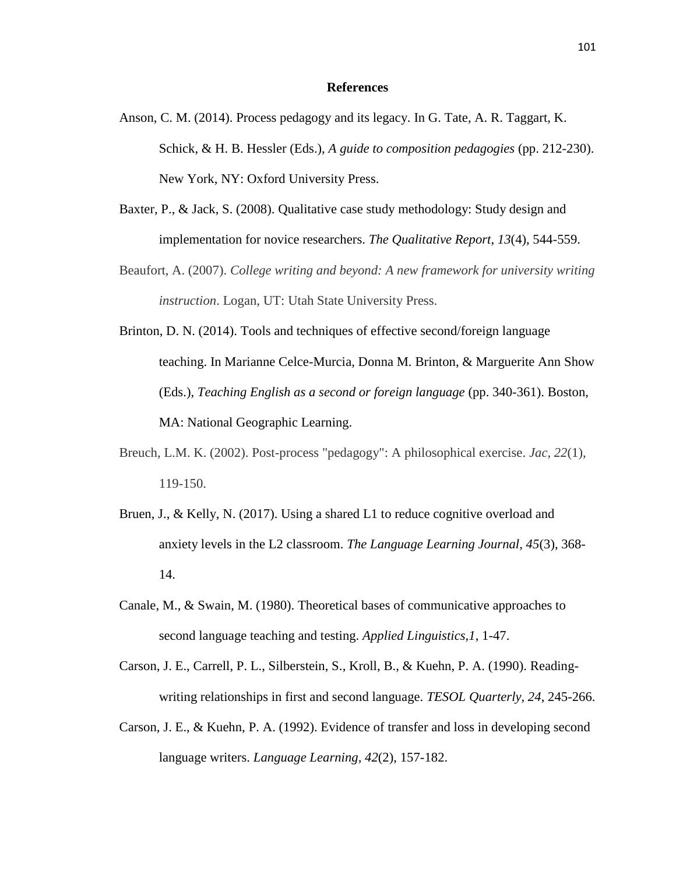### **References**

- Anson, C. M. (2014). Process pedagogy and its legacy. In G. Tate, A. R. Taggart, K. Schick, & H. B. Hessler (Eds.), *A guide to composition pedagogies* (pp. 212-230). New York, NY: Oxford University Press.
- Baxter, P., & Jack, S. (2008). Qualitative case study methodology: Study design and implementation for novice researchers. *The Qualitative Report*, *13*(4), 544-559.
- Beaufort, A. (2007). *College writing and beyond: A new framework for university writing instruction*. Logan, UT: Utah State University Press.
- Brinton, D. N. (2014). Tools and techniques of effective second/foreign language teaching. In Marianne Celce-Murcia, Donna M. Brinton, & Marguerite Ann Show (Eds.), *Teaching English as a second or foreign language* (pp. 340-361). Boston, MA: National Geographic Learning.
- Breuch, L.M. K. (2002). Post-process "pedagogy": A philosophical exercise. *Jac, 22*(1), 119-150.
- Bruen, J., & Kelly, N. (2017). Using a shared L1 to reduce cognitive overload and anxiety levels in the L2 classroom. *The Language Learning Journal, 45*(3), 368- 14.
- Canale, M., & Swain, M. (1980). Theoretical bases of communicative approaches to second language teaching and testing. *Applied Linguistics,1*, 1-47.
- Carson, J. E., Carrell, P. L., Silberstein, S., Kroll, B., & Kuehn, P. A. (1990). Readingwriting relationships in first and second language. *TESOL Quarterly, 24*, 245-266.
- Carson, J. E., & Kuehn, P. A. (1992). Evidence of transfer and loss in developing second language writers. *Language Learning, 42*(2), 157-182.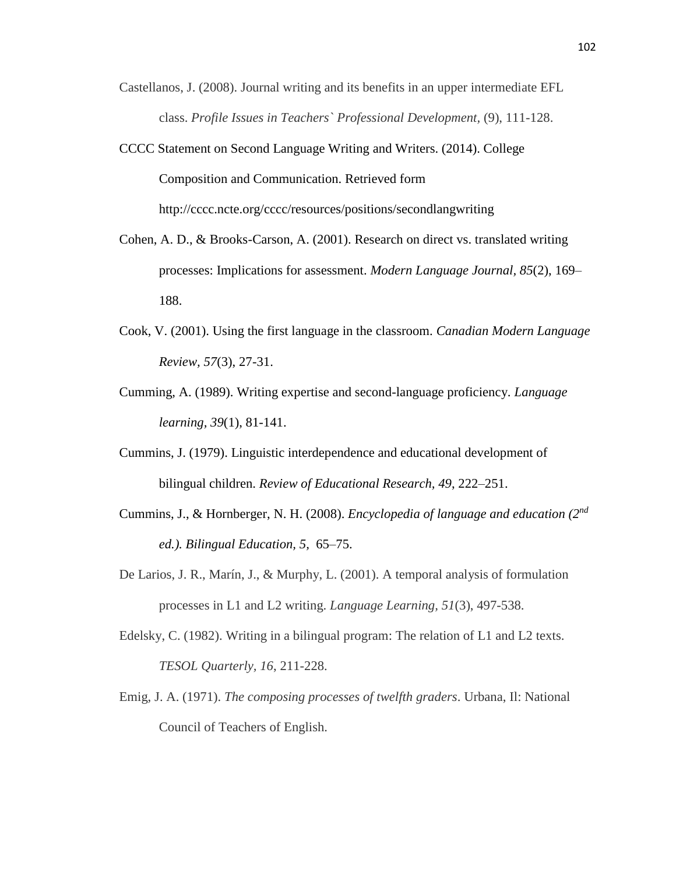- Castellanos, J. (2008). Journal writing and its benefits in an upper intermediate EFL class. *Profile Issues in Teachers` Professional Development,* (9), 111-128.
- CCCC Statement on Second Language Writing and Writers. (2014). College Composition and Communication. Retrieved form <http://cccc.ncte.org/cccc/resources/positions/secondlangwriting>
- Cohen, A. D., & Brooks-Carson, A. (2001). Research on direct vs. translated writing processes: Implications for assessment. *Modern Language Journal, 85*(2), 169– 188.
- Cook, V. (2001). Using the first language in the classroom. *Canadian Modern Language Review, 57*(3), 27-31.
- Cumming, A. (1989). Writing expertise and second-language proficiency. *Language learning, 39*(1), 81-141.
- Cummins, J. (1979). Linguistic interdependence and educational development of bilingual children. *Review of Educational Research, 49*, 222–251.
- Cummins, J., & Hornberger, N. H. (2008). *Encyclopedia of language and education (2 nd ed.). Bilingual Education, 5,* 65–75.
- De Larios, J. R., Marín, J., & Murphy, L. (2001). A temporal analysis of formulation processes in L1 and L2 writing. *Language Learning, 51*(3), 497-538.
- Edelsky, C. (1982). Writing in a bilingual program: The relation of L1 and L2 texts. *TESOL Quarterly, 16*, 211-228.
- Emig, J. A. (1971). *The composing processes of twelfth graders*. Urbana, Il: National Council of Teachers of English.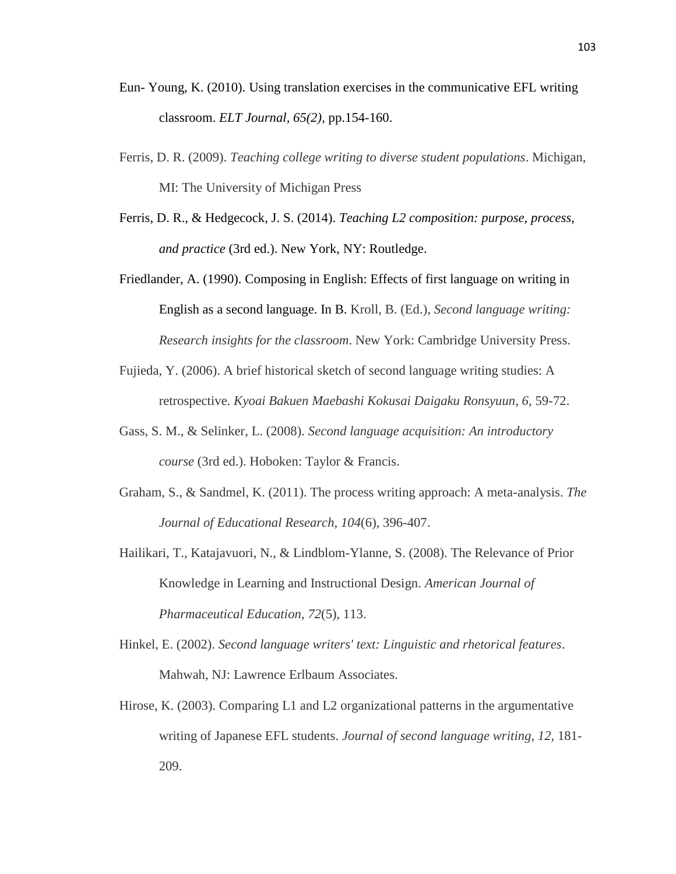- Eun- Young, K. (2010). Using translation exercises in the communicative EFL writing classroom. *ELT Journal, 65(2),* pp.154-160.
- Ferris, D. R. (2009). *Teaching college writing to diverse student populations*. Michigan, MI: The University of Michigan Press
- Ferris, D. R., & Hedgecock, J. S. (2014). *Teaching L2 composition: purpose, process, and practice* (3rd ed.). New York, NY: Routledge.
- Friedlander, A. (1990). Composing in English: Effects of first language on writing in English as a second language. In B. Kroll, B. (Ed.), *Second language writing: Research insights for the classroom*. New York: Cambridge University Press.
- Fujieda, Y. (2006). A brief historical sketch of second language writing studies: A retrospective. *Kyoai Bakuen Maebashi Kokusai Daigaku Ronsyuun, 6*, 59-72.
- Gass, S. M., & Selinker, L. (2008). *Second language acquisition: An introductory course* (3rd ed.). Hoboken: Taylor & Francis.
- Graham, S., & Sandmel, K. (2011). The process writing approach: A meta-analysis. *The Journal of Educational Research, 104*(6), 396-407.
- Hailikari, T., Katajavuori, N., & Lindblom-Ylanne, S. (2008). The Relevance of Prior Knowledge in Learning and Instructional Design. *American Journal of Pharmaceutical Education*, *72*(5), 113.
- Hinkel, E. (2002). *Second language writers' text: Linguistic and rhetorical features*. Mahwah, NJ: Lawrence Erlbaum Associates.
- Hirose, K. (2003). Comparing L1 and L2 organizational patterns in the argumentative writing of Japanese EFL students. *Journal of second language writing, 12,* 181- 209.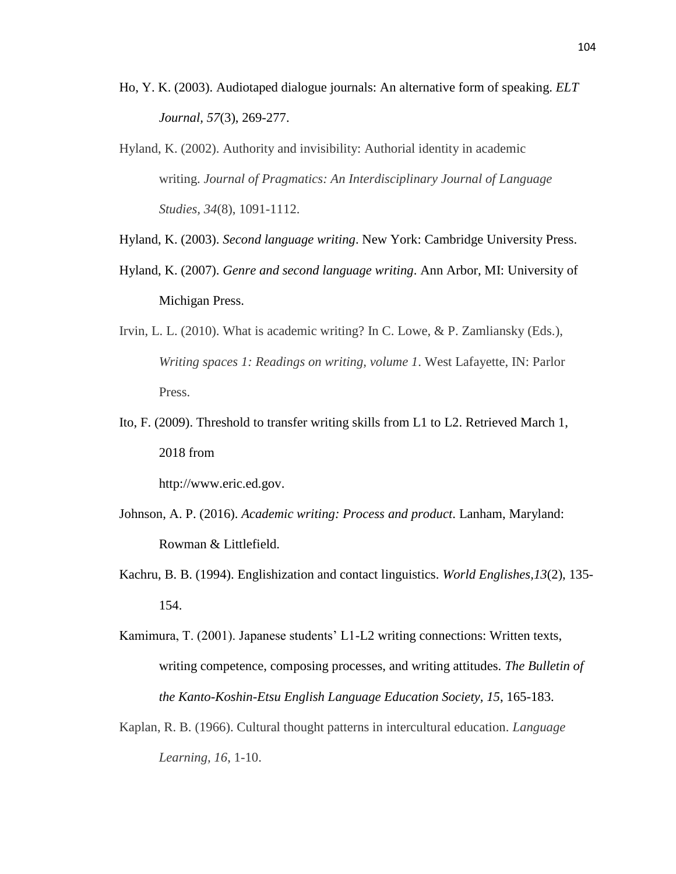- Ho, Y. K. (2003). Audiotaped dialogue journals: An alternative form of speaking. *ELT Journal, 57*(3), 269-277.
- Hyland, K. (2002). Authority and invisibility: Authorial identity in academic writing. *Journal of Pragmatics: An Interdisciplinary Journal of Language Studies, 34*(8), 1091-1112.
- Hyland, K. (2003). *Second language writing*. New York: Cambridge University Press.
- Hyland, K. (2007). *Genre and second language writing*. Ann Arbor, MI: University of Michigan Press.
- Irvin, L. L. (2010). What is academic writing? In C. Lowe, & P. Zamliansky (Eds.), *Writing spaces 1: Readings on writing, volume 1*. West Lafayette, IN: Parlor Press.
- Ito, F. (2009). Threshold to transfer writing skills from L1 to L2. Retrieved March 1, 2018 from

[http://www.eric.ed.gov.](http://www.eric.ed.gov/)

- Johnson, A. P. (2016). *Academic writing: Process and product*. Lanham, Maryland: Rowman & Littlefield.
- Kachru, B. B. (1994). Englishization and contact linguistics. *World Englishes,13*(2), 135- 154.
- Kamimura, T. (2001). Japanese students' L1-L2 writing connections: Written texts, writing competence, composing processes, and writing attitudes. *The Bulletin of the Kanto-Koshin-Etsu English Language Education Society, 15*, 165-183.
- Kaplan, R. B. (1966). Cultural thought patterns in intercultural education. *Language Learning, 16*, 1-10.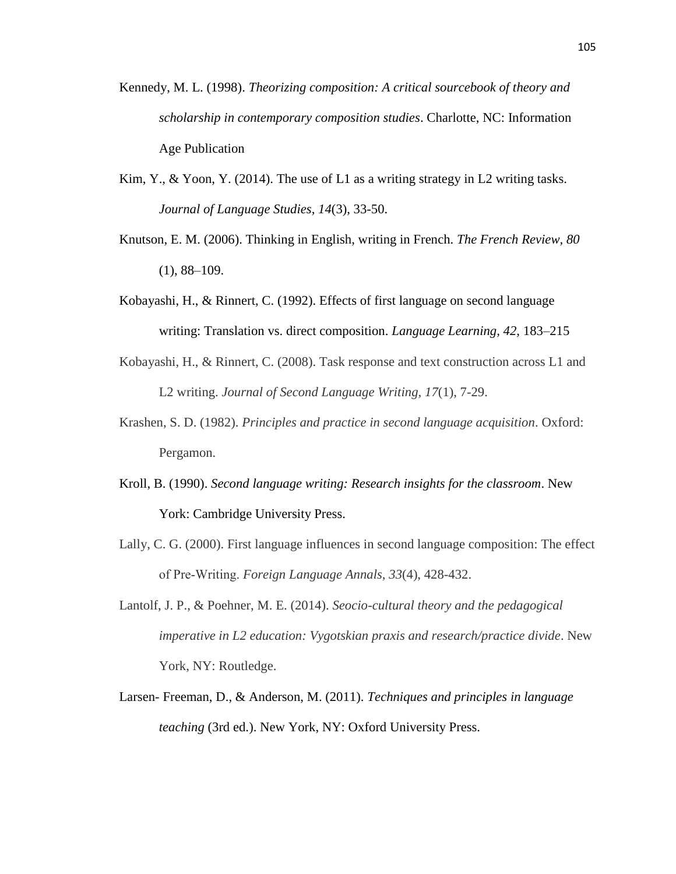- Kennedy, M. L. (1998). *Theorizing composition: A critical sourcebook of theory and scholarship in contemporary composition studies*. Charlotte, NC: Information Age Publication
- Kim, Y., & Yoon, Y. (2014). The use of L1 as a writing strategy in L2 writing tasks. *Journal of Language Studies, 14*(3), 33-50.
- Knutson, E. M. (2006). Thinking in English, writing in French. *The French Review, 80*   $(1), 88-109.$
- Kobayashi, H., & Rinnert, C. (1992). Effects of first language on second language writing: Translation vs. direct composition. *Language Learning, 42,* 183–215
- Kobayashi, H., & Rinnert, C. (2008). Task response and text construction across L1 and L2 writing. *Journal of Second Language Writing, 17*(1), 7-29.
- Krashen, S. D. (1982). *Principles and practice in second language acquisition*. Oxford: Pergamon.
- Kroll, B. (1990). *Second language writing: Research insights for the classroom*. New York: Cambridge University Press.
- Lally, C. G. (2000). First language influences in second language composition: The effect of Pre‐Writing. *Foreign Language Annals, 33*(4), 428-432.
- Lantolf, J. P., & Poehner, M. E. (2014). *Seocio-cultural theory and the pedagogical imperative in L2 education: Vygotskian praxis and research/practice divide*. New York, NY: Routledge.
- Larsen- Freeman, D., & Anderson, M. (2011). *Techniques and principles in language teaching* (3rd ed.). New York, NY: Oxford University Press.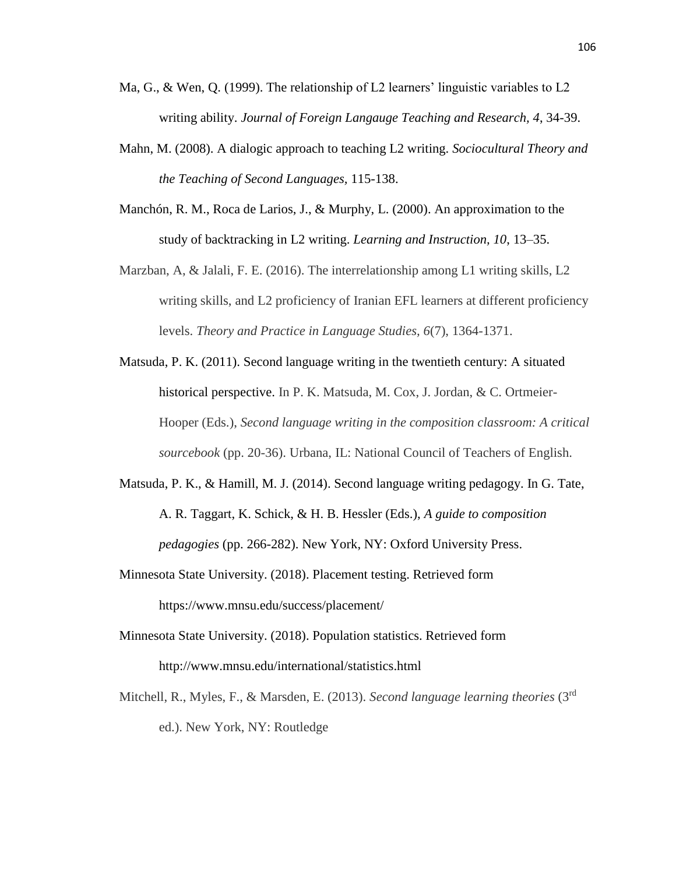- Ma, G., & Wen, Q. (1999). The relationship of L2 learners' linguistic variables to L2 writing ability. *Journal of Foreign Langauge Teaching and Research, 4*, 34-39.
- Mahn, M. (2008). A dialogic approach to teaching L2 writing. *Sociocultural Theory and the Teaching of Second Languages,* 115-138.
- Manchón, R. M., Roca de Larios, J., & Murphy, L. (2000). An approximation to the study of backtracking in L2 writing. *Learning and Instruction, 10*, 13–35.
- Marzban, A, & Jalali, F. E. (2016). The interrelationship among L1 writing skills, L2 writing skills, and L2 proficiency of Iranian EFL learners at different proficiency levels. *Theory and Practice in Language Studies, 6*(7), 1364-1371.
- Matsuda, P. K. (2011). Second language writing in the twentieth century: A situated historical perspective. In P. K. Matsuda, M. Cox, J. Jordan, & C. Ortmeier-Hooper (Eds.), *Second language writing in the composition classroom: A critical sourcebook* (pp. 20-36). Urbana, IL: National Council of Teachers of English.
- Matsuda, P. K., & Hamill, M. J. (2014). Second language writing pedagogy. In G. Tate, A. R. Taggart, K. Schick, & H. B. Hessler (Eds.), *A guide to composition pedagogies* (pp. 266-282). New York, NY: Oxford University Press.
- Minnesota State University. (2018). Placement testing. Retrieved form <https://www.mnsu.edu/success/placement/>
- Minnesota State University. (2018). Population statistics. Retrieved form <http://www.mnsu.edu/international/statistics.html>
- Mitchell, R., Myles, F., & Marsden, E. (2013). *Second language learning theories* (3rd ed.). New York, NY: Routledge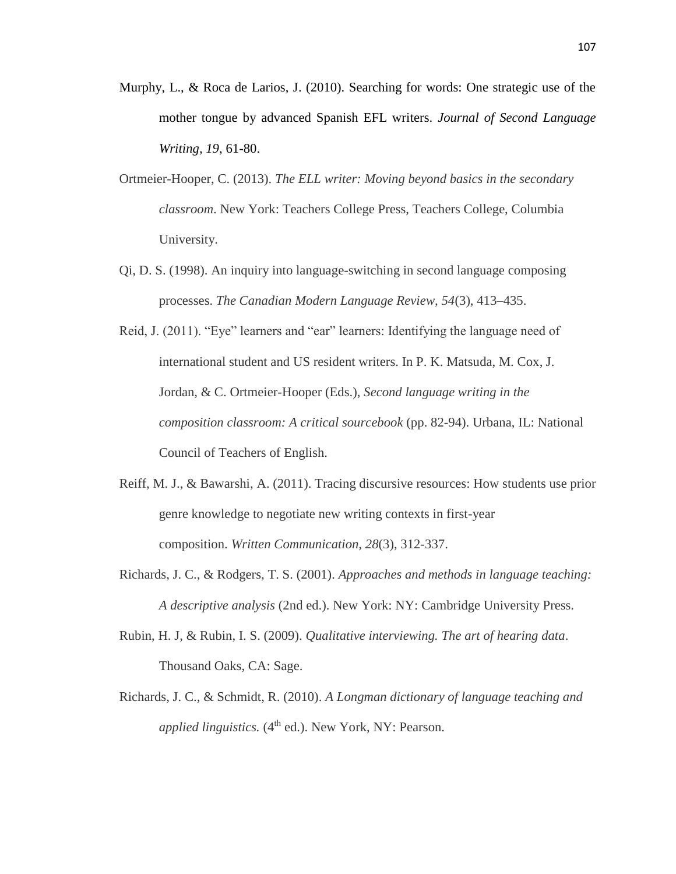- Murphy, L., & Roca de Larios, J. (2010). Searching for words: One strategic use of the mother tongue by advanced Spanish EFL writers. *Journal of Second Language Writing, 19*, 61-80.
- Ortmeier-Hooper, C. (2013). *The ELL writer: Moving beyond basics in the secondary classroom*. New York: Teachers College Press, Teachers College, Columbia University.
- Qi, D. S. (1998). An inquiry into language-switching in second language composing processes. *The Canadian Modern Language Review, 54*(3), 413–435.
- Reid, J. (2011). "Eye" learners and "ear" learners: Identifying the language need of international student and US resident writers. In P. K. Matsuda, M. Cox, J. Jordan, & C. Ortmeier-Hooper (Eds.), *Second language writing in the composition classroom: A critical sourcebook* (pp. 82-94). Urbana, IL: National Council of Teachers of English.
- Reiff, M. J., & Bawarshi, A. (2011). Tracing discursive resources: How students use prior genre knowledge to negotiate new writing contexts in first-year composition. *Written Communication, 28*(3), 312-337.
- Richards, J. C., & Rodgers, T. S. (2001). *Approaches and methods in language teaching: A descriptive analysis* (2nd ed.). New York: NY: Cambridge University Press.
- Rubin, H. J, & Rubin, I. S. (2009). *Qualitative interviewing. The art of hearing data*. Thousand Oaks, CA: Sage.
- Richards, J. C., & Schmidt, R. (2010). *A Longman dictionary of language teaching and applied linguistics.* (4<sup>th</sup> ed.). New York, NY: Pearson.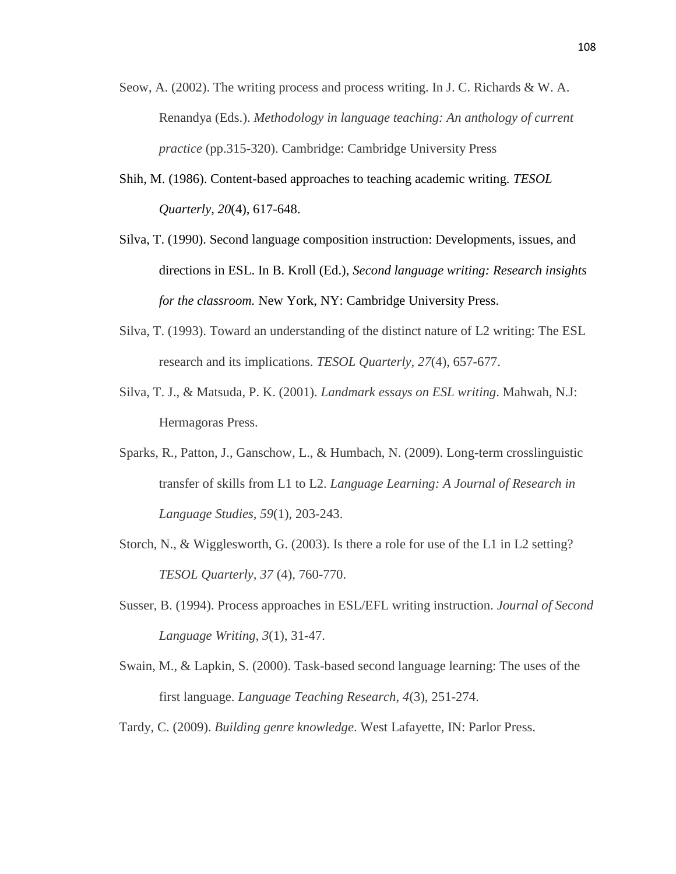- Seow, A. (2002). The writing process and process writing. In J. C. Richards & W. A. Renandya (Eds.). *Methodology in language teaching: An anthology of current practice* (pp.315-320). Cambridge: Cambridge University Press
- Shih, M. (1986). Content-based approaches to teaching academic writing. *TESOL Quarterly, 20*(4), 617-648.
- Silva, T. (1990). Second language composition instruction: Developments, issues, and directions in ESL. In B. Kroll (Ed.), *Second language writing: Research insights for the classroom.* New York, NY: Cambridge University Press.
- Silva, T. (1993). Toward an understanding of the distinct nature of L2 writing: The ESL research and its implications. *TESOL Quarterly, 27*(4), 657-677.
- Silva, T. J., & Matsuda, P. K. (2001). *Landmark essays on ESL writing*. Mahwah, N.J: Hermagoras Press.
- Sparks, R., Patton, J., Ganschow, L., & Humbach, N. (2009). Long-term crosslinguistic transfer of skills from L1 to L2. *Language Learning: A Journal of Research in Language Studies, 59*(1), 203-243.
- Storch, N., & Wigglesworth, G. (2003). Is there a role for use of the L1 in L2 setting? *TESOL Quarterly, 37* (4), 760-770.
- Susser, B. (1994). Process approaches in ESL/EFL writing instruction. *Journal of Second Language Writing, 3*(1), 31-47.
- Swain, M., & Lapkin, S. (2000). Task-based second language learning: The uses of the first language. *Language Teaching Research, 4*(3), 251-274.
- Tardy, C. (2009). *Building genre knowledge*. West Lafayette, IN: Parlor Press.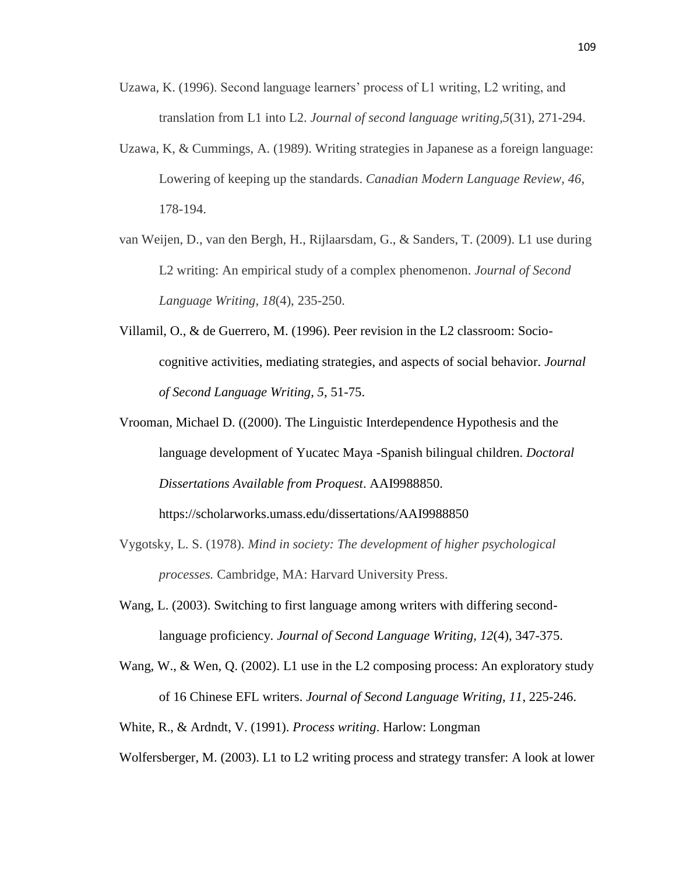- Uzawa, K. (1996). Second language learners' process of L1 writing, L2 writing, and translation from L1 into L2. *Journal of second language writing,5*(31), 271-294.
- Uzawa, K, & Cummings, A. (1989). Writing strategies in Japanese as a foreign language: Lowering of keeping up the standards. *Canadian Modern Language Review, 46*, 178-194.
- van Weijen, D., van den Bergh, H., Rijlaarsdam, G., & Sanders, T. (2009). L1 use during L2 writing: An empirical study of a complex phenomenon. *Journal of Second Language Writing, 18*(4), 235-250.
- Villamil, O., & de Guerrero, M. (1996). Peer revision in the L2 classroom: Sociocognitive activities, mediating strategies, and aspects of social behavior. *Journal of Second Language Writing, 5*, 51-75.
- Vrooman, Michael D. ((2000). The Linguistic Interdependence Hypothesis and the language development of Yucatec Maya -Spanish bilingual children. *Doctoral Dissertations Available from Proquest*. AAI9988850.

<https://scholarworks.umass.edu/dissertations/AAI9988850>

- Vygotsky, L. S. (1978). *Mind in society: The development of higher psychological processes.* Cambridge, MA: Harvard University Press.
- Wang, L. (2003). Switching to first language among writers with differing secondlanguage proficiency. *Journal of Second Language Writing, 12*(4), 347-375.
- Wang, W., & Wen, Q. (2002). L1 use in the L2 composing process: An exploratory study of 16 Chinese EFL writers. *Journal of Second Language Writing, 11*, 225-246.

White, R., & Ardndt, V. (1991). *Process writing*. Harlow: Longman

Wolfersberger, M. (2003). L1 to L2 writing process and strategy transfer: A look at lower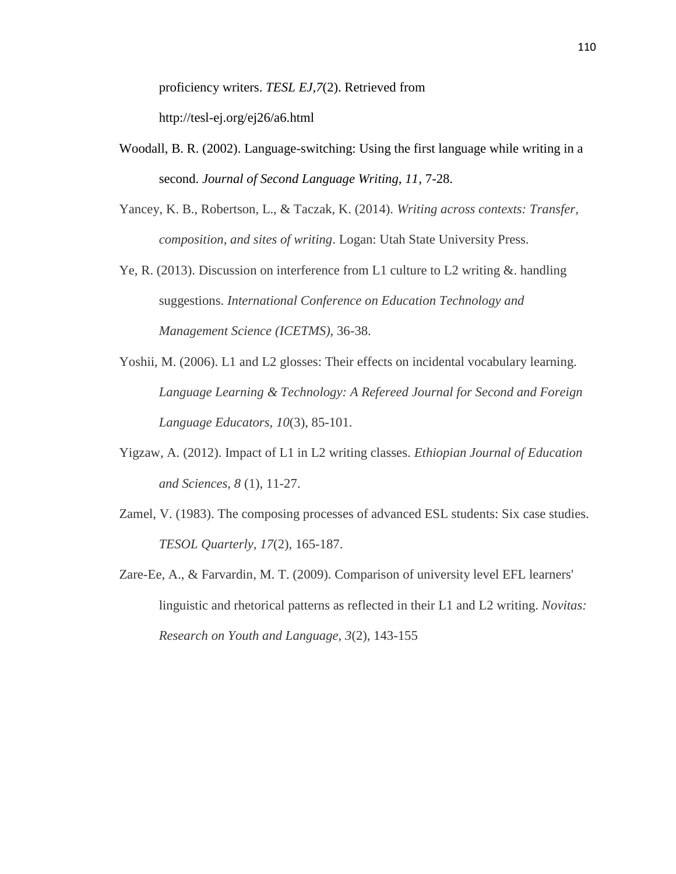proficiency writers. *TESL EJ,7*(2). Retrieved from http://tesl-ej.org/ej26/a6.html

- Woodall, B. R. (2002). Language-switching: Using the first language while writing in a second. *Journal of Second Language Writing, 11*, 7-28.
- Yancey, K. B., Robertson, L., & Taczak, K. (2014). *Writing across contexts: Transfer, composition, and sites of writing*. Logan: Utah State University Press.
- Ye, R. (2013). Discussion on interference from L1 culture to L2 writing  $\&$ . handling suggestions. *International Conference on Education Technology and Management Science (ICETMS),* 36-38.
- Yoshii, M. (2006). L1 and L2 glosses: Their effects on incidental vocabulary learning. *Language Learning & Technology: A Refereed Journal for Second and Foreign Language Educators, 10*(3), 85-101.
- Yigzaw, A. (2012). Impact of L1 in L2 writing classes. *Ethiopian Journal of Education and Sciences, 8* (1), 11-27.
- Zamel, V. (1983). The composing processes of advanced ESL students: Six case studies. *TESOL Quarterly, 17*(2), 165-187.
- Zare-Ee, A., & Farvardin, M. T. (2009). Comparison of university level EFL learners' linguistic and rhetorical patterns as reflected in their L1 and L2 writing. *Novitas: Research on Youth and Language, 3*(2), 143-155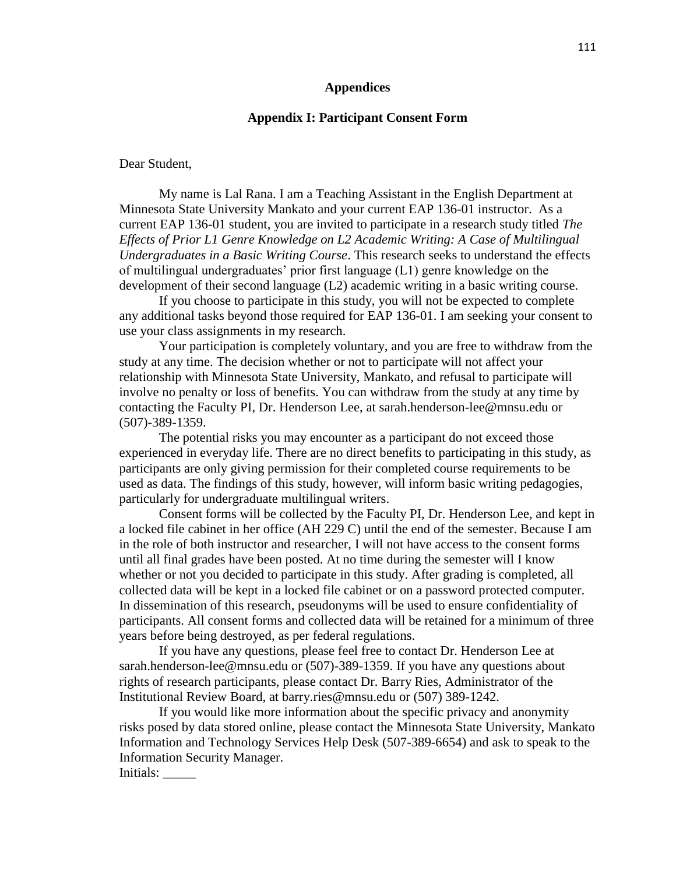#### **Appendices**

### **Appendix I: Participant Consent Form**

Dear Student,

My name is Lal Rana. I am a Teaching Assistant in the English Department at Minnesota State University Mankato and your current EAP 136-01 instructor. As a current EAP 136-01 student, you are invited to participate in a research study titled *The Effects of Prior L1 Genre Knowledge on L2 Academic Writing: A Case of Multilingual Undergraduates in a Basic Writing Course*. This research seeks to understand the effects of multilingual undergraduates' prior first language (L1) genre knowledge on the development of their second language (L2) academic writing in a basic writing course.

If you choose to participate in this study, you will not be expected to complete any additional tasks beyond those required for EAP 136-01. I am seeking your consent to use your class assignments in my research.

Your participation is completely voluntary, and you are free to withdraw from the study at any time. The decision whether or not to participate will not affect your relationship with Minnesota State University, Mankato, and refusal to participate will involve no penalty or loss of benefits. You can withdraw from the study at any time by contacting the Faculty PI, Dr. Henderson Lee, at sarah.henderson-lee@mnsu.edu or (507)-389-1359.

The potential risks you may encounter as a participant do not exceed those experienced in everyday life. There are no direct benefits to participating in this study, as participants are only giving permission for their completed course requirements to be used as data. The findings of this study, however, will inform basic writing pedagogies, particularly for undergraduate multilingual writers.

Consent forms will be collected by the Faculty PI, Dr. Henderson Lee, and kept in a locked file cabinet in her office (AH 229 C) until the end of the semester. Because I am in the role of both instructor and researcher, I will not have access to the consent forms until all final grades have been posted. At no time during the semester will I know whether or not you decided to participate in this study. After grading is completed, all collected data will be kept in a locked file cabinet or on a password protected computer. In dissemination of this research, pseudonyms will be used to ensure confidentiality of participants. All consent forms and collected data will be retained for a minimum of three years before being destroyed, as per federal regulations.

If you have any questions, please feel free to contact Dr. Henderson Lee at sarah.henderson-lee@mnsu.edu or (507)-389-1359. If you have any questions about rights of research participants, please contact Dr. Barry Ries, Administrator of the Institutional Review Board, at barry.ries@mnsu.edu or (507) 389-1242.

If you would like more information about the specific privacy and anonymity risks posed by data stored online, please contact the Minnesota State University, Mankato Information and Technology Services Help Desk (507-389-6654) and ask to speak to the Information Security Manager.

Initials: \_\_\_\_\_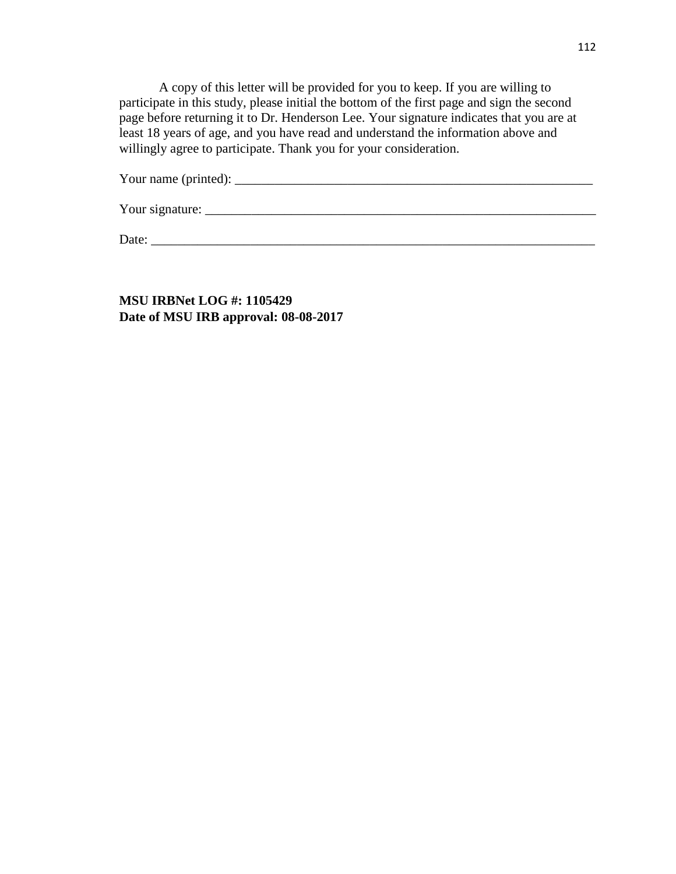A copy of this letter will be provided for you to keep. If you are willing to participate in this study, please initial the bottom of the first page and sign the second page before returning it to Dr. Henderson Lee. Your signature indicates that you are at least 18 years of age, and you have read and understand the information above and willingly agree to participate. Thank you for your consideration.

Your name (printed): \_\_\_\_\_\_\_\_\_\_\_\_\_\_\_\_\_\_\_\_\_\_\_\_\_\_\_\_\_\_\_\_\_\_\_\_\_\_\_\_\_\_\_\_\_\_\_\_\_\_\_\_\_\_

Your signature: \_\_\_\_\_\_\_\_\_\_\_\_\_\_\_\_\_\_\_\_\_\_\_\_\_\_\_\_\_\_\_\_\_\_\_\_\_\_\_\_\_\_\_\_\_\_\_\_\_\_\_\_\_\_\_\_\_\_\_

Date: \_\_\_\_\_\_\_\_\_\_\_\_\_\_\_\_\_\_\_\_\_\_\_\_\_\_\_\_\_\_\_\_\_\_\_\_\_\_\_\_\_\_\_\_\_\_\_\_\_\_\_\_\_\_\_\_\_\_\_\_\_\_\_\_\_\_\_

**MSU IRBNet LOG #: 1105429 Date of MSU IRB approval: 08-08-2017**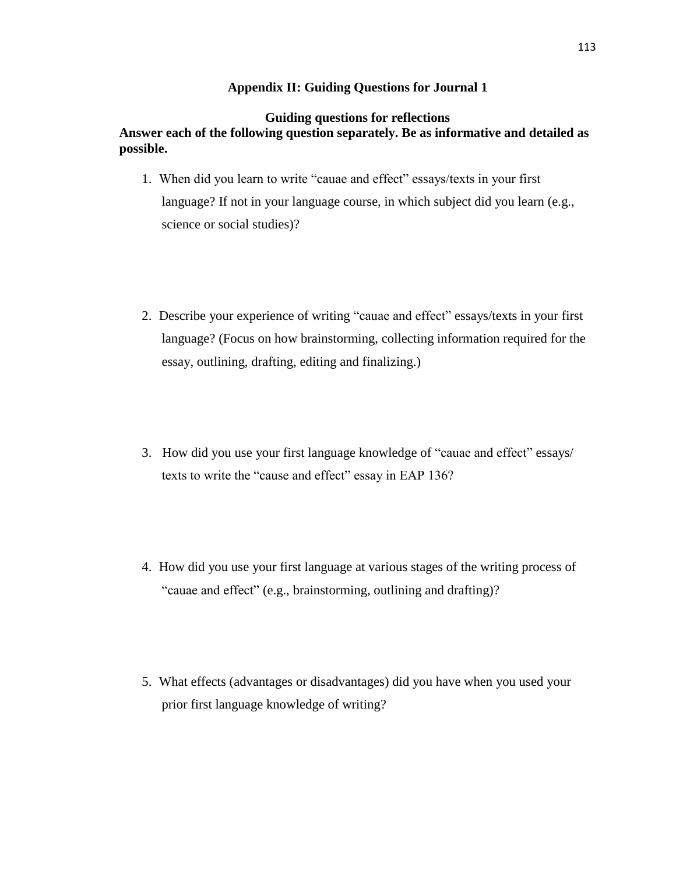# **Appendix II: Guiding Questions for Journal 1**

# **Guiding questions for reflections Answer each of the following question separately. Be as informative and detailed as possible.**

- 1. When did you learn to write "cauae and effect" essays/texts in your first language? If not in your language course, in which subject did you learn (e.g., science or social studies)?
- 2. Describe your experience of writing "cauae and effect" essays/texts in your first language? (Focus on how brainstorming, collecting information required for the essay, outlining, drafting, editing and finalizing.)
- 3. How did you use your first language knowledge of "cauae and effect" essays/ texts to write the "cause and effect" essay in EAP 136?
- 4. How did you use your first language at various stages of the writing process of "cauae and effect" (e.g., brainstorming, outlining and drafting)?
- 5. What effects (advantages or disadvantages) did you have when you used your prior first language knowledge of writing?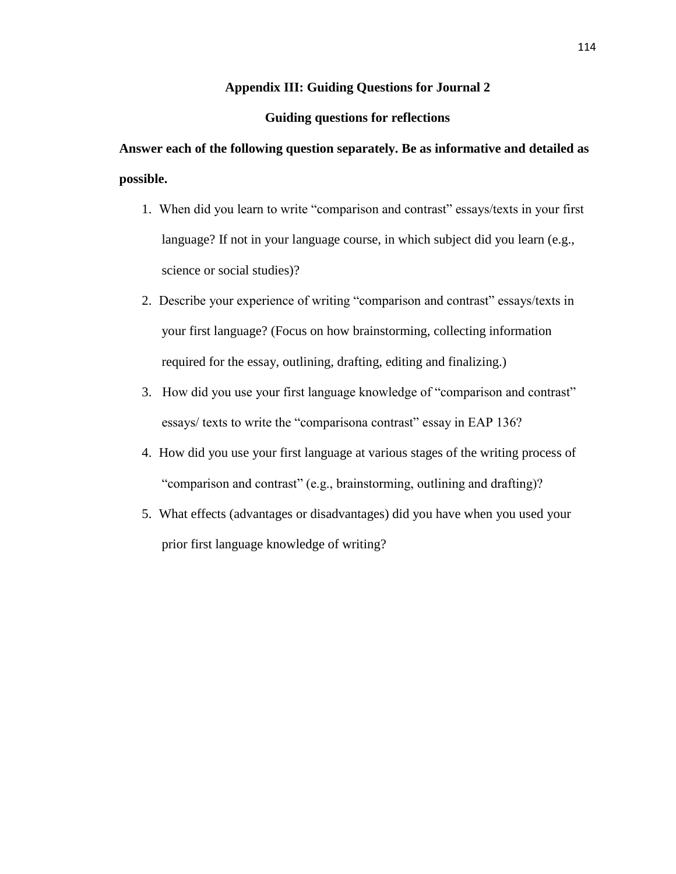### **Appendix III: Guiding Questions for Journal 2**

### **Guiding questions for reflections**

**Answer each of the following question separately. Be as informative and detailed as possible.** 

- 1. When did you learn to write "comparison and contrast" essays/texts in your first language? If not in your language course, in which subject did you learn (e.g., science or social studies)?
- 2. Describe your experience of writing "comparison and contrast" essays/texts in your first language? (Focus on how brainstorming, collecting information required for the essay, outlining, drafting, editing and finalizing.)
- 3. How did you use your first language knowledge of "comparison and contrast" essays/ texts to write the "comparisona contrast" essay in EAP 136?
- 4. How did you use your first language at various stages of the writing process of "comparison and contrast" (e.g., brainstorming, outlining and drafting)?
- 5. What effects (advantages or disadvantages) did you have when you used your prior first language knowledge of writing?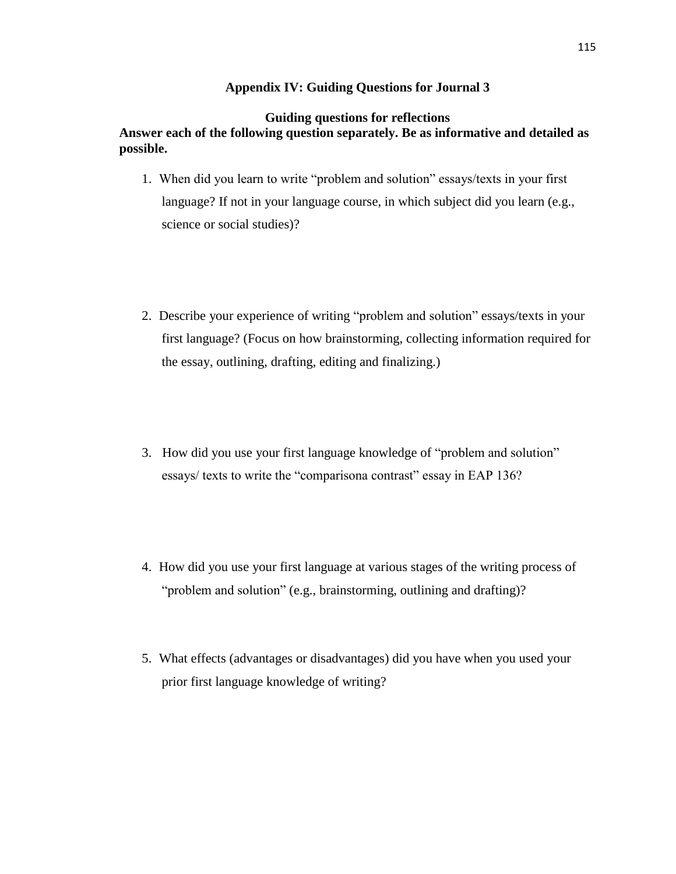# **Appendix IV: Guiding Questions for Journal 3**

# **Guiding questions for reflections Answer each of the following question separately. Be as informative and detailed as possible.**

- 1. When did you learn to write "problem and solution" essays/texts in your first language? If not in your language course, in which subject did you learn (e.g., science or social studies)?
- 2. Describe your experience of writing "problem and solution" essays/texts in your first language? (Focus on how brainstorming, collecting information required for the essay, outlining, drafting, editing and finalizing.)
- 3. How did you use your first language knowledge of "problem and solution" essays/ texts to write the "comparisona contrast" essay in EAP 136?
- 4. How did you use your first language at various stages of the writing process of "problem and solution" (e.g., brainstorming, outlining and drafting)?
- 5. What effects (advantages or disadvantages) did you have when you used your prior first language knowledge of writing?